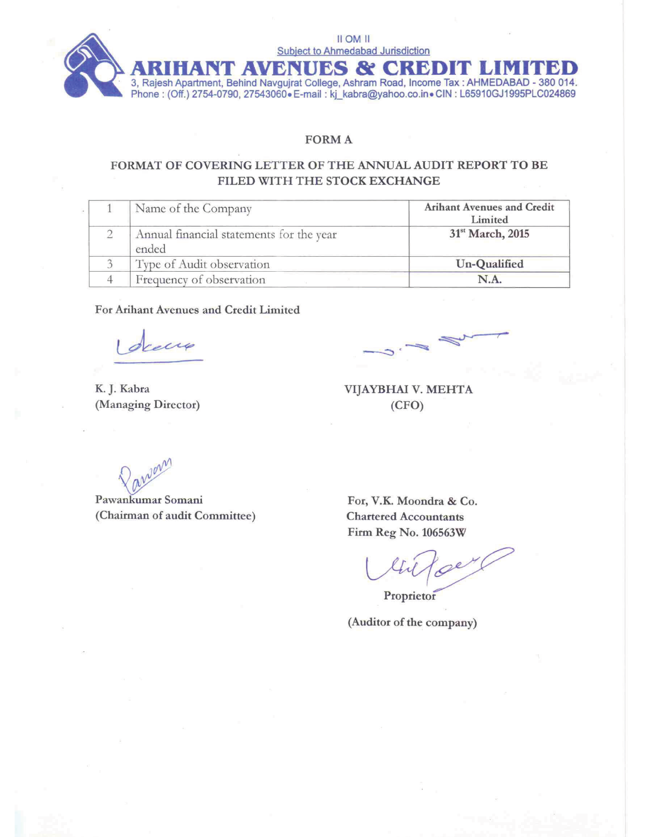

# **FORM A**

# FORMAT OF COVERING LETTER OF THE ANNUAL AUDIT REPORT TO BE FILED WITH THE STOCK EXCHANGE

| Name of the Company                               | <b>Arihant Avenues and Credit</b><br>Limited |
|---------------------------------------------------|----------------------------------------------|
| Annual financial statements for the year<br>ended | 31 <sup>st</sup> March, 2015                 |
| Type of Audit observation                         | Un-Qualified                                 |
| Frequency of observation                          | N.A                                          |

For Arihant Avenues and Credit Limited

K. J. Kabra (Managing Director)

VIJAYBHAI V. MEHTA  $(CFO)$ 

Pawankumar Somani (Chairman of audit Committee) For, V.K. Moondra & Co. **Chartered Accountants** Firm Reg No. 106563W

Proprietor (Auditor of the company)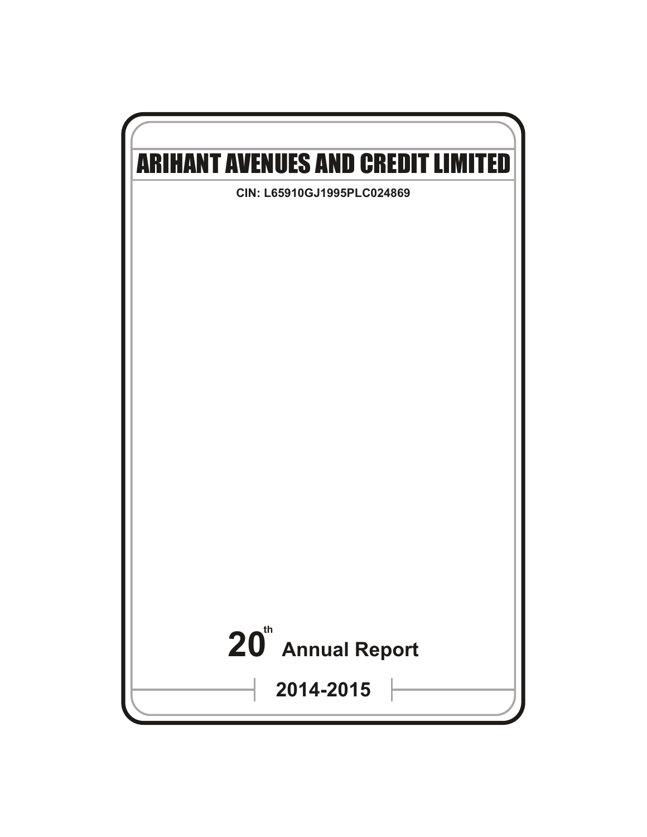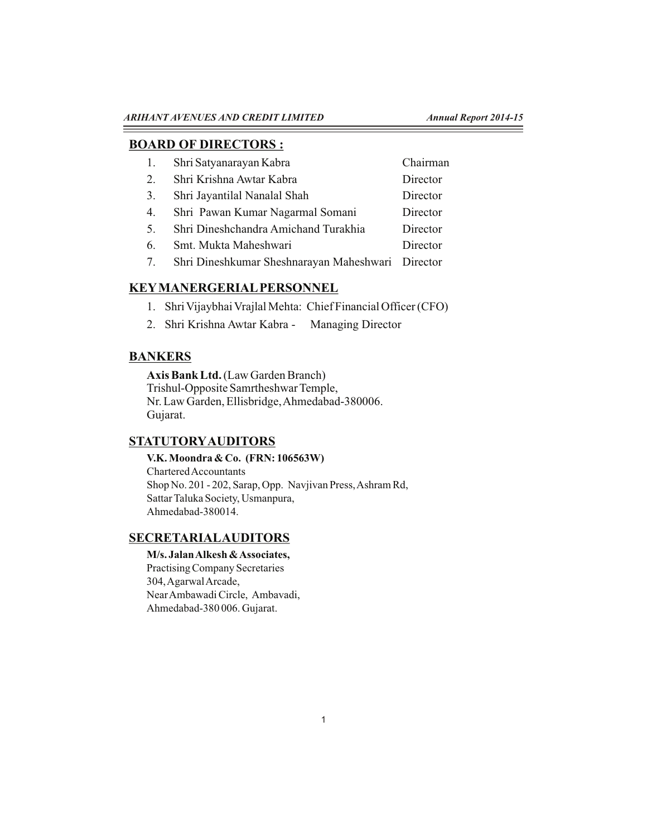| 1.  | Shri Satyanarayan Kabra              | Chairman |
|-----|--------------------------------------|----------|
| 2.  | Shri Krishna Awtar Kabra             | Director |
| 3.  | Shri Jayantilal Nanalal Shah         | Director |
| 4.  | Shri Pawan Kumar Nagarmal Somani     | Director |
| .5. | Shri Dineshchandra Amichand Turakhia | Director |
| 6   | Smt. Mukta Maheshwari                | Director |
|     |                                      |          |

7. Shri Dineshkumar Sheshnarayan Maheshwari Director

# **KEY MANERGERIAL PERSONNEL**

- 1. Shri Vijaybhai Vrajlal Mehta: Chief Financial Officer (CFO)
- 2. Shri Krishna Awtar Kabra Managing Director

# **BANKERS**

**Axis Bank Ltd.** (Law Garden Branch) Trishul-Opposite Samrtheshwar Temple, Nr. Law Garden, Ellisbridge, Ahmedabad-380006. Gujarat.

# **STATUTORY AUDITORS**

**V.K. Moondra & Co. (FRN: 106563W)**  Chartered Accountants Shop No. 201 - 202, Sarap, Opp. Navjivan Press, Ashram Rd, Sattar Taluka Society, Usmanpura, Ahmedabad-380014.

# **SECRETARIAL AUDITORS**

**M/s. Jalan Alkesh & Associates,**  Practising Company Secretaries 304, Agarwal Arcade, Near Ambawadi Circle, Ambavadi,

Ahmedabad-380 006. Gujarat.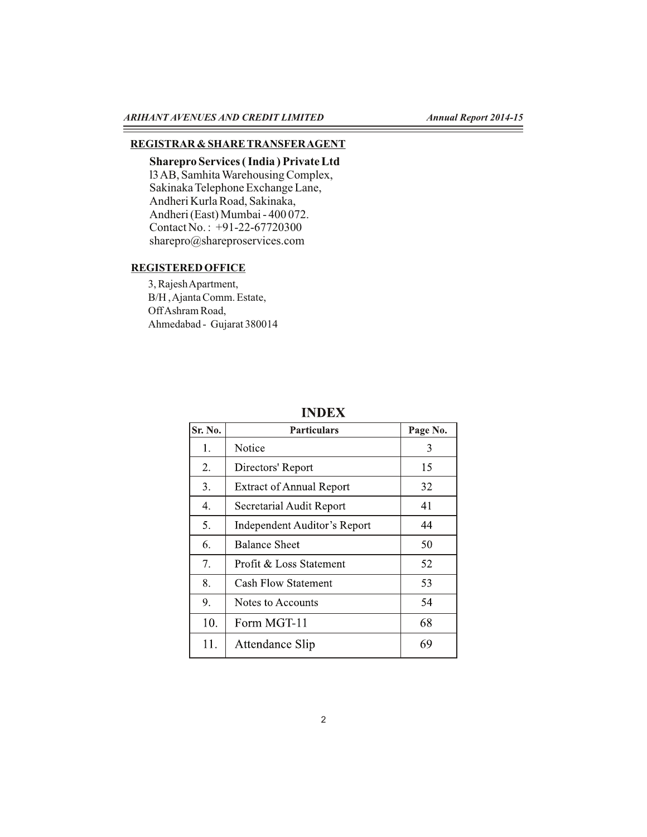# **REGISTRAR & SHARE TRANSFER AGENT**

**Sharepro Services ( India ) Private Ltd** l3 AB, Samhita Warehousing Complex, Sakinaka Telephone Exchange Lane, Andheri Kurla Road, Sakinaka, Andheri (East) Mumbai - 400 072. Contact No. : +91-22-67720300 sharepro@shareproservices.com

# **REGISTERED OFFICE**

3, Rajesh Apartment, B/H , Ajanta Comm. Estate, Off Ashram Road, Ahmedabad - Gujarat 380014

| Notice                              |    |
|-------------------------------------|----|
|                                     | 3  |
| Directors' Report                   | 15 |
| <b>Extract of Annual Report</b>     | 32 |
| Secretarial Audit Report            | 41 |
| <b>Independent Auditor's Report</b> | 44 |
| <b>Balance Sheet</b>                | 50 |
| Profit & Loss Statement             | 52 |
| <b>Cash Flow Statement</b>          | 53 |
| Notes to Accounts                   | 54 |
| Form MGT-11                         | 68 |
| Attendance Slip                     | 69 |
|                                     |    |

# **INDEX**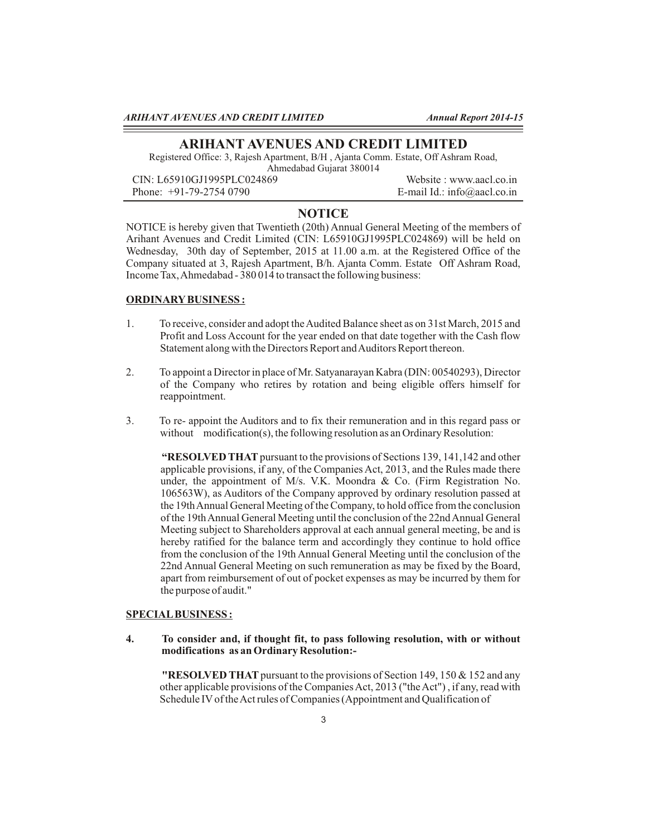## **ARIHANT AVENUES AND CREDIT LIMITED**

Registered Office: 3, Rajesh Apartment, B/H , Ajanta Comm. Estate, Off Ashram Road,

Ahmedabad Gujarat 380014

Phone: +91-79-2754 0790 E-mail Id.: info@aacl.co.in

CIN: L65910GJ1995PLC024869 Website : www.aacl.co.in

# **NOTICE**

NOTICE is hereby given that Twentieth (20th) Annual General Meeting of the members of Arihant Avenues and Credit Limited (CIN: L65910GJ1995PLC024869) will be held on Wednesday, 30th day of September, 2015 at 11.00 a.m. at the Registered Office of the Company situated at 3, Rajesh Apartment, B/h. Ajanta Comm. Estate Off Ashram Road, Income Tax, Ahmedabad - 380 014 to transact the following business:

# **ORDINARY BUSINESS :**

- 1. To receive, consider and adopt the Audited Balance sheet as on 31st March, 2015 and Profit and Loss Account for the year ended on that date together with the Cash flow Statement along with the Directors Report and Auditors Report thereon.
- 2. To appoint a Director in place of Mr. Satyanarayan Kabra (DIN: 00540293), Director of the Company who retires by rotation and being eligible offers himself for reappointment.
- 3. To re- appoint the Auditors and to fix their remuneration and in this regard pass or without modification(s), the following resolution as an Ordinary Resolution:

**"RESOLVED THAT** pursuant to the provisions of Sections 139, 141, 142 and other applicable provisions, if any, of the Companies Act, 2013, and the Rules made there under, the appointment of M/s. V.K. Moondra & Co. (Firm Registration No. 106563W), as Auditors of the Company approved by ordinary resolution passed at the 19th Annual General Meeting of the Company, to hold office from the conclusion of the 19th Annual General Meeting until the conclusion of the 22nd Annual General Meeting subject to Shareholders approval at each annual general meeting, be and is hereby ratified for the balance term and accordingly they continue to hold office from the conclusion of the 19th Annual General Meeting until the conclusion of the 22nd Annual General Meeting on such remuneration as may be fixed by the Board, apart from reimbursement of out of pocket expenses as may be incurred by them for the purpose of audit."

### **SPECIAL BUSINESS :**

**4. To consider and, if thought fit, to pass following resolution, with or without modifications as an Ordinary Resolution:-**

**"RESOLVED THAT** pursuant to the provisions of Section 149, 150 & 152 and any other applicable provisions of the Companies Act, 2013 ("the Act") , if any, read with Schedule IV of the Act rules of Companies (Appointment and Qualification of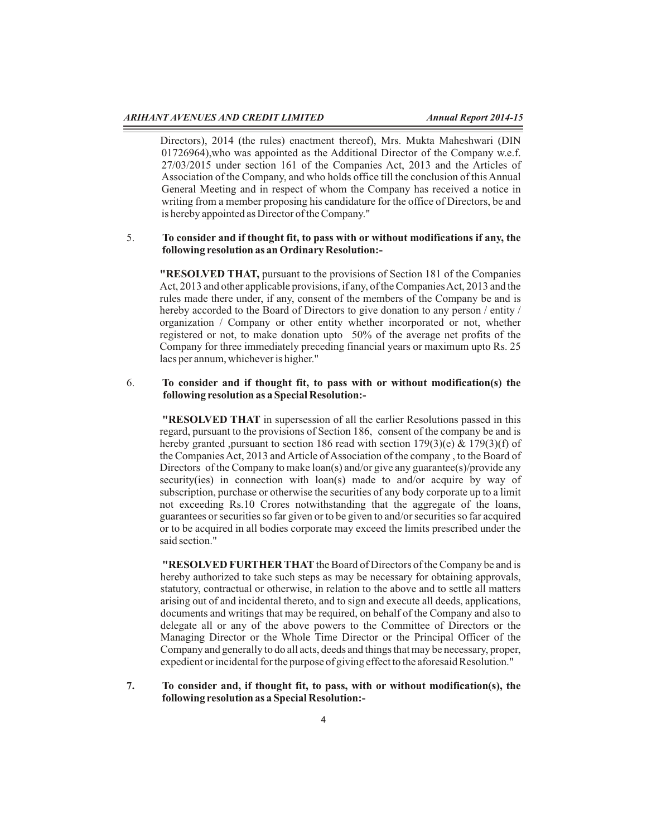Directors), 2014 (the rules) enactment thereof), Mrs. Mukta Maheshwari (DIN 01726964),who was appointed as the Additional Director of the Company w.e.f. 27/03/2015 under section 161 of the Companies Act, 2013 and the Articles of Association of the Company, and who holds office till the conclusion of this Annual General Meeting and in respect of whom the Company has received a notice in writing from a member proposing his candidature for the office of Directors, be and is hereby appointed as Director of the Company."

# 5. **To consider and if thought fit, to pass with or without modifications if any, the following resolution as an Ordinary Resolution:-**

**"RESOLVED THAT,** pursuant to the provisions of Section 181 of the Companies Act, 2013 and other applicable provisions, if any, of the Companies Act, 2013 and the rules made there under, if any, consent of the members of the Company be and is hereby accorded to the Board of Directors to give donation to any person / entity / organization / Company or other entity whether incorporated or not, whether registered or not, to make donation upto 50% of the average net profits of the Company for three immediately preceding financial years or maximum upto Rs. 25 lacs per annum, whichever is higher."

# 6. **To consider and if thought fit, to pass with or without modification(s) the following resolution as a Special Resolution:-**

**"RESOLVED THAT** in supersession of all the earlier Resolutions passed in this regard, pursuant to the provisions of Section 186, consent of the company be and is hereby granted ,pursuant to section 186 read with section 179(3)(e) & 179(3)(f) of the Companies Act, 2013 and Article of Association of the company , to the Board of Directors of the Company to make loan(s) and/or give any guarantee(s)/provide any security(ies) in connection with loan(s) made to and/or acquire by way of subscription, purchase or otherwise the securities of any body corporate up to a limit not exceeding Rs.10 Crores notwithstanding that the aggregate of the loans, guarantees or securities so far given or to be given to and/or securities so far acquired or to be acquired in all bodies corporate may exceed the limits prescribed under the said section."

**"RESOLVED FURTHER THAT** the Board of Directors of the Company be and is hereby authorized to take such steps as may be necessary for obtaining approvals, statutory, contractual or otherwise, in relation to the above and to settle all matters arising out of and incidental thereto, and to sign and execute all deeds, applications, documents and writings that may be required, on behalf of the Company and also to delegate all or any of the above powers to the Committee of Directors or the Managing Director or the Whole Time Director or the Principal Officer of the Company and generally to do all acts, deeds and things that may be necessary, proper, expedient or incidental for the purpose of giving effect to the aforesaid Resolution."

**7. To consider and, if thought fit, to pass, with or without modification(s), the following resolution as a Special Resolution:-**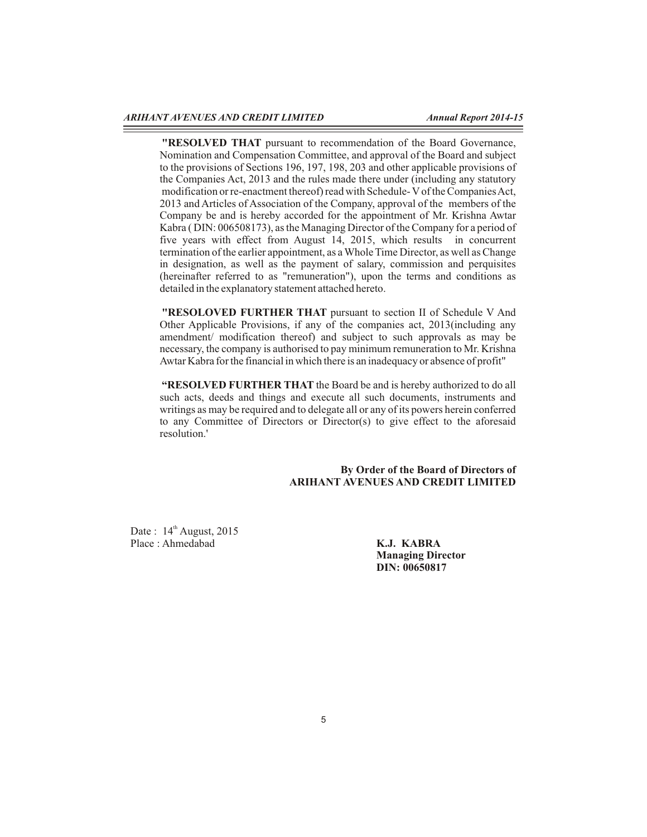**"RESOLVED THAT** pursuant to recommendation of the Board Governance, Nomination and Compensation Committee, and approval of the Board and subject to the provisions of Sections 196, 197, 198, 203 and other applicable provisions of the Companies Act, 2013 and the rules made there under (including any statutory modification or re-enactment thereof) read with Schedule- V of the Companies Act, 2013 and Articles of Association of the Company, approval of the members of the Company be and is hereby accorded for the appointment of Mr. Krishna Awtar Kabra ( DIN: 006508173), as the Managing Director of the Company for a period of five years with effect from August 14, 2015, which results in concurrent termination of the earlier appointment, as a Whole Time Director, as well as Change in designation, as well as the payment of salary, commission and perquisites (hereinafter referred to as "remuneration"), upon the terms and conditions as detailed in the explanatory statement attached hereto.

**"RESOLOVED FURTHER THAT** pursuant to section II of Schedule V And Other Applicable Provisions, if any of the companies act, 2013(including any amendment/ modification thereof) and subject to such approvals as may be necessary, the company is authorised to pay minimum remuneration to Mr. Krishna Awtar Kabra for the financial in which there is an inadequacy or absence of profit"

**"RESOLVED FURTHER THAT** the Board be and is hereby authorized to do all such acts, deeds and things and execute all such documents, instruments and writings as may be required and to delegate all or any of its powers herein conferred to any Committee of Directors or Director(s) to give effect to the aforesaid resolution.'

# **By Order of the Board of Directors of ARIHANT AVENUES AND CREDIT LIMITED**

Date :  $14^{\text{th}}$  August, 2015 Place : Ahmedabad **K.J. KABRA** 

 **Managing Director DIN: 00650817**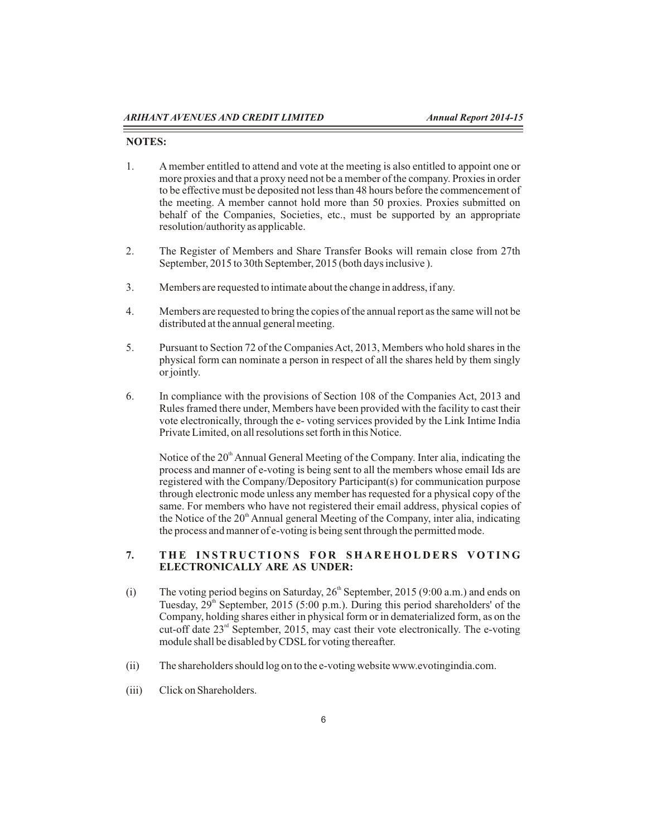#### **NOTES:**

- 1. A member entitled to attend and vote at the meeting is also entitled to appoint one or more proxies and that a proxy need not be a member of the company. Proxies in order to be effective must be deposited not less than 48 hours before the commencement of the meeting. A member cannot hold more than 50 proxies. Proxies submitted on behalf of the Companies, Societies, etc., must be supported by an appropriate resolution/authority as applicable.
- 2. The Register of Members and Share Transfer Books will remain close from 27th September, 2015 to 30th September, 2015 (both days inclusive ).
- 3. Members are requested to intimate about the change in address, if any.
- 4. Members are requested to bring the copies of the annual report as the same will not be distributed at the annual general meeting.
- 5. Pursuant to Section 72 of the Companies Act, 2013, Members who hold shares in the physical form can nominate a person in respect of all the shares held by them singly or jointly.
- 6. In compliance with the provisions of Section 108 of the Companies Act, 2013 and Rules framed there under, Members have been provided with the facility to cast their vote electronically, through the e- voting services provided by the Link Intime India Private Limited, on all resolutions set forth in this Notice.

Notice of the  $20<sup>th</sup>$  Annual General Meeting of the Company. Inter alia, indicating the process and manner of e-voting is being sent to all the members whose email Ids are registered with the Company/Depository Participant(s) for communication purpose through electronic mode unless any member has requested for a physical copy of the same. For members who have not registered their email address, physical copies of the Notice of the  $20<sup>th</sup>$  Annual general Meeting of the Company, inter alia, indicating the process and manner of e-voting is being sent through the permitted mode.

# **7. THE INSTRUCTIONS FOR SHAREHOLDERS VOTING ELECTRONICALLY ARE AS UNDER:**

- (i) The voting period begins on Saturday,  $26<sup>th</sup>$  September, 2015 (9:00 a.m.) and ends on Tuesday,  $29<sup>th</sup>$  September, 2015 (5:00 p.m.). During this period shareholders' of the Company, holding shares either in physical form or in dematerialized form, as on the cut-off date  $23<sup>rd</sup>$  September, 2015, may cast their vote electronically. The e-voting module shall be disabled by CDSL for voting thereafter.
- (ii) The shareholders should log on to the e-voting website www.evotingindia.com.
- (iii) Click on Shareholders.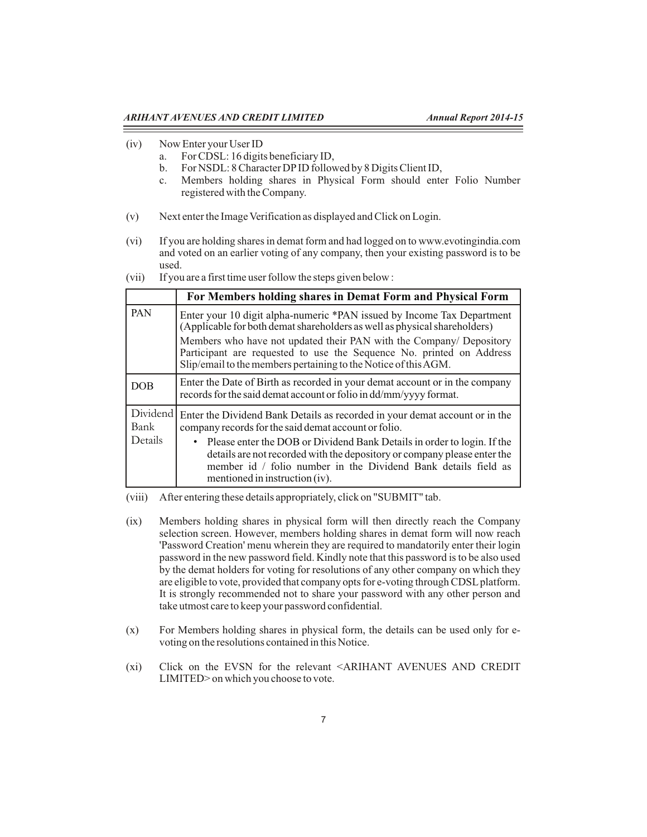- (iv) Now Enter your User ID
	- a. For CDSL: 16 digits beneficiary ID,
	- b. For NSDL: 8 Character DP ID followed by 8 Digits Client ID,
	- c. Members holding shares in Physical Form should enter Folio Number registered with the Company.
- (v) Next enter the Image Verification as displayed and Click on Login.
- (vi) If you are holding shares in demat form and had logged on to www.evotingindia.com and voted on an earlier voting of any company, then your existing password is to be used.
- (vii) If you are a first time user follow the steps given below :

|                             | For Members holding shares in Demat Form and Physical Form                                                                                                                                                                                                                                                                                                                                       |
|-----------------------------|--------------------------------------------------------------------------------------------------------------------------------------------------------------------------------------------------------------------------------------------------------------------------------------------------------------------------------------------------------------------------------------------------|
| <b>PAN</b>                  | Enter your 10 digit alpha-numeric *PAN issued by Income Tax Department<br>(Applicable for both demat shareholders as well as physical shareholders)<br>Members who have not updated their PAN with the Company/ Depository<br>Participant are requested to use the Sequence No. printed on Address<br>Slip/email to the members pertaining to the Notice of this AGM.                            |
| <b>DOB</b>                  | Enter the Date of Birth as recorded in your demat account or in the company<br>records for the said demat account or folio in dd/mm/yyyy format.                                                                                                                                                                                                                                                 |
| Dividend<br>Bank<br>Details | Enter the Dividend Bank Details as recorded in your demat account or in the<br>company records for the said demat account or folio.<br>• Please enter the DOB or Dividend Bank Details in order to login. If the<br>details are not recorded with the depository or company please enter the<br>member id / folio number in the Dividend Bank details field as<br>mentioned in instruction (iv). |

(viii) After entering these details appropriately, click on "SUBMIT" tab.

- (ix) Members holding shares in physical form will then directly reach the Company selection screen. However, members holding shares in demat form will now reach 'Password Creation' menu wherein they are required to mandatorily enter their login password in the new password field. Kindly note that this password is to be also used by the demat holders for voting for resolutions of any other company on which they are eligible to vote, provided that company opts for e-voting through CDSL platform. It is strongly recommended not to share your password with any other person and take utmost care to keep your password confidential.
- (x) For Members holding shares in physical form, the details can be used only for evoting on the resolutions contained in this Notice.
- (xi) Click on the EVSN for the relevant <ARIHANT AVENUES AND CREDIT LIMITED> on which you choose to vote.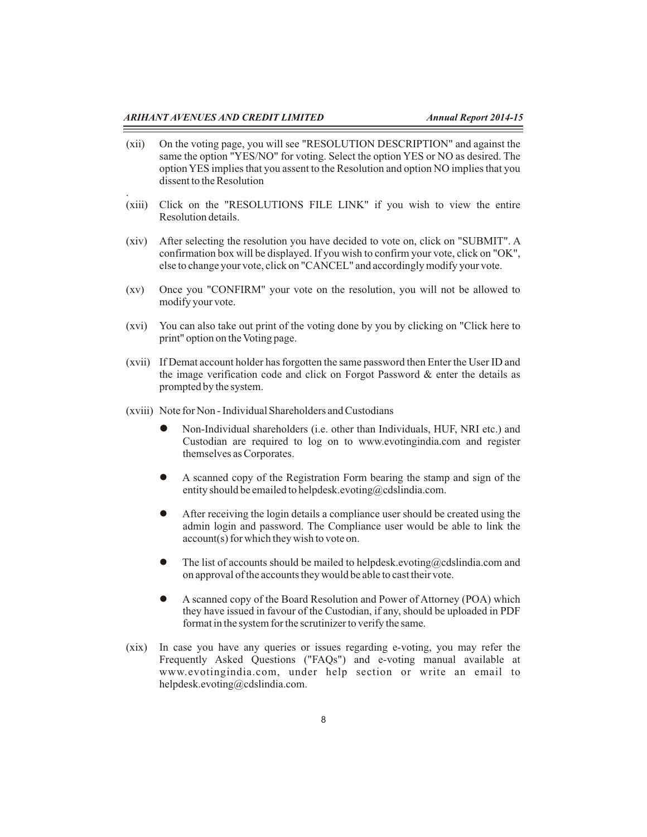.

- (xii) On the voting page, you will see "RESOLUTION DESCRIPTION" and against the same the option "YES/NO" for voting. Select the option YES or NO as desired. The option YES implies that you assent to the Resolution and option NO implies that you dissent to the Resolution
- (xiii) Click on the "RESOLUTIONS FILE LINK" if you wish to view the entire Resolution details.
- (xiv) After selecting the resolution you have decided to vote on, click on "SUBMIT". A confirmation box will be displayed. If you wish to confirm your vote, click on "OK", else to change your vote, click on "CANCEL" and accordingly modify your vote.
- (xv) Once you "CONFIRM" your vote on the resolution, you will not be allowed to modify your vote.
- (xvi) You can also take out print of the voting done by you by clicking on "Click here to print" option on the Voting page.
- (xvii) If Demat account holder has forgotten the same password then Enter the User ID and the image verification code and click on Forgot Password  $\&$  enter the details as prompted by the system.
- (xviii) Note for Non Individual Shareholders and Custodians
	- Non-Individual shareholders (i.e. other than Individuals, HUF, NRI etc.) and Custodian are required to log on to www.evotingindia.com and register themselves as Corporates.
	- A scanned copy of the Registration Form bearing the stamp and sign of the entity should be emailed to helpdesk.evoting@cdslindia.com.
	- After receiving the login details a compliance user should be created using the admin login and password. The Compliance user would be able to link the account(s) for which they wish to vote on.
	- The list of accounts should be mailed to helpdesk.evoting@cdslindia.com and on approval of the accounts they would be able to cast their vote.
	- A scanned copy of the Board Resolution and Power of Attorney (POA) which they have issued in favour of the Custodian, if any, should be uploaded in PDF format in the system for the scrutinizer to verify the same.
- (xix) In case you have any queries or issues regarding e-voting, you may refer the Frequently Asked Questions ("FAQs") and e-voting manual available at www.evotingindia.com, under help section or write an email to helpdesk.evoting@cdslindia.com.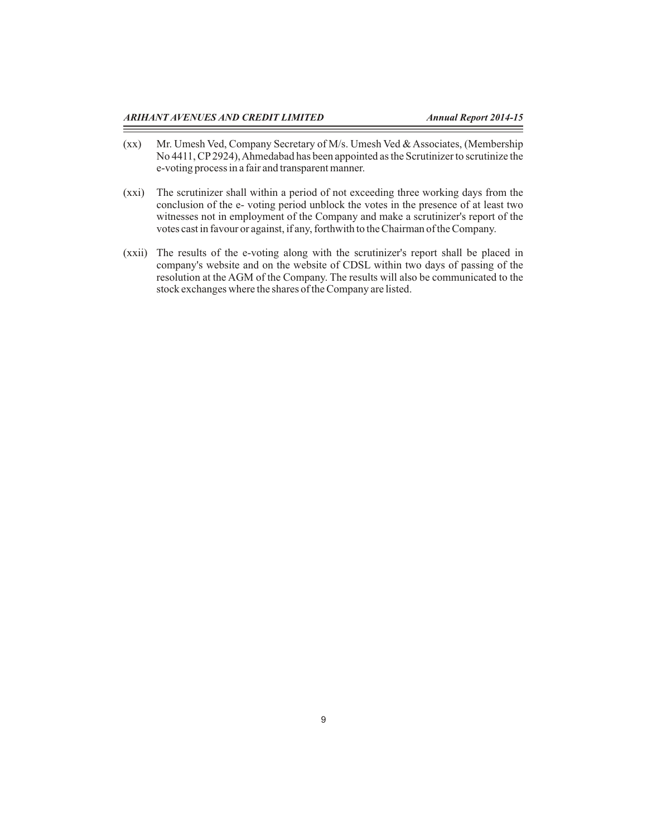- (xx) Mr. Umesh Ved, Company Secretary of M/s. Umesh Ved & Associates, (Membership No 4411, CP 2924), Ahmedabad has been appointed as the Scrutinizer to scrutinize the e-voting process in a fair and transparent manner.
- (xxi) The scrutinizer shall within a period of not exceeding three working days from the conclusion of the e- voting period unblock the votes in the presence of at least two witnesses not in employment of the Company and make a scrutinizer's report of the votes cast in favour or against, if any, forthwith to the Chairman of the Company.
- (xxii) The results of the e-voting along with the scrutinizer's report shall be placed in company's website and on the website of CDSL within two days of passing of the resolution at the AGM of the Company. The results will also be communicated to the stock exchanges where the shares of the Company are listed.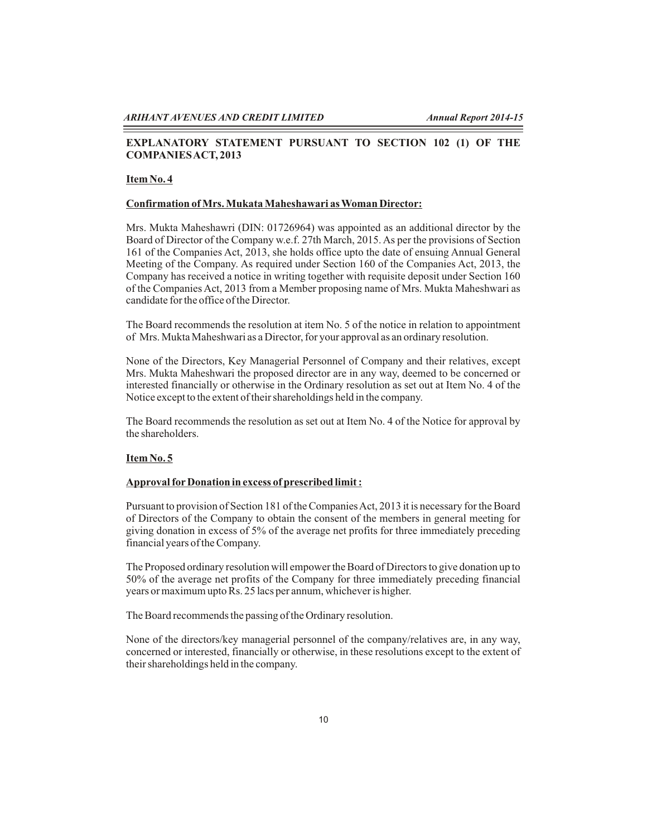# **EXPLANATORY STATEMENT PURSUANT TO SECTION 102 (1) OF THE COMPANIES ACT, 2013**

### **Item No. 4**

### **Confirmation of Mrs. Mukata Maheshawari as Woman Director:**

Mrs. Mukta Maheshawri (DIN: 01726964) was appointed as an additional director by the Board of Director of the Company w.e.f. 27th March, 2015. As per the provisions of Section 161 of the Companies Act, 2013, she holds office upto the date of ensuing Annual General Meeting of the Company. As required under Section 160 of the Companies Act, 2013, the Company has received a notice in writing together with requisite deposit under Section 160 of the Companies Act, 2013 from a Member proposing name of Mrs. Mukta Maheshwari as candidate for the office of the Director.

The Board recommends the resolution at item No. 5 of the notice in relation to appointment of Mrs. Mukta Maheshwari as a Director, for your approval as an ordinary resolution.

None of the Directors, Key Managerial Personnel of Company and their relatives, except Mrs. Mukta Maheshwari the proposed director are in any way, deemed to be concerned or interested financially or otherwise in the Ordinary resolution as set out at Item No. 4 of the Notice except to the extent of their shareholdings held in the company.

The Board recommends the resolution as set out at Item No. 4 of the Notice for approval by the shareholders.

### **Item No. 5**

### **Approval for Donation in excess of prescribed limit :**

Pursuant to provision of Section 181 of the Companies Act, 2013 it is necessary for the Board of Directors of the Company to obtain the consent of the members in general meeting for giving donation in excess of 5% of the average net profits for three immediately preceding financial years of the Company.

The Proposed ordinary resolution will empower the Board of Directors to give donation up to 50% of the average net profits of the Company for three immediately preceding financial years or maximum upto Rs. 25 lacs per annum, whichever is higher.

The Board recommends the passing of the Ordinary resolution.

None of the directors/key managerial personnel of the company/relatives are, in any way, concerned or interested, financially or otherwise, in these resolutions except to the extent of their shareholdings held in the company.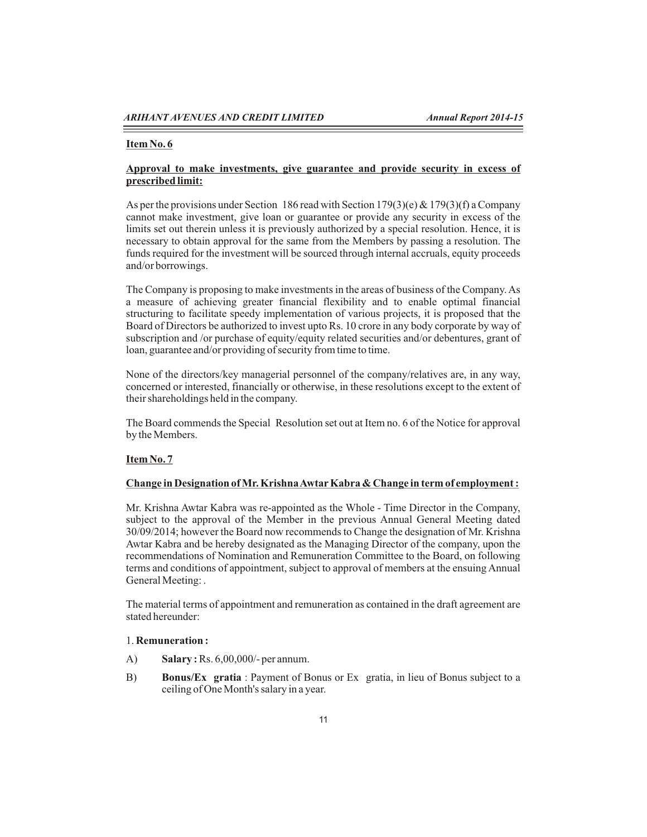#### **Item No. 6**

## **Approval to make investments, give guarantee and provide security in excess of prescribed limit:**

As per the provisions under Section 186 read with Section 179(3)(e) & 179(3)(f) a Company cannot make investment, give loan or guarantee or provide any security in excess of the limits set out therein unless it is previously authorized by a special resolution. Hence, it is necessary to obtain approval for the same from the Members by passing a resolution. The funds required for the investment will be sourced through internal accruals, equity proceeds and/or borrowings.

The Company is proposing to make investments in the areas of business of the Company. As a measure of achieving greater financial flexibility and to enable optimal financial structuring to facilitate speedy implementation of various projects, it is proposed that the Board of Directors be authorized to invest upto Rs. 10 crore in any body corporate by way of subscription and /or purchase of equity/equity related securities and/or debentures, grant of loan, guarantee and/or providing of security from time to time.

None of the directors/key managerial personnel of the company/relatives are, in any way, concerned or interested, financially or otherwise, in these resolutions except to the extent of their shareholdings held in the company.

The Board commends the Special Resolution set out at Item no. 6 of the Notice for approval by the Members.

# **Item No. 7**

# **Change in Designation of Mr. Krishna Awtar Kabra & Change in term of employment :**

Mr. Krishna Awtar Kabra was re-appointed as the Whole - Time Director in the Company, subject to the approval of the Member in the previous Annual General Meeting dated 30/09/2014; however the Board now recommends to Change the designation of Mr. Krishna Awtar Kabra and be hereby designated as the Managing Director of the company, upon the recommendations of Nomination and Remuneration Committee to the Board, on following terms and conditions of appointment, subject to approval of members at the ensuing Annual General Meeting: .

The material terms of appointment and remuneration as contained in the draft agreement are stated hereunder:

#### 1. **Remuneration :**

- A) **Salary :** Rs. 6,00,000/- per annum.
- B) **Bonus/Ex gratia** : Payment of Bonus or Ex gratia, in lieu of Bonus subject to a ceiling of One Month's salary in a year.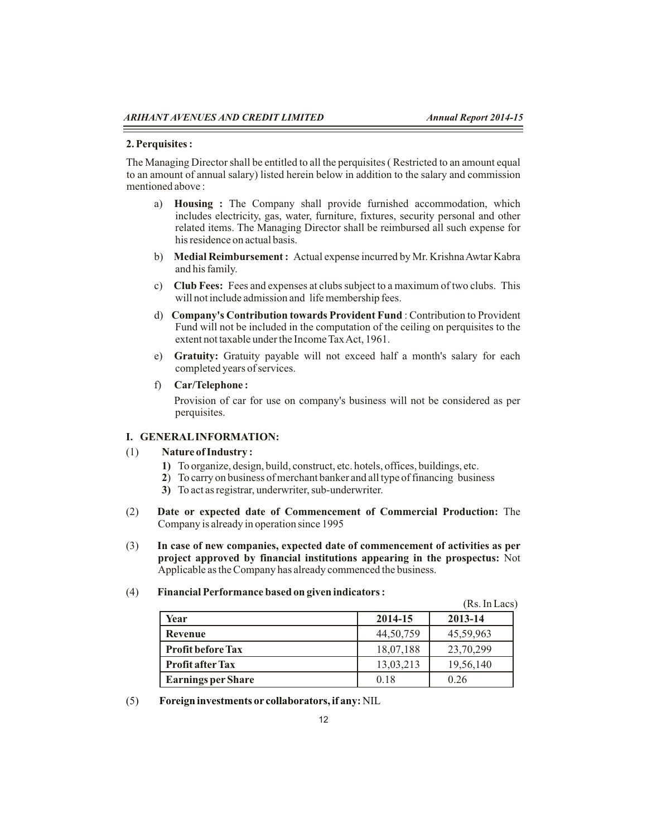#### **2. Perquisites :**

The Managing Director shall be entitled to all the perquisites ( Restricted to an amount equal to an amount of annual salary) listed herein below in addition to the salary and commission mentioned above :

- a) **Housing :** The Company shall provide furnished accommodation, which includes electricity, gas, water, furniture, fixtures, security personal and other related items. The Managing Director shall be reimbursed all such expense for his residence on actual basis.
- b) **Medial Reimbursement :** Actual expense incurred by Mr. Krishna Awtar Kabra and his family.
- c) **Club Fees:** Fees and expenses at clubs subject to a maximum of two clubs. This will not include admission and life membership fees.
- d) **Company's Contribution towards Provident Fund** : Contribution to Provident Fund will not be included in the computation of the ceiling on perquisites to the extent not taxable under the Income Tax Act, 1961.
- e) **Gratuity:** Gratuity payable will not exceed half a month's salary for each completed years of services.
- f) **Car/Telephone :**

Provision of car for use on company's business will not be considered as per perquisites.

## **I. GENERAL INFORMATION:**

# (1) **Nature of Industry :**

- **1)** To organize, design, build, construct, etc. hotels, offices, buildings, etc.
- **2**)To carry on business of merchant banker and all type of financing business
- **3)** To act as registrar, underwriter, sub-underwriter.
- (2) **Date or expected date of Commencement of Commercial Production:** The Company is already in operation since 1995
- (3) **In case of new companies, expected date of commencement of activities as per project approved by financial institutions appearing in the prospectus:** Not Applicable as the Company has already commenced the business.

|                           |           | (Rs. In Lacs) |
|---------------------------|-----------|---------------|
| Year                      | 2014-15   | 2013-14       |
| Revenue                   | 44,50,759 | 45,59,963     |
| <b>Profit before Tax</b>  | 18,07,188 | 23,70,299     |
| <b>Profit after Tax</b>   | 13,03,213 | 19,56,140     |
| <b>Earnings per Share</b> | 0.18      | 0.26          |

# (4) **Financial Performance based on given indicators :**

(5) **Foreign investments or collaborators, if any:** NIL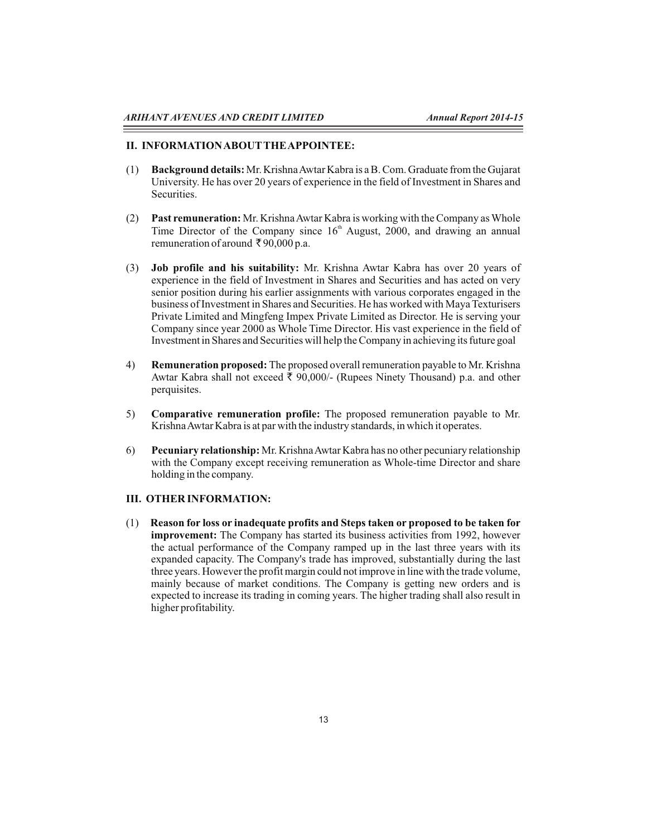### **II. INFORMATION ABOUT THE APPOINTEE:**

- (1) **Background details:** Mr. Krishna Awtar Kabra is a B. Com. Graduate from the Gujarat University. He has over 20 years of experience in the field of Investment in Shares and Securities.
- (2) **Past remuneration:** Mr. Krishna Awtar Kabra is working with the Company as Whole Time Director of the Company since  $16<sup>th</sup>$  August, 2000, and drawing an annual remuneration of around  $\bar{\xi}$  90,000 p.a.
- (3) **Job profile and his suitability:** Mr. Krishna Awtar Kabra has over 20 years of experience in the field of Investment in Shares and Securities and has acted on very senior position during his earlier assignments with various corporates engaged in the business of Investment in Shares and Securities. He has worked with Maya Texturisers Private Limited and Mingfeng Impex Private Limited as Director. He is serving your Company since year 2000 as Whole Time Director. His vast experience in the field of Investment in Shares and Securities will help the Company in achieving its future goal
- 4) **Remuneration proposed:** The proposed overall remuneration payable to Mr. Krishna Awtar Kabra shall not exceed  $\bar{\tau}$  90,000/- (Rupees Ninety Thousand) p.a. and other perquisites.
- 5) **Comparative remuneration profile:** The proposed remuneration payable to Mr. Krishna Awtar Kabra is at par with the industry standards, in which it operates.
- 6) **Pecuniary relationship:** Mr. Krishna Awtar Kabra has no other pecuniary relationship with the Company except receiving remuneration as Whole-time Director and share holding in the company.

## **III. OTHER INFORMATION:**

(1) **Reason for loss or inadequate profits and Steps taken or proposed to be taken for improvement:** The Company has started its business activities from 1992, however the actual performance of the Company ramped up in the last three years with its expanded capacity. The Company's trade has improved, substantially during the last three years. However the profit margin could not improve in line with the trade volume, mainly because of market conditions. The Company is getting new orders and is expected to increase its trading in coming years. The higher trading shall also result in higher profitability.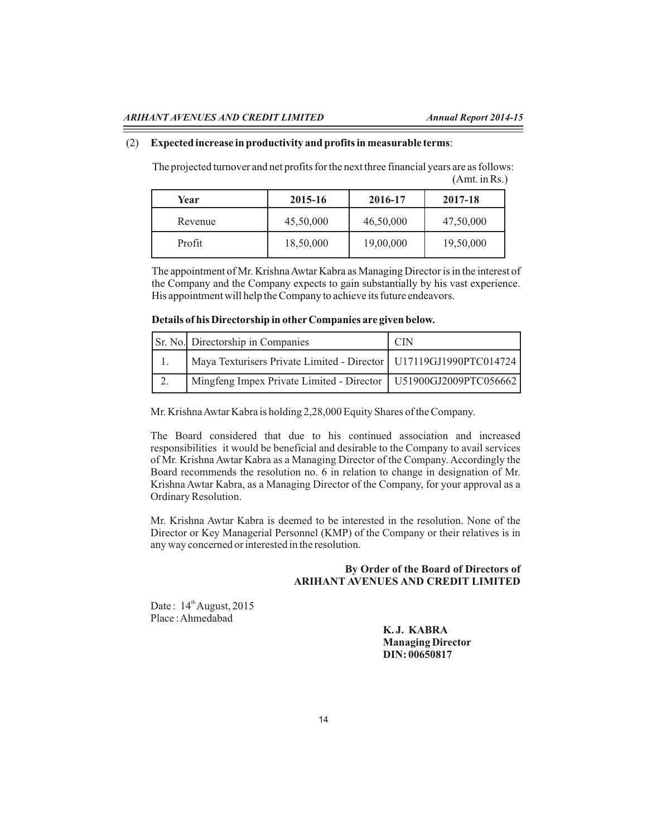# (2) **Expected increase in productivity and profits in measurable terms**:

The projected turnover and net profits for the next three financial years are as follows: (Amt. in Rs.)

| Year    | 2015-16   | 2016-17   | 2017-18   |
|---------|-----------|-----------|-----------|
| Revenue | 45,50,000 | 46,50,000 | 47,50,000 |
| Profit  | 18,50,000 | 19,00,000 | 19,50,000 |

The appointment of Mr. Krishna Awtar Kabra as Managing Director is in the interest of the Company and the Company expects to gain substantially by his vast experience. His appointment will help the Company to achieve its future endeavors.

### **Details of his Directorship in other Companies are given below.**

| Sr. No. Directorship in Companies                                   | $\mathcal{C}$ IN |
|---------------------------------------------------------------------|------------------|
| Maya Texturisers Private Limited - Director   U17119GJ1990PTC014724 |                  |
| Mingfeng Impex Private Limited - Director   U51900GJ2009PTC056662   |                  |

Mr. Krishna Awtar Kabra is holding 2,28,000 Equity Shares of the Company.

The Board considered that due to his continued association and increased responsibilities it would be beneficial and desirable to the Company to avail services of Mr. Krishna Awtar Kabra as a Managing Director of the Company. Accordingly the Board recommends the resolution no. 6 in relation to change in designation of Mr. Krishna Awtar Kabra, as a Managing Director of the Company, for your approval as a Ordinary Resolution.

Mr. Krishna Awtar Kabra is deemed to be interested in the resolution. None of the Director or Key Managerial Personnel (KMP) of the Company or their relatives is in any way concerned or interested in the resolution.

# **By Order of the Board of Directors of ARIHANT AVENUES AND CREDIT LIMITED**

Date:  $14^{\text{th}}$ August, 2015 Place : Ahmedabad

> **K. J. KABRA Managing Director DIN: 00650817**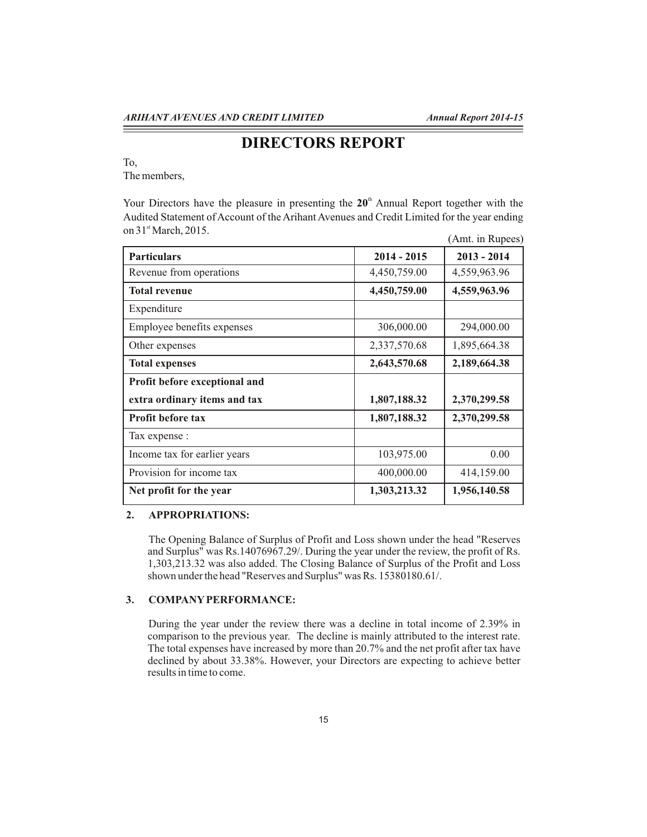# **DIRECTORS REPORT**

To,

The members,

Your Directors have the pleasure in presenting the 20<sup>th</sup> Annual Report together with the Audited Statement of Account of the Arihant Avenues and Credit Limited for the year ending on  $31<sup>st</sup> March, 2015$ . (Amt. in Rupees)

| <b>Particulars</b>            | $2014 - 2015$ | $2013 - 2014$ |
|-------------------------------|---------------|---------------|
| Revenue from operations       | 4,450,759.00  | 4,559,963.96  |
| <b>Total revenue</b>          | 4,450,759.00  | 4,559,963.96  |
| Expenditure                   |               |               |
| Employee benefits expenses    | 306,000.00    | 294,000.00    |
| Other expenses                | 2,337,570.68  | 1,895,664.38  |
| <b>Total expenses</b>         | 2,643,570.68  | 2,189,664.38  |
| Profit before exceptional and |               |               |
| extra ordinary items and tax  | 1,807,188.32  | 2,370,299.58  |
| Profit before tax             | 1,807,188.32  | 2,370,299.58  |
| Tax expense :                 |               |               |
| Income tax for earlier years  | 103,975.00    | 0.00          |
| Provision for income tax      | 400,000.00    | 414,159.00    |
| Net profit for the year       | 1,303,213.32  | 1,956,140.58  |

# **2. APPROPRIATIONS:**

The Opening Balance of Surplus of Profit and Loss shown under the head "Reserves and Surplus" was Rs.14076967.29/. During the year under the review, the profit of Rs. 1,303,213.32 was also added. The Closing Balance of Surplus of the Profit and Loss shown under the head "Reserves and Surplus" was Rs. 15380180.61/.

# **3. COMPANY PERFORMANCE:**

During the year under the review there was a decline in total income of 2.39% in comparison to the previous year. The decline is mainly attributed to the interest rate. The total expenses have increased by more than 20.7% and the net profit after tax have declined by about 33.38%. However, your Directors are expecting to achieve better results in time to come.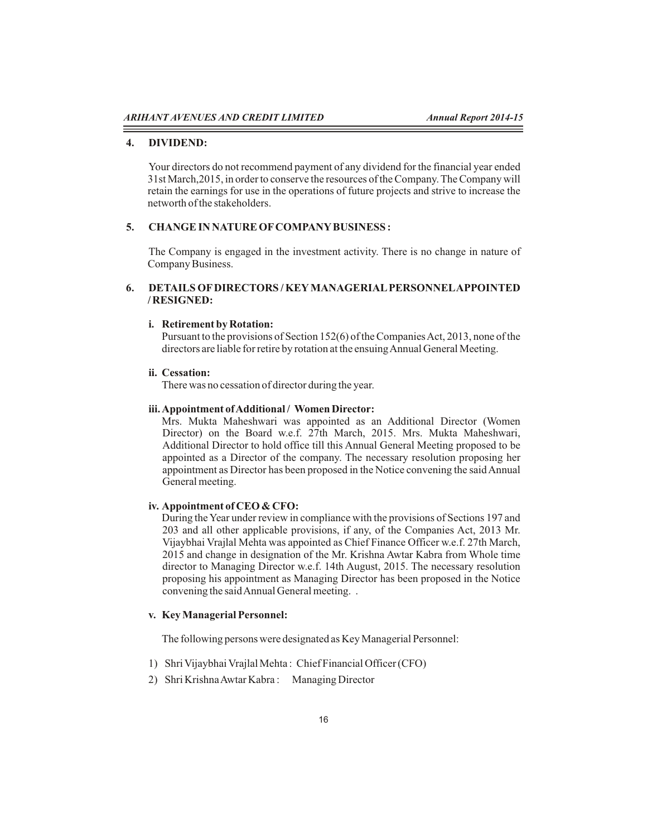#### **4. DIVIDEND:**

Your directors do not recommend payment of any dividend for the financial year ended 31st March,2015, in order to conserve the resources of the Company. The Company will retain the earnings for use in the operations of future projects and strive to increase the networth of the stakeholders.

# **5. CHANGE IN NATURE OF COMPANY BUSINESS :**

The Company is engaged in the investment activity. There is no change in nature of Company Business.

# **6. DETAILS OF DIRECTORS / KEY MANAGERIAL PERSONNEL APPOINTED / RESIGNED:**

## **i. Retirement by Rotation:**

Pursuant to the provisions of Section 152(6) of the Companies Act, 2013, none of the directors are liable for retire by rotation at the ensuing Annual General Meeting.

### **ii. Cessation:**

There was no cessation of director during the year.

#### **iii. Appointment of Additional / Women Director:**

Mrs. Mukta Maheshwari was appointed as an Additional Director (Women Director) on the Board w.e.f. 27th March, 2015. Mrs. Mukta Maheshwari, Additional Director to hold office till this Annual General Meeting proposed to be appointed as a Director of the company. The necessary resolution proposing her appointment as Director has been proposed in the Notice convening the said Annual General meeting.

# **iv. Appointment of CEO & CFO:**

During the Year under review in compliance with the provisions of Sections 197 and 203 and all other applicable provisions, if any, of the Companies Act, 2013 Mr. Vijaybhai Vrajlal Mehta was appointed as Chief Finance Officer w.e.f. 27th March, 2015 and change in designation of the Mr. Krishna Awtar Kabra from Whole time director to Managing Director w.e.f. 14th August, 2015. The necessary resolution proposing his appointment as Managing Director has been proposed in the Notice convening the said Annual General meeting. .

### **v. Key Managerial Personnel:**

The following persons were designated as Key Managerial Personnel:

- 1) Shri Vijaybhai Vrajlal Mehta : Chief Financial Officer (CFO)
- 2) Shri Krishna Awtar Kabra : Managing Director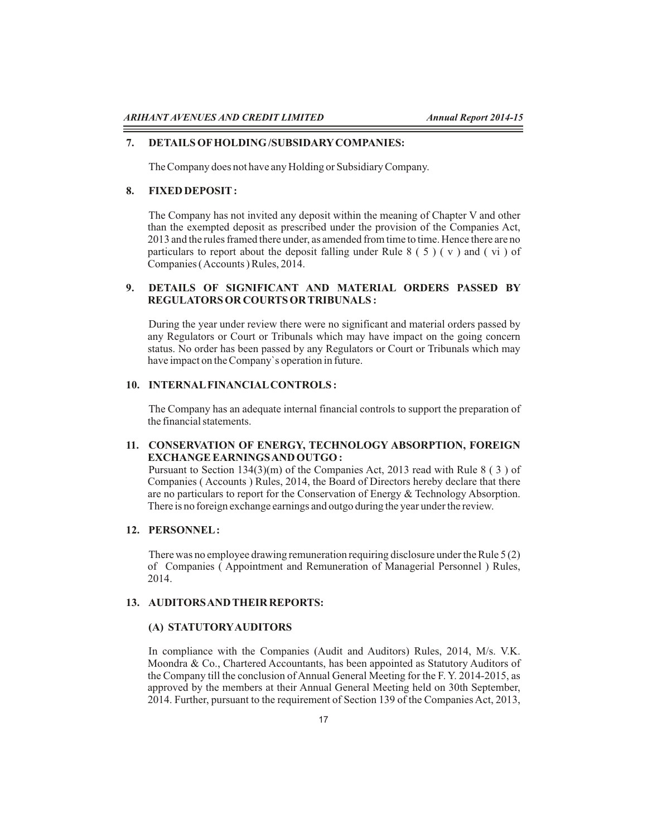#### **7. DETAILS OF HOLDING /SUBSIDARY COMPANIES:**

The Company does not have any Holding or Subsidiary Company.

# **8. FIXED DEPOSIT :**

The Company has not invited any deposit within the meaning of Chapter V and other than the exempted deposit as prescribed under the provision of the Companies Act, 2013 and the rules framed there under, as amended from time to time. Hence there are no particulars to report about the deposit falling under Rule  $8(5)(v)$  and  $(vi)$  of Companies ( Accounts ) Rules, 2014.

# **9. DETAILS OF SIGNIFICANT AND MATERIAL ORDERS PASSED BY REGULATORS OR COURTS OR TRIBUNALS :**

During the year under review there were no significant and material orders passed by any Regulators or Court or Tribunals which may have impact on the going concern status. No order has been passed by any Regulators or Court or Tribunals which may have impact on the Company`s operation in future.

# **10. INTERNAL FINANCIAL CONTROLS :**

The Company has an adequate internal financial controls to support the preparation of the financial statements.

# **11. CONSERVATION OF ENERGY, TECHNOLOGY ABSORPTION, FOREIGN EXCHANGE EARNINGS AND OUTGO :**

Pursuant to Section 134(3)(m) of the Companies Act, 2013 read with Rule 8 ( 3 ) of Companies ( Accounts ) Rules, 2014, the Board of Directors hereby declare that there are no particulars to report for the Conservation of Energy & Technology Absorption. There is no foreign exchange earnings and outgo during the year under the review.

# **12. PERSONNEL :**

There was no employee drawing remuneration requiring disclosure under the Rule 5 (2) of Companies ( Appointment and Remuneration of Managerial Personnel ) Rules, 2014.

#### **13. AUDITORS AND THEIR REPORTS:**

# **(A) STATUTORY AUDITORS**

In compliance with the Companies (Audit and Auditors) Rules, 2014, M/s. V.K. Moondra & Co., Chartered Accountants, has been appointed as Statutory Auditors of the Company till the conclusion of Annual General Meeting for the F. Y. 2014-2015, as approved by the members at their Annual General Meeting held on 30th September, 2014. Further, pursuant to the requirement of Section 139 of the Companies Act, 2013,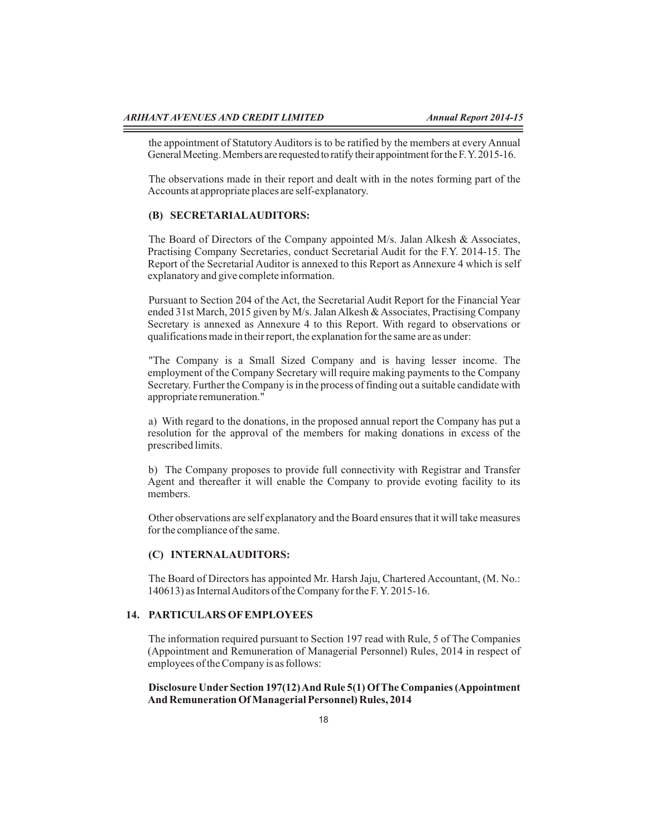the appointment of Statutory Auditors is to be ratified by the members at every Annual General Meeting. Members are requested to ratify their appointment for the F. Y. 2015-16.

The observations made in their report and dealt with in the notes forming part of the Accounts at appropriate places are self-explanatory.

# **(B) SECRETARIAL AUDITORS:**

The Board of Directors of the Company appointed M/s. Jalan Alkesh & Associates, Practising Company Secretaries, conduct Secretarial Audit for the F.Y. 2014-15. The Report of the Secretarial Auditor is annexed to this Report as Annexure 4 which is self explanatory and give complete information.

Pursuant to Section 204 of the Act, the Secretarial Audit Report for the Financial Year ended 31st March, 2015 given by M/s. Jalan Alkesh & Associates, Practising Company Secretary is annexed as Annexure 4 to this Report. With regard to observations or qualifications made in their report, the explanation for the same are as under:

"The Company is a Small Sized Company and is having lesser income. The employment of the Company Secretary will require making payments to the Company Secretary. Further the Company is in the process of finding out a suitable candidate with appropriate remuneration."

a) With regard to the donations, in the proposed annual report the Company has put a resolution for the approval of the members for making donations in excess of the prescribed limits.

b) The Company proposes to provide full connectivity with Registrar and Transfer Agent and thereafter it will enable the Company to provide evoting facility to its members.

Other observations are self explanatory and the Board ensures that it will take measures for the compliance of the same.

# **(C) INTERNAL AUDITORS:**

The Board of Directors has appointed Mr. Harsh Jaju, Chartered Accountant, (M. No.: 140613) as Internal Auditors of the Company for the F. Y. 2015-16.

### **14. PARTICULARS OF EMPLOYEES**

The information required pursuant to Section 197 read with Rule, 5 of The Companies (Appointment and Remuneration of Managerial Personnel) Rules, 2014 in respect of employees of the Company is as follows:

**Disclosure Under Section 197(12) And Rule 5(1) Of The Companies (Appointment And Remuneration Of Managerial Personnel) Rules, 2014**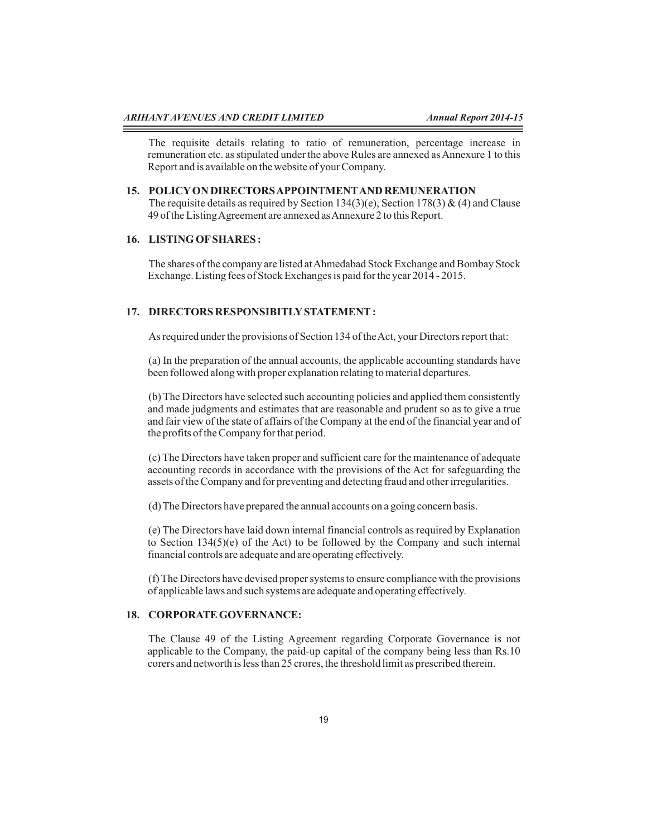The requisite details relating to ratio of remuneration, percentage increase in remuneration etc. as stipulated under the above Rules are annexed as Annexure 1 to this Report and is available on the website of your Company.

# **15. POLICY ON DIRECTORS APPOINTMENT AND REMUNERATION**

The requisite details as required by Section 134(3)(e), Section 178(3)  $\&$  (4) and Clause 49 of the Listing Agreement are annexed as Annexure 2 to this Report.

# **16. LISTING OF SHARES :**

The shares of the company are listed at Ahmedabad Stock Exchange and Bombay Stock Exchange. Listing fees of Stock Exchanges is paid for the year 2014 - 2015.

# **17. DIRECTORS RESPONSIBITLY STATEMENT :**

As required under the provisions of Section 134 of the Act, your Directors report that:

(a) In the preparation of the annual accounts, the applicable accounting standards have been followed along with proper explanation relating to material departures.

(b) The Directors have selected such accounting policies and applied them consistently and made judgments and estimates that are reasonable and prudent so as to give a true and fair view of the state of affairs of the Company at the end of the financial year and of the profits of the Company for that period.

(c) The Directors have taken proper and sufficient care for the maintenance of adequate accounting records in accordance with the provisions of the Act for safeguarding the assets of the Company and for preventing and detecting fraud and other irregularities.

(d) The Directors have prepared the annual accounts on a going concern basis.

(e) The Directors have laid down internal financial controls as required by Explanation to Section 134(5)(e) of the Act) to be followed by the Company and such internal financial controls are adequate and are operating effectively.

(f) The Directors have devised proper systems to ensure compliance with the provisions of applicable laws and such systems are adequate and operating effectively.

# **18. CORPORATE GOVERNANCE:**

The Clause 49 of the Listing Agreement regarding Corporate Governance is not applicable to the Company, the paid-up capital of the company being less than Rs.10 corers and networth is less than 25 crores, the threshold limit as prescribed therein.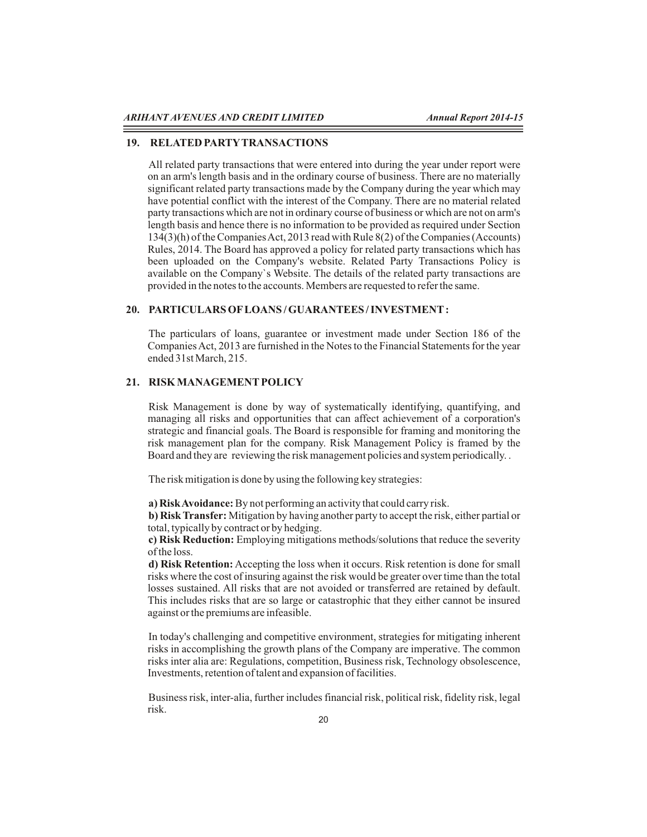## **19. RELATED PARTY TRANSACTIONS**

All related party transactions that were entered into during the year under report were on an arm's length basis and in the ordinary course of business. There are no materially significant related party transactions made by the Company during the year which may have potential conflict with the interest of the Company. There are no material related party transactions which are not in ordinary course of business or which are not on arm's length basis and hence there is no information to be provided as required under Section 134(3)(h) of the Companies Act, 2013 read with Rule 8(2) of the Companies (Accounts) Rules, 2014. The Board has approved a policy for related party transactions which has been uploaded on the Company's website. Related Party Transactions Policy is available on the Company`s Website. The details of the related party transactions are provided in the notes to the accounts. Members are requested to refer the same.

# **20. PARTICULARS OF LOANS / GUARANTEES / INVESTMENT :**

The particulars of loans, guarantee or investment made under Section 186 of the Companies Act, 2013 are furnished in the Notes to the Financial Statements for the year ended 31st March, 215.

# **21. RISK MANAGEMENT POLICY**

Risk Management is done by way of systematically identifying, quantifying, and managing all risks and opportunities that can affect achievement of a corporation's strategic and financial goals. The Board is responsible for framing and monitoring the risk management plan for the company. Risk Management Policy is framed by the Board and they are reviewing the risk management policies and system periodically. .

The risk mitigation is done by using the following key strategies:

**a) Risk Avoidance:** By not performing an activity that could carry risk.

**b) Risk Transfer:** Mitigation by having another party to accept the risk, either partial or total, typically by contract or by hedging.

**c) Risk Reduction:** Employing mitigations methods/solutions that reduce the severity of the loss.

**d) Risk Retention:** Accepting the loss when it occurs. Risk retention is done for small risks where the cost of insuring against the risk would be greater over time than the total losses sustained. All risks that are not avoided or transferred are retained by default. This includes risks that are so large or catastrophic that they either cannot be insured against or the premiums are infeasible.

In today's challenging and competitive environment, strategies for mitigating inherent risks in accomplishing the growth plans of the Company are imperative. The common risks inter alia are: Regulations, competition, Business risk, Technology obsolescence, Investments, retention of talent and expansion of facilities.

Business risk, inter-alia, further includes financial risk, political risk, fidelity risk, legal risk.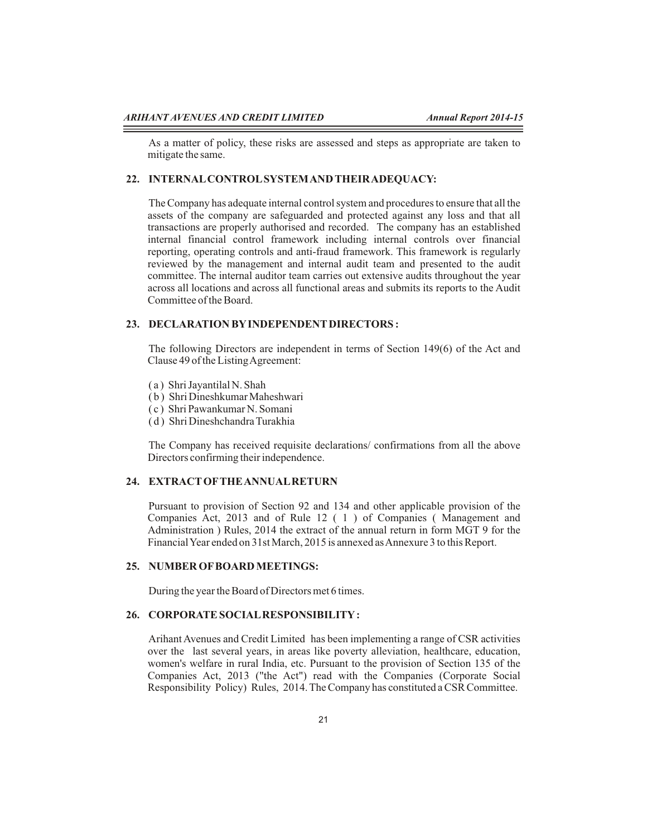As a matter of policy, these risks are assessed and steps as appropriate are taken to mitigate the same.

## **22. INTERNAL CONTROL SYSTEM AND THEIR ADEQUACY:**

The Company has adequate internal control system and procedures to ensure that all the assets of the company are safeguarded and protected against any loss and that all transactions are properly authorised and recorded. The company has an established internal financial control framework including internal controls over financial reporting, operating controls and anti-fraud framework. This framework is regularly reviewed by the management and internal audit team and presented to the audit committee. The internal auditor team carries out extensive audits throughout the year across all locations and across all functional areas and submits its reports to the Audit Committee of the Board.

## **23. DECLARATION BY INDEPENDENT DIRECTORS :**

The following Directors are independent in terms of Section 149(6) of the Act and Clause 49 of the Listing Agreement:

- ( a ) Shri Jayantilal N. Shah
- ( b ) Shri Dineshkumar Maheshwari
- ( c ) Shri Pawankumar N. Somani
- ( d ) Shri Dineshchandra Turakhia

The Company has received requisite declarations/ confirmations from all the above Directors confirming their independence.

# **24. EXTRACT OF THE ANNUAL RETURN**

Pursuant to provision of Section 92 and 134 and other applicable provision of the Companies Act, 2013 and of Rule 12 ( 1 ) of Companies ( Management and Administration ) Rules, 2014 the extract of the annual return in form MGT 9 for the Financial Year ended on 31st March, 2015 is annexed as Annexure 3 to this Report.

### **25. NUMBER OF BOARD MEETINGS:**

During the year the Board of Directors met 6 times.

# **26. CORPORATE SOCIAL RESPONSIBILITY :**

Arihant Avenues and Credit Limited has been implementing a range of CSR activities over the last several years, in areas like poverty alleviation, healthcare, education, women's welfare in rural India, etc. Pursuant to the provision of Section 135 of the Companies Act, 2013 ("the Act") read with the Companies (Corporate Social Responsibility Policy) Rules, 2014. The Company has constituted a CSR Committee.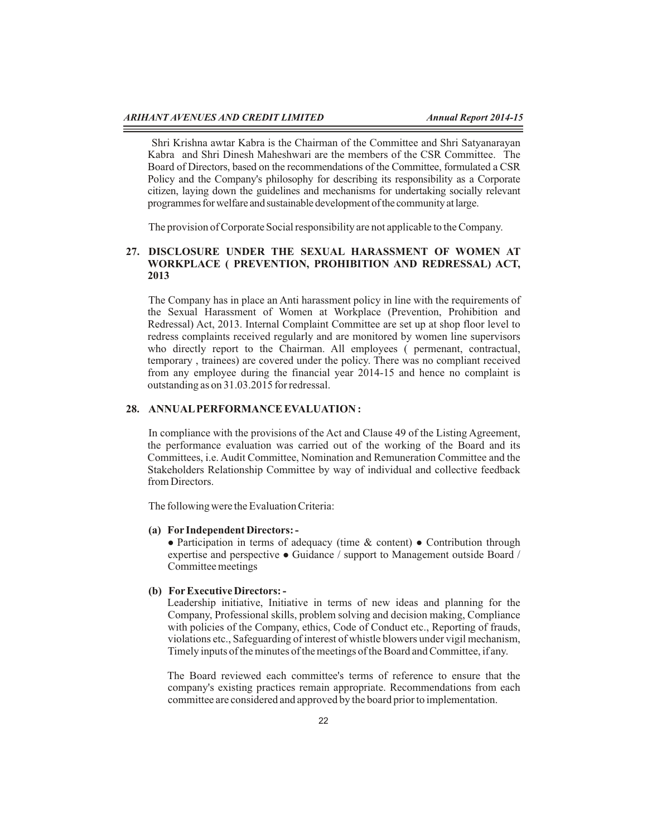Shri Krishna awtar Kabra is the Chairman of the Committee and Shri Satyanarayan Kabra and Shri Dinesh Maheshwari are the members of the CSR Committee. The Board of Directors, based on the recommendations of the Committee, formulated a CSR Policy and the Company's philosophy for describing its responsibility as a Corporate citizen, laying down the guidelines and mechanisms for undertaking socially relevant programmes for welfare and sustainable development of the community at large.

The provision of Corporate Social responsibility are not applicable to the Company.

# **27. DISCLOSURE UNDER THE SEXUAL HARASSMENT OF WOMEN AT WORKPLACE ( PREVENTION, PROHIBITION AND REDRESSAL) ACT, 2013**

The Company has in place an Anti harassment policy in line with the requirements of the Sexual Harassment of Women at Workplace (Prevention, Prohibition and Redressal) Act, 2013. Internal Complaint Committee are set up at shop floor level to redress complaints received regularly and are monitored by women line supervisors who directly report to the Chairman. All employees ( permenant, contractual, temporary , trainees) are covered under the policy. There was no compliant received from any employee during the financial year 2014-15 and hence no complaint is outstanding as on 31.03.2015 for redressal.

# **28. ANNUAL PERFORMANCE EVALUATION :**

In compliance with the provisions of the Act and Clause 49 of the Listing Agreement, the performance evaluation was carried out of the working of the Board and its Committees, i.e. Audit Committee, Nomination and Remuneration Committee and the Stakeholders Relationship Committee by way of individual and collective feedback from Directors.

The following were the Evaluation Criteria:

#### **(a) For Independent Directors: -**

• Participation in terms of adequacy (time  $\&$  content) • Contribution through expertise and perspective • Guidance / support to Management outside Board / Committee meetings

### **(b) For Executive Directors: -**

Leadership initiative, Initiative in terms of new ideas and planning for the Company, Professional skills, problem solving and decision making, Compliance with policies of the Company, ethics, Code of Conduct etc., Reporting of frauds, violations etc., Safeguarding of interest of whistle blowers under vigil mechanism, Timely inputs of the minutes of the meetings of the Board and Committee, if any.

The Board reviewed each committee's terms of reference to ensure that the company's existing practices remain appropriate. Recommendations from each committee are considered and approved by the board prior to implementation.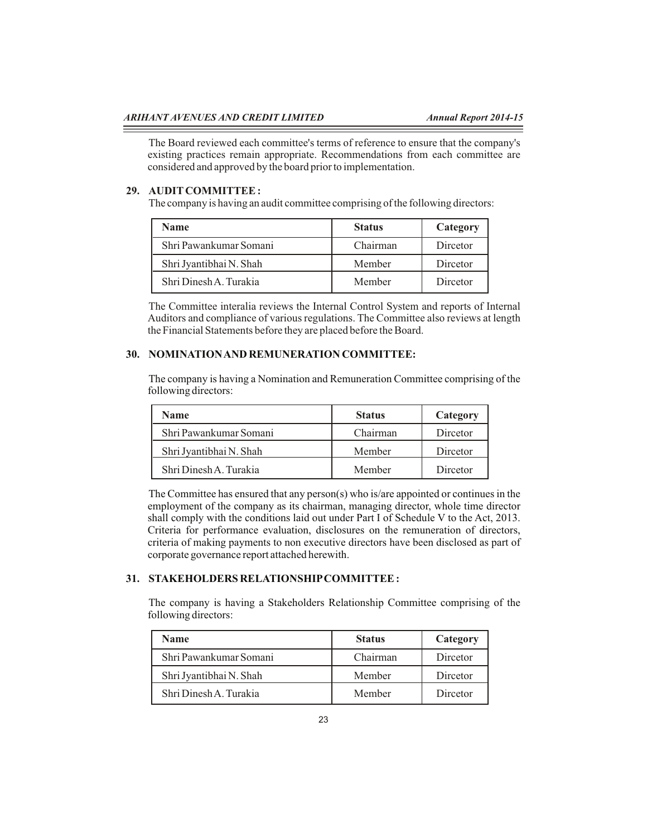The Board reviewed each committee's terms of reference to ensure that the company's existing practices remain appropriate. Recommendations from each committee are considered and approved by the board prior to implementation.

# **29. AUDIT COMMITTEE :**

The company is having an audit committee comprising of the following directors:

| <b>Name</b>             | <b>Status</b> | Category |
|-------------------------|---------------|----------|
| Shri Pawankumar Somani  | Chairman      | Director |
| Shri Jyantibhai N. Shah | Member        | Director |
| Shri Dinesh A. Turakia  | Member        | Director |

The Committee interalia reviews the Internal Control System and reports of Internal Auditors and compliance of various regulations. The Committee also reviews at length the Financial Statements before they are placed before the Board.

# **30. NOMINATION AND REMUNERATION COMMITTEE:**

The company is having a Nomination and Remuneration Committee comprising of the following directors:

| <b>Name</b>             | <b>Status</b> | Category |
|-------------------------|---------------|----------|
| Shri Pawankumar Somani  | Chairman      | Director |
| Shri Jyantibhai N. Shah | Member        | Director |
| Shri Dinesh A. Turakia  | Member        | Director |

The Committee has ensured that any person(s) who is/are appointed or continues in the employment of the company as its chairman, managing director, whole time director shall comply with the conditions laid out under Part I of Schedule V to the Act, 2013. Criteria for performance evaluation, disclosures on the remuneration of directors, criteria of making payments to non executive directors have been disclosed as part of corporate governance report attached herewith.

# **31. STAKEHOLDERS RELATIONSHIP COMMITTEE :**

The company is having a Stakeholders Relationship Committee comprising of the following directors:

| <b>Name</b>             | <b>Status</b> | Category |
|-------------------------|---------------|----------|
| Shri Pawankumar Somani  | Chairman      | Director |
| Shri Jyantibhai N. Shah | Member        | Director |
| Shri Dinesh A. Turakia  | Member        | Dircetor |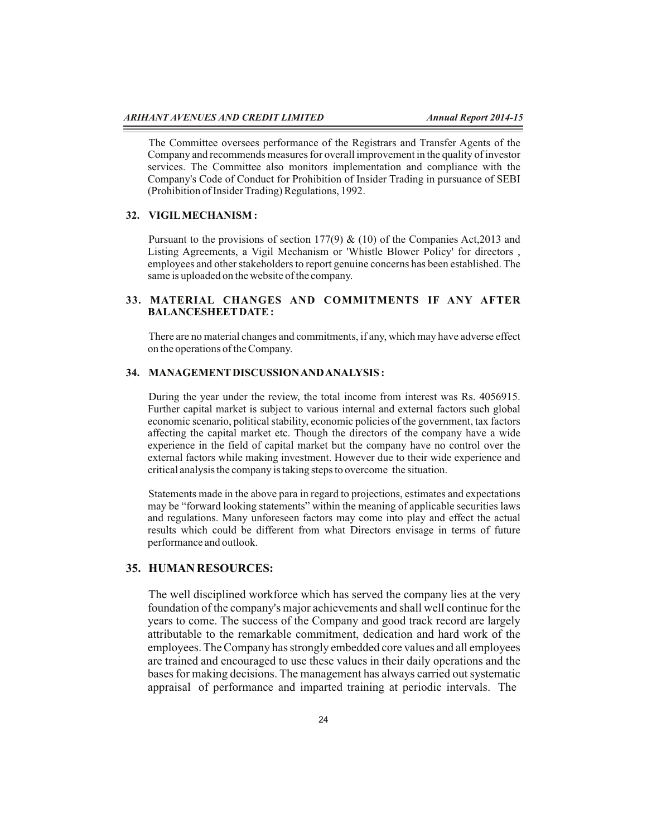The Committee oversees performance of the Registrars and Transfer Agents of the Company and recommends measures for overall improvement in the quality of investor services. The Committee also monitors implementation and compliance with the Company's Code of Conduct for Prohibition of Insider Trading in pursuance of SEBI (Prohibition of Insider Trading) Regulations, 1992.

## **32. VIGIL MECHANISM :**

Pursuant to the provisions of section 177(9)  $\&$  (10) of the Companies Act, 2013 and Listing Agreements, a Vigil Mechanism or 'Whistle Blower Policy' for directors , employees and other stakeholders to report genuine concerns has been established. The same is uploaded on the website of the company.

# **33. MATERIAL CHANGES AND COMMITMENTS IF ANY AFTER BALANCESHEET DATE :**

There are no material changes and commitments, if any, which may have adverse effect on the operations of the Company.

# **34. MANAGEMENT DISCUSSION AND ANALYSIS :**

During the year under the review, the total income from interest was Rs. 4056915. Further capital market is subject to various internal and external factors such global economic scenario, political stability, economic policies of the government, tax factors affecting the capital market etc. Though the directors of the company have a wide experience in the field of capital market but the company have no control over the external factors while making investment. However due to their wide experience and critical analysis the company is taking steps to overcome the situation.

Statements made in the above para in regard to projections, estimates and expectations may be "forward looking statements" within the meaning of applicable securities laws and regulations. Many unforeseen factors may come into play and effect the actual results which could be different from what Directors envisage in terms of future performance and outlook.

## **35. HUMAN RESOURCES:**

The well disciplined workforce which has served the company lies at the very foundation of the company's major achievements and shall well continue for the years to come. The success of the Company and good track record are largely attributable to the remarkable commitment, dedication and hard work of the employees. The Company has strongly embedded core values and all employees are trained and encouraged to use these values in their daily operations and the bases for making decisions. The management has always carried out systematic appraisal of performance and imparted training at periodic intervals. The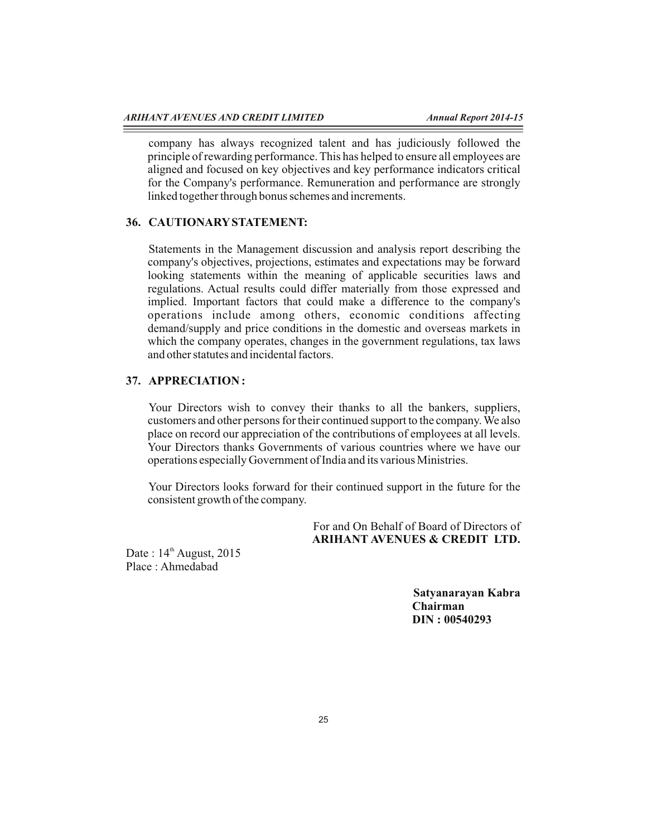company has always recognized talent and has judiciously followed the principle of rewarding performance. This has helped to ensure all employees are aligned and focused on key objectives and key performance indicators critical for the Company's performance. Remuneration and performance are strongly linked together through bonus schemes and increments.

# **36. CAUTIONARY STATEMENT:**

Statements in the Management discussion and analysis report describing the company's objectives, projections, estimates and expectations may be forward looking statements within the meaning of applicable securities laws and regulations. Actual results could differ materially from those expressed and implied. Important factors that could make a difference to the company's operations include among others, economic conditions affecting demand/supply and price conditions in the domestic and overseas markets in which the company operates, changes in the government regulations, tax laws and other statutes and incidental factors.

# **37. APPRECIATION :**

Your Directors wish to convey their thanks to all the bankers, suppliers, customers and other persons for their continued support to the company. We also place on record our appreciation of the contributions of employees at all levels. Your Directors thanks Governments of various countries where we have our operations especially Government of India and its various Ministries.

Your Directors looks forward for their continued support in the future for the consistent growth of the company.

> For and On Behalf of Board of Directors of **ARIHANT AVENUES & CREDIT LTD.**

Date :  $14<sup>th</sup>$  August, 2015 Place : Ahmedabad

> **Satyanarayan Kabra Chairman DIN : 00540293**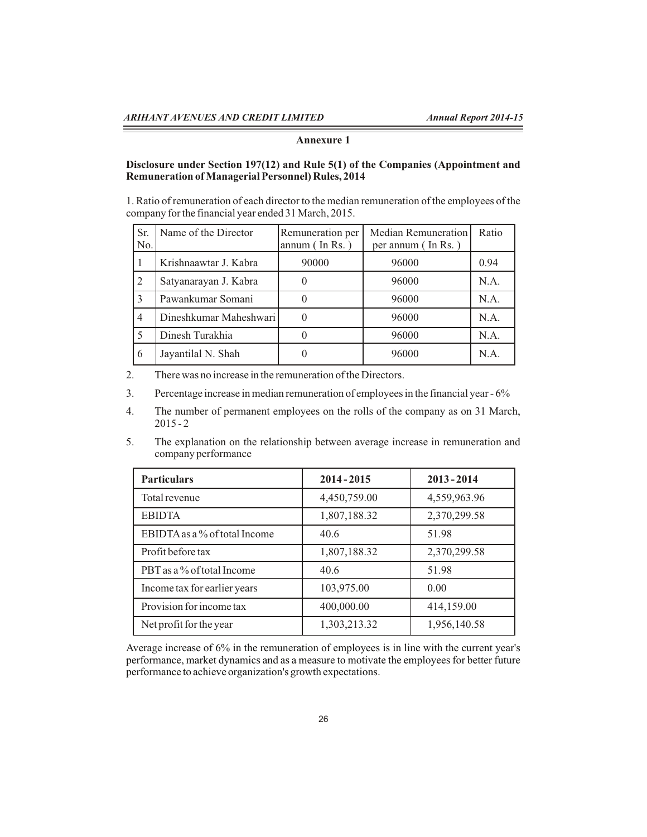# **Annexure 1**

## **Disclosure under Section 197(12) and Rule 5(1) of the Companies (Appointment and Remuneration of Managerial Personnel) Rules, 2014**

1. Ratio of remuneration of each director to the median remuneration of the employees of the company for the financial year ended 31 March, 2015.

| Sr.<br>No.               | Name of the Director   | Remuneration per<br>annum (In Rs.) | <b>Median Remuneration</b><br>per annum (In Rs.) | Ratio |
|--------------------------|------------------------|------------------------------------|--------------------------------------------------|-------|
|                          | Krishnaawtar J. Kabra  | 90000                              | 96000                                            | 0.94  |
| 2                        | Satyanarayan J. Kabra  |                                    | 96000                                            | N.A.  |
| 3                        | Pawankumar Somani      |                                    | 96000                                            | N.A.  |
| $\overline{4}$           | Dineshkumar Maheshwari |                                    | 96000                                            | N.A.  |
| $\overline{\phantom{0}}$ | Dinesh Turakhia        |                                    | 96000                                            | N.A.  |
| 6                        | Jayantilal N. Shah     |                                    | 96000                                            | N.A.  |

2. There was no increase in the remuneration of the Directors.

- 3. Percentage increase in median remuneration of employees in the financial year 6%
- 4. The number of permanent employees on the rolls of the company as on 31 March,  $2015 - 2$
- 5. The explanation on the relationship between average increase in remuneration and company performance

| <b>Particulars</b>            | $2014 - 2015$ | $2013 - 2014$ |
|-------------------------------|---------------|---------------|
| Total revenue                 | 4,450,759.00  | 4,559,963.96  |
| <b>EBIDTA</b>                 | 1,807,188.32  | 2,370,299.58  |
| EBIDTA as a % of total Income | 40.6          | 51.98         |
| Profit before tax             | 1,807,188.32  | 2,370,299.58  |
| PBT as a % of total Income    | 40.6          | 51.98         |
| Income tax for earlier years  | 103,975.00    | 0.00          |
| Provision for income tax      | 400,000.00    | 414,159.00    |
| Net profit for the year       | 1,303,213.32  | 1,956,140.58  |

Average increase of 6% in the remuneration of employees is in line with the current year's performance, market dynamics and as a measure to motivate the employees for better future performance to achieve organization's growth expectations.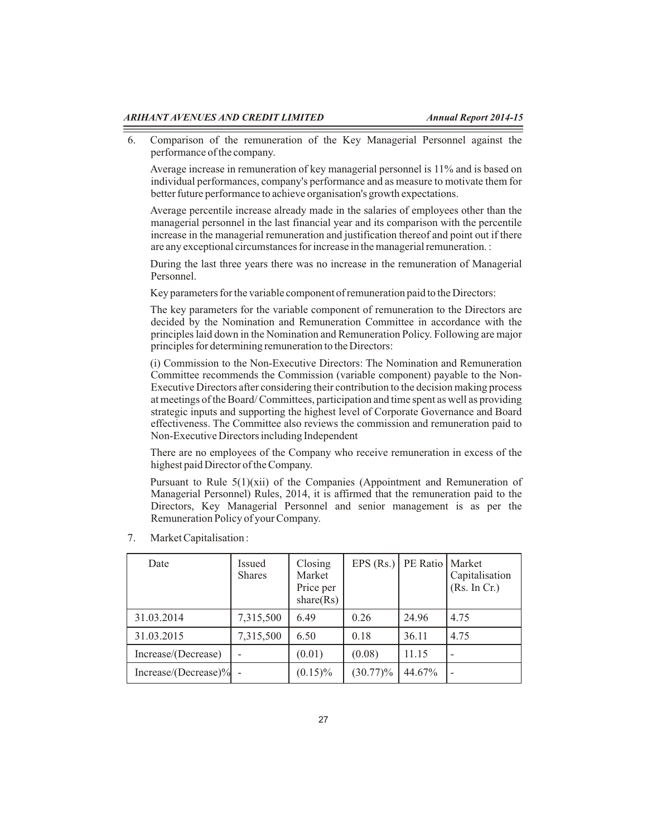6. Comparison of the remuneration of the Key Managerial Personnel against the performance of the company.

Average increase in remuneration of key managerial personnel is 11% and is based on individual performances, company's performance and as measure to motivate them for better future performance to achieve organisation's growth expectations.

Average percentile increase already made in the salaries of employees other than the managerial personnel in the last financial year and its comparison with the percentile increase in the managerial remuneration and justification thereof and point out if there are any exceptional circumstances for increase in the managerial remuneration. :

During the last three years there was no increase in the remuneration of Managerial Personnel.

Key parameters for the variable component of remuneration paid to the Directors:

The key parameters for the variable component of remuneration to the Directors are decided by the Nomination and Remuneration Committee in accordance with the principles laid down in the Nomination and Remuneration Policy. Following are major principles for determining remuneration to the Directors:

(i) Commission to the Non-Executive Directors: The Nomination and Remuneration Committee recommends the Commission (variable component) payable to the Non-Executive Directors after considering their contribution to the decision making process at meetings of the Board/ Committees, participation and time spent as well as providing strategic inputs and supporting the highest level of Corporate Governance and Board effectiveness. The Committee also reviews the commission and remuneration paid to Non-Executive Directors including Independent

There are no employees of the Company who receive remuneration in excess of the highest paid Director of the Company.

Pursuant to Rule  $5(1)(xii)$  of the Companies (Appointment and Remuneration of Managerial Personnel) Rules, 2014, it is affirmed that the remuneration paid to the Directors, Key Managerial Personnel and senior management is as per the Remuneration Policy of your Company.

| Date                      | Issued<br><b>Shares</b> |            | $EPS$ (Rs.)<br>Closing<br>Market<br>Price per<br>share $(Rs)$ |        | PE Ratio   Market<br>Capitalisation<br>(Rs. In Cr.) |
|---------------------------|-------------------------|------------|---------------------------------------------------------------|--------|-----------------------------------------------------|
| 31.03.2014                | 7,315,500               | 6.49       | 0.26                                                          | 24.96  | 4.75                                                |
| 31.03.2015                | 7,315,500               | 6.50       | 0.18                                                          | 36.11  | 4.75                                                |
| Increase/(Decrease)       |                         | (0.01)     | (0.08)                                                        | 11.15  |                                                     |
| $Increase/(Decrease)\%$ - |                         | $(0.15)\%$ | $(30.77)\%$                                                   | 44.67% |                                                     |

7. Market Capitalisation :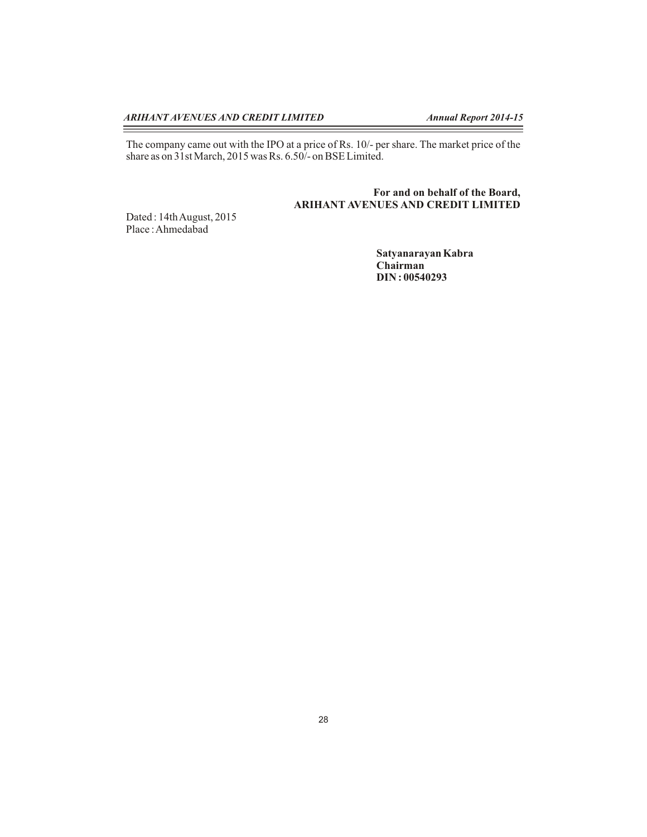Ξ

The company came out with the IPO at a price of Rs. 10/- per share. The market price of the share as on 31st March, 2015 was Rs. 6.50/- on BSE Limited.

# **For and on behalf of the Board, ARIHANT AVENUES AND CREDIT LIMITED**

Dated : 14th August, 2015 Place : Ahmedabad

**Satyanarayan Kabra** *Chairman* **DIN : 00540293**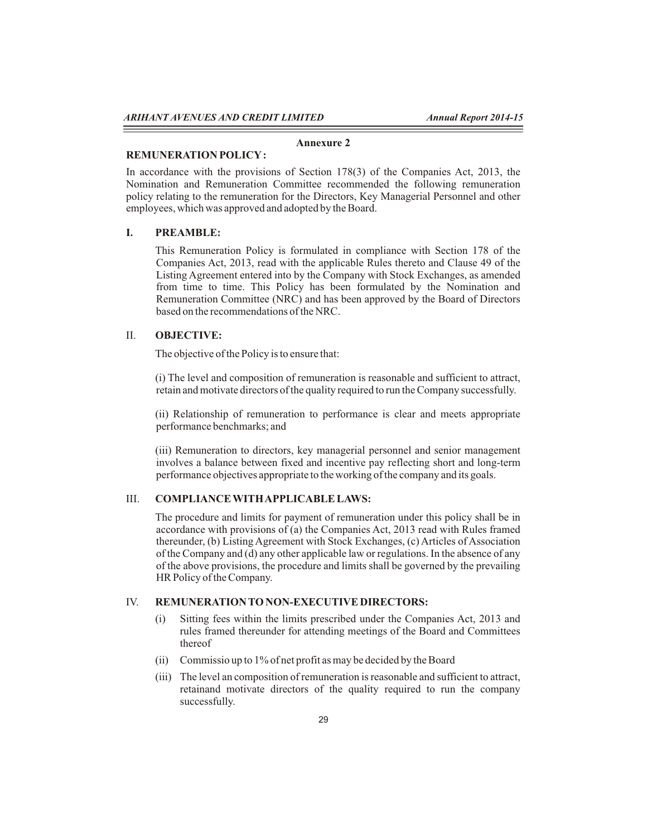### **Annexure 2**

### **REMUNERATION POLICY :**

In accordance with the provisions of Section 178(3) of the Companies Act, 2013, the Nomination and Remuneration Committee recommended the following remuneration policy relating to the remuneration for the Directors, Key Managerial Personnel and other employees, which was approved and adopted by the Board.

# **I. PREAMBLE:**

This Remuneration Policy is formulated in compliance with Section 178 of the Companies Act, 2013, read with the applicable Rules thereto and Clause 49 of the Listing Agreement entered into by the Company with Stock Exchanges, as amended from time to time. This Policy has been formulated by the Nomination and Remuneration Committee (NRC) and has been approved by the Board of Directors based on the recommendations of the NRC.

### II. **OBJECTIVE:**

The objective of the Policy is to ensure that:

(i) The level and composition of remuneration is reasonable and sufficient to attract, retain and motivate directors of the quality required to run the Company successfully.

(ii) Relationship of remuneration to performance is clear and meets appropriate performance benchmarks; and

(iii) Remuneration to directors, key managerial personnel and senior management involves a balance between fixed and incentive pay reflecting short and long-term performance objectives appropriate to the working of the company and its goals.

## III. **COMPLIANCE WITH APPLICABLE LAWS:**

The procedure and limits for payment of remuneration under this policy shall be in accordance with provisions of (a) the Companies Act, 2013 read with Rules framed thereunder, (b) Listing Agreement with Stock Exchanges, (c) Articles of Association of the Company and (d) any other applicable law or regulations. In the absence of any of the above provisions, the procedure and limits shall be governed by the prevailing HR Policy of the Company.

# IV. **REMUNERATION TO NON-EXECUTIVE DIRECTORS:**

- (i) Sitting fees within the limits prescribed under the Companies Act, 2013 and rules framed thereunder for attending meetings of the Board and Committees thereof
- (ii) Commissio up to 1% of net profit as may be decided by the Board
- (iii) The level an composition of remuneration is reasonable and sufficient to attract, retainand motivate directors of the quality required to run the company successfully.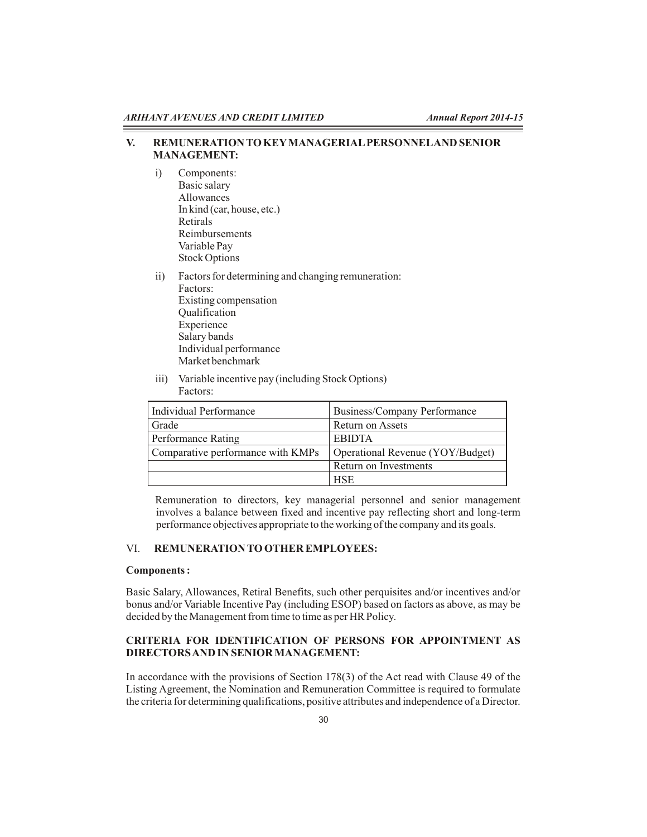# **V. REMUNERATION TO KEY MANAGERIAL PERSONNEL AND SENIOR MANAGEMENT:**

- i) Components: Basic salary Allowances In kind (car, house, etc.) Retirals Reimbursements Variable Pay Stock Options
- ii) Factors for determining and changing remuneration: Factors: Existing compensation Qualification Experience Salary bands Individual performance Market benchmark
- iii) Variable incentive pay (including Stock Options) Factors:

| Individual Performance            | Business/Company Performance     |
|-----------------------------------|----------------------------------|
| Grade                             | Return on Assets                 |
| <b>Performance Rating</b>         | <b>EBIDTA</b>                    |
| Comparative performance with KMPs | Operational Revenue (YOY/Budget) |
|                                   | Return on Investments            |
|                                   | <b>HSE</b>                       |

Remuneration to directors, key managerial personnel and senior management involves a balance between fixed and incentive pay reflecting short and long-term performance objectives appropriate to the working of the company and its goals.

# VI. **REMUNERATION TO OTHER EMPLOYEES:**

### **Components :**

Basic Salary, Allowances, Retiral Benefits, such other perquisites and/or incentives and/or bonus and/or Variable Incentive Pay (including ESOP) based on factors as above, as may be decided by the Management from time to time as per HR Policy.

# **CRITERIA FOR IDENTIFICATION OF PERSONS FOR APPOINTMENT AS DIRECTORS AND IN SENIOR MANAGEMENT:**

In accordance with the provisions of Section 178(3) of the Act read with Clause 49 of the Listing Agreement, the Nomination and Remuneration Committee is required to formulate the criteria for determining qualifications, positive attributes and independence of a Director.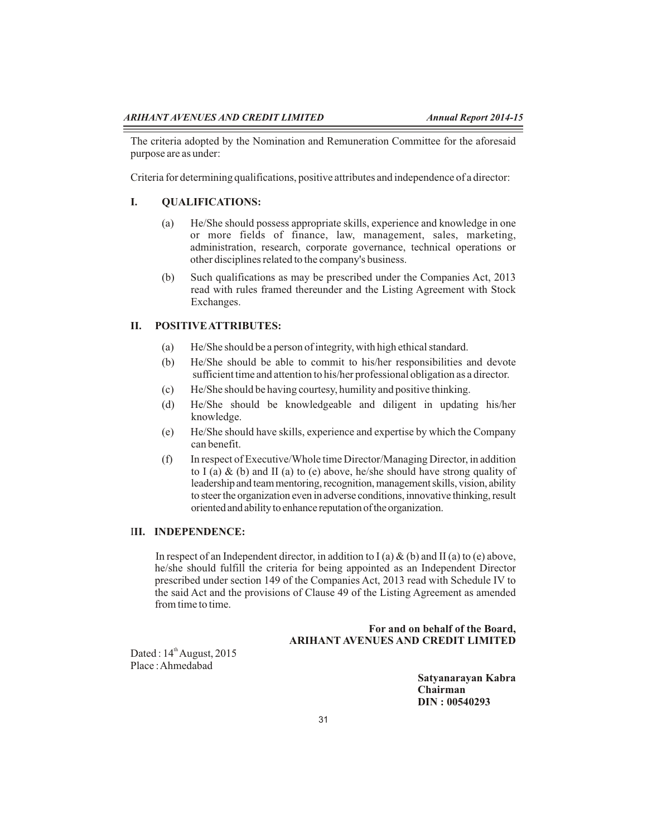The criteria adopted by the Nomination and Remuneration Committee for the aforesaid purpose are as under:

Criteria for determining qualifications, positive attributes and independence of a director:

# **I. QUALIFICATIONS:**

- (a) He/She should possess appropriate skills, experience and knowledge in one or more fields of finance, law, management, sales, marketing, administration, research, corporate governance, technical operations or other disciplines related to the company's business.
- (b) Such qualifications as may be prescribed under the Companies Act, 2013 read with rules framed thereunder and the Listing Agreement with Stock Exchanges.

# **II. POSITIVE ATTRIBUTES:**

- (a) He/She should be a person of integrity, with high ethical standard.
- (b) He/She should be able to commit to his/her responsibilities and devote sufficient time and attention to his/her professional obligation as a director.
- (c) He/She should be having courtesy, humility and positive thinking.
- (d) He/She should be knowledgeable and diligent in updating his/her knowledge.
- (e) He/She should have skills, experience and expertise by which the Company can benefit.
- (f) In respect of Executive/Whole time Director/Managing Director, in addition to I (a)  $\&$  (b) and II (a) to (e) above, he/she should have strong quality of leadership and team mentoring, recognition, management skills, vision, ability to steer the organization even in adverse conditions, innovative thinking, result oriented and ability to enhance reputation of the organization.

# I**II. INDEPENDENCE:**

In respect of an Independent director, in addition to I (a)  $\&$  (b) and II (a) to (e) above, he/she should fulfill the criteria for being appointed as an Independent Director prescribed under section 149 of the Companies Act, 2013 read with Schedule IV to the said Act and the provisions of Clause 49 of the Listing Agreement as amended from time to time.

# **For and on behalf of the Board, ARIHANT AVENUES AND CREDIT LIMITED**

Dated :  $14^{\text{th}}$  August, 2015 Place : Ahmedabad

> **Satyanarayan Kabra Chairman DIN : 00540293**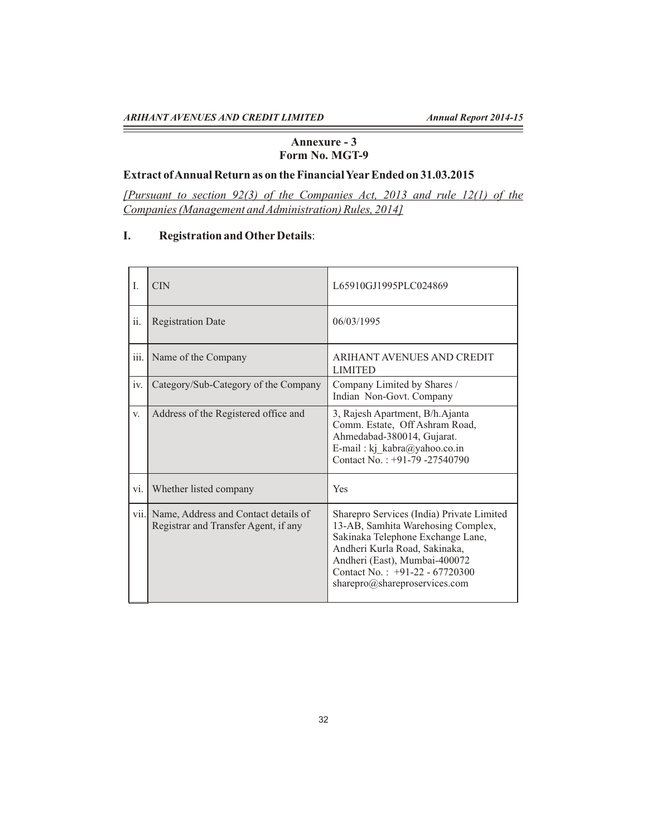=

# **Annexure - 3 Form No. MGT-9**

# **Extract of Annual Return as on the Financial Year Ended on 31.03.2015**

*[Pursuant to section 92(3) of the Companies Act, 2013 and rule 12(1) of the Companies (Management and Administration) Rules, 2014]*

# **I. Registration and Other Details**:

| L    | $\overline{\text{CN}}$                                                       | L65910GJ1995PLC024869                                                                                                                                                                                                                                     |
|------|------------------------------------------------------------------------------|-----------------------------------------------------------------------------------------------------------------------------------------------------------------------------------------------------------------------------------------------------------|
| ii.  | <b>Registration Date</b>                                                     | 06/03/1995                                                                                                                                                                                                                                                |
| iii. | Name of the Company                                                          | ARIHANT AVENUES AND CREDIT<br><b>LIMITED</b>                                                                                                                                                                                                              |
| iv.  | Category/Sub-Category of the Company                                         | Company Limited by Shares /<br>Indian Non-Govt. Company                                                                                                                                                                                                   |
| V.   | Address of the Registered office and                                         | 3, Rajesh Apartment, B/h.Ajanta<br>Comm. Estate, Off Ashram Road,<br>Ahmedabad-380014, Gujarat.<br>E-mail : kj kabra@yahoo.co.in<br>Contact No.: $+91-79-27540790$                                                                                        |
| vi.  | Whether listed company                                                       | Yes                                                                                                                                                                                                                                                       |
| vii. | Name, Address and Contact details of<br>Registrar and Transfer Agent, if any | Sharepro Services (India) Private Limited<br>13-AB, Samhita Warehosing Complex,<br>Sakinaka Telephone Exchange Lane,<br>Andheri Kurla Road, Sakinaka,<br>Andheri (East), Mumbai-400072<br>Contact No.: +91-22 - 67720300<br>sharepro@shareproservices.com |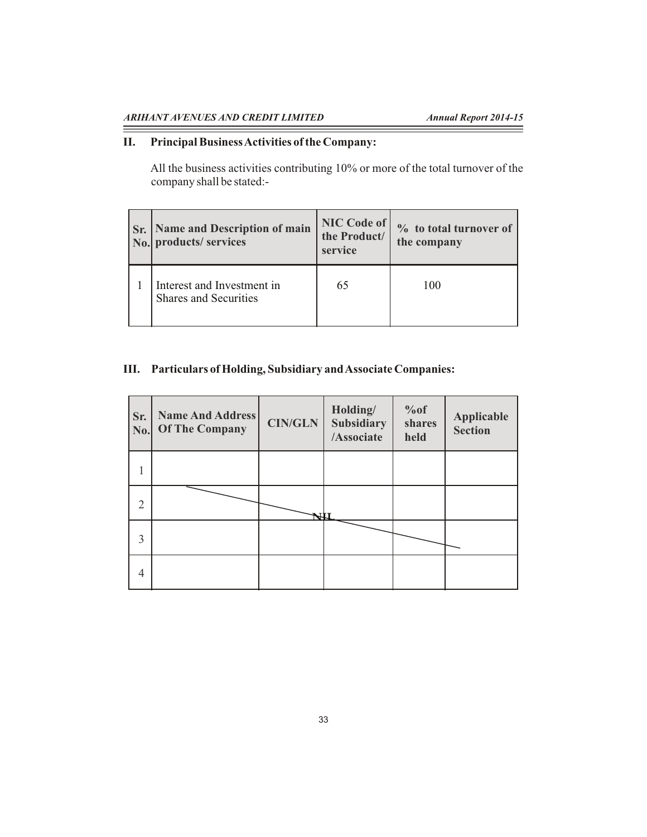Ξ

# **II. Principal Business Activities of the Company:**

All the business activities contributing 10% or more of the total turnover of the company shall be stated:-

| <b>Sr.</b> Name and Description of main<br>No. products/ services | NIC Code of<br>the Product/<br>service | % to total turnover of<br>the company |  |  |
|-------------------------------------------------------------------|----------------------------------------|---------------------------------------|--|--|
| Interest and Investment in<br><b>Shares and Securities</b>        |                                        | 100                                   |  |  |

# **III. Particulars of Holding, Subsidiary and Associate Companies:**

| Sr.<br>No.     | <b>Name And Address</b><br><b>Of The Company</b> | <b>CIN/GLN</b> | Holding/<br><b>Subsidiary</b><br>/Associate | %of<br>shares<br>held | <b>Applicable</b><br><b>Section</b> |
|----------------|--------------------------------------------------|----------------|---------------------------------------------|-----------------------|-------------------------------------|
| 1              |                                                  |                |                                             |                       |                                     |
| $\overline{2}$ |                                                  |                |                                             |                       |                                     |
| 3              |                                                  |                |                                             |                       |                                     |
| 4              |                                                  |                |                                             |                       |                                     |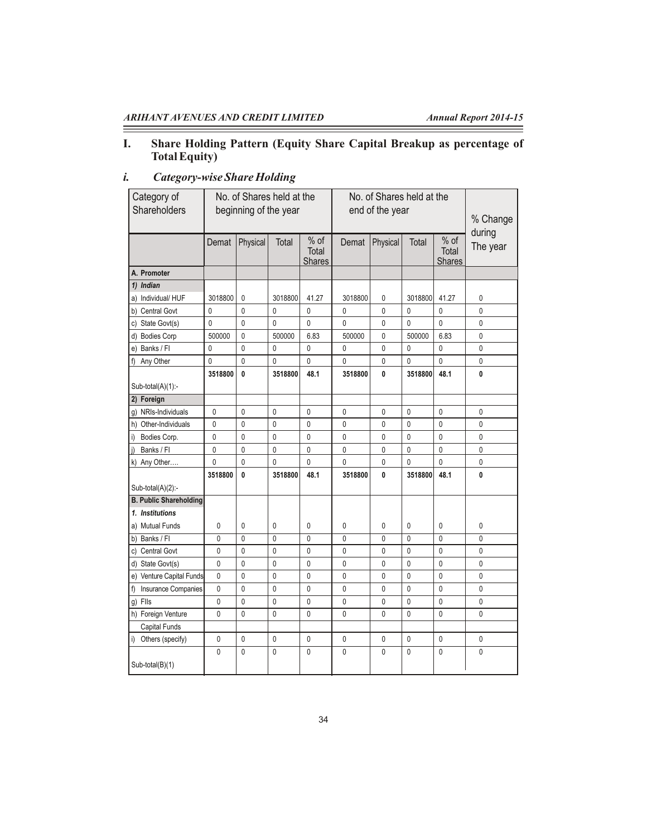# **I. Share Holding Pattern (Equity Share Capital Breakup as percentage of Total Equity)**

| Category of<br>Shareholders   | No. of Shares held at the<br>beginning of the year |              |              | No. of Shares held at the<br>end of the year |              |          | % Change<br>during |                                  |              |
|-------------------------------|----------------------------------------------------|--------------|--------------|----------------------------------------------|--------------|----------|--------------------|----------------------------------|--------------|
|                               | Demat                                              | Physical     | Total        | $%$ of<br>Total<br><b>Shares</b>             | Demat        | Physical | Total              | $%$ of<br>Total<br><b>Shares</b> | The year     |
| A. Promoter                   |                                                    |              |              |                                              |              |          |                    |                                  |              |
| 1) Indian                     |                                                    |              |              |                                              |              |          |                    |                                  |              |
| a) Individual/HUF             | 3018800                                            | 0            | 3018800      | 41.27                                        | 3018800      | 0        | 3018800            | 41.27                            | 0            |
| b) Central Govt               | 0                                                  | 0            | 0            | 0                                            | 0            | 0        | 0                  | 0                                | 0            |
| c) State Govt(s)              | $\mathbf{0}$                                       | $\mathbf{0}$ | $\mathbf{0}$ | $\Omega$                                     | 0            | 0        | $\Omega$           | $\Omega$                         | 0            |
| d) Bodies Corp                | 500000                                             | $\mathbf{0}$ | 500000       | 6.83                                         | 500000       | 0        | 500000             | 6.83                             | $\mathbf{0}$ |
| e) Banks / Fl                 | $\mathbf{0}$                                       | $\mathbf{0}$ | 0            | $\mathbf{0}$                                 | 0            | 0        | 0                  | $\mathbf{0}$                     | 0            |
| f) Any Other                  | $\overline{0}$                                     | 0            | $\mathbf 0$  | 0                                            | 0            | 0        | $\mathbf{0}$       | $\mathbf{0}$                     | 0            |
|                               | 3518800                                            | 0            | 3518800      | 48.1                                         | 3518800      | 0        | 3518800            | 48.1                             | 0            |
| $Sub-total(A)(1)$ :-          |                                                    |              |              |                                              |              |          |                    |                                  |              |
| 2) Foreign                    |                                                    |              |              |                                              |              |          |                    |                                  |              |
| g) NRIs-Individuals           | $\mathbf{0}$                                       | 0            | 0            | 0                                            | 0            | 0        | 0                  | $\mathbf{0}$                     | 0            |
| h) Other-Individuals          | 0                                                  | 0            | $\mathbf{0}$ | $\mathbf{0}$                                 | 0            | 0        | 0                  | $\mathbf{0}$                     | 0            |
| i) Bodies Corp.               | 0                                                  | 0            | 0            | 0                                            | $\mathbf 0$  | 0        | 0                  | 0                                | 0            |
| Banks / FI<br>i)              | 0                                                  | 0            | $\mathbf{0}$ | $\mathbf{0}$                                 | 0            | 0        | 0                  | 0                                | 0            |
| k) Any Other                  | 0                                                  | 0            | 0            | 0                                            | 0            | 0        | 0                  | 0                                | 0            |
|                               | 3518800                                            | 0            | 3518800      | 48.1                                         | 3518800      | 0        | 3518800            | 48.1                             | 0            |
| Sub-total(A)(2):-             |                                                    |              |              |                                              |              |          |                    |                                  |              |
| <b>B. Public Shareholding</b> |                                                    |              |              |                                              |              |          |                    |                                  |              |
| 1. Institutions               |                                                    |              |              |                                              |              |          |                    |                                  |              |
| a) Mutual Funds               | 0                                                  | 0            | 0            | 0                                            | 0            | 0        | 0                  | $\mathbf{0}$                     | 0            |
| b) Banks / Fl                 | $\mathbf{0}$                                       | $\mathbf{0}$ | $\mathbf{0}$ | $\mathbf{0}$                                 | $\mathbf{0}$ | 0        | $\overline{0}$     | $\mathbf{0}$                     | $\mathbf{0}$ |
| c) Central Govt               | 0                                                  | $\mathbf{0}$ | 0            | 0                                            | 0            | 0        | $\mathbf{0}$       | $\mathbf{0}$                     | 0            |
| d) State Govt(s)              | 0                                                  | 0            | $\mathbf{0}$ | $\mathbf{0}$                                 | 0            | 0        | $\mathbf{0}$       | $\mathbf{0}$                     | 0            |
| e) Venture Capital Funds      | $\mathbf{0}$                                       | $\mathbf{0}$ | $\mathbf{0}$ | $\mathbf{0}$                                 | $\mathbf{0}$ | 0        | $\Omega$           | $\Omega$                         | 0            |
| f) Insurance Companies        | 0                                                  | $\mathbf{0}$ | $\mathbf{0}$ | $\mathbf{0}$                                 | 0            | 0        | $\Omega$           | $\mathbf{0}$                     | 0            |
| g) Flls                       | $\mathbf{0}$                                       | 0            | $\mathbf{0}$ | $\mathbf{0}$                                 | $\mathbf{0}$ | 0        | $\mathbf{0}$       | $\mathbf{0}$                     | 0            |
| h) Foreign Venture            | 0                                                  | 0            | $\mathbf{0}$ | $\mathbf{0}$                                 | $\mathbf 0$  | 0        | $\mathbf{0}$       | $\mathbf{0}$                     | 0            |
| Capital Funds                 |                                                    |              |              |                                              |              |          |                    |                                  |              |
| i) Others (specify)           | 0                                                  | 0            | 0            | 0                                            | $\mathbf{0}$ | 0        | 0                  | $\mathbf{0}$                     | 0            |
| $Sub-total(B)(1)$             | $\mathbf{0}$                                       | 0            | 0            | $\mathbf{0}$                                 | $\mathbf{0}$ | 0        | 0                  | $\mathbf{0}$                     | 0            |

# *i. Category-wise Share Holding*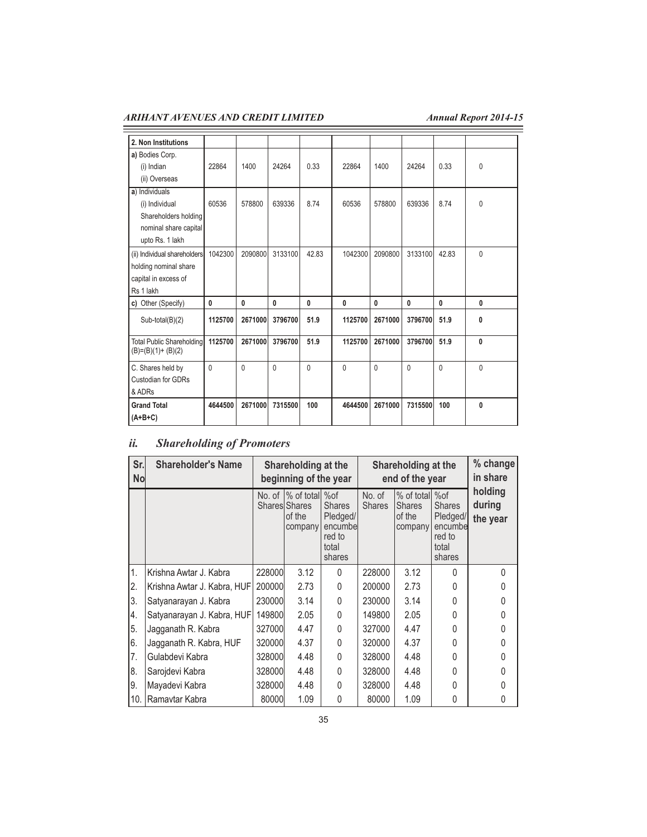| 2. Non Institutions                              |              |         |              |              |              |              |              |              |              |
|--------------------------------------------------|--------------|---------|--------------|--------------|--------------|--------------|--------------|--------------|--------------|
| a) Bodies Corp.                                  |              |         |              |              |              |              |              |              |              |
| (i) Indian                                       | 22864        | 1400    | 24264        | 0.33         | 22864        | 1400         | 24264        | 0.33         | 0            |
| (ii) Overseas                                    |              |         |              |              |              |              |              |              |              |
| a) Individuals                                   |              |         |              |              |              |              |              |              |              |
| (i) Individual                                   | 60536        | 578800  | 639336       | 8.74         | 60536        | 578800       | 639336       | 8.74         | 0            |
| Shareholders holding                             |              |         |              |              |              |              |              |              |              |
| nominal share capital                            |              |         |              |              |              |              |              |              |              |
| upto Rs. 1 lakh                                  |              |         |              |              |              |              |              |              |              |
| (ii) Individual shareholders                     | 1042300      | 2090800 | 3133100      | 42.83        | 1042300      | 2090800      | 3133100      | 42.83        | $\mathbf{0}$ |
| holding nominal share                            |              |         |              |              |              |              |              |              |              |
| capital in excess of                             |              |         |              |              |              |              |              |              |              |
| Rs 1 lakh                                        |              |         |              |              |              |              |              |              |              |
| c) Other (Specify)                               | 0            | 0       | 0            | 0            | 0            | 0            | 0            | 0            | $\mathbf{0}$ |
| $Sub-total(B)(2)$                                | 1125700      | 2671000 | 3796700      | 51.9         | 1125700      | 2671000      | 3796700      | 51.9         | 0            |
| Total Public Shareholding<br>$(B)=(B)(1)+(B)(2)$ | 1125700      | 2671000 | 3796700      | 51.9         | 1125700      | 2671000      | 3796700      | 51.9         | 0            |
| C. Shares held by                                | $\mathbf{0}$ | 0       | $\mathbf{0}$ | $\mathbf{0}$ | $\mathbf{0}$ | $\mathbf{0}$ | $\mathbf{0}$ | $\mathbf{0}$ | $\mathbf{0}$ |
| Custodian for GDRs                               |              |         |              |              |              |              |              |              |              |
| & ADRs                                           |              |         |              |              |              |              |              |              |              |
| <b>Grand Total</b>                               | 4644500      | 2671000 | 7315500      | 100          | 4644500      | 2671000      | 7315500      | 100          | 0            |
| $(A+B+C)$                                        |              |         |              |              |              |              |              |              |              |

# *ii. Shareholding of Promoters*

| Sr.<br><b>No</b> | <b>Shareholder's Name</b>   | Shareholding at the<br>beginning of the year |                                                                            |                                                                          | Shareholding at the<br>end of the year |                                                    |                                                                          | % change<br>in share          |
|------------------|-----------------------------|----------------------------------------------|----------------------------------------------------------------------------|--------------------------------------------------------------------------|----------------------------------------|----------------------------------------------------|--------------------------------------------------------------------------|-------------------------------|
|                  |                             |                                              | No. of $\frac{1}{6}$ of total<br><b>Shares Shares</b><br>of the<br>company | %of<br><b>Shares</b><br>Pledged/<br>encumbe<br>red to<br>total<br>shares | No. of<br><b>Shares</b>                | $%$ of total<br><b>Shares</b><br>of the<br>company | %of<br><b>Shares</b><br>Pledged/<br>encumbe<br>red to<br>total<br>shares | holding<br>during<br>the year |
| 1.               | Krishna Awtar J. Kabra      | 228000                                       | 3.12                                                                       | $\Omega$                                                                 | 228000                                 | 3.12                                               | <sup>0</sup>                                                             | $\Omega$                      |
| 2.               | Krishna Awtar J. Kabra, HUF | 200000                                       | 2.73                                                                       | $\Omega$                                                                 | 200000                                 | 2.73                                               | N                                                                        |                               |
| 3.               | Satyanarayan J. Kabra       | 230000                                       | 3.14                                                                       | $\Omega$                                                                 | 230000                                 | 3.14                                               | N                                                                        |                               |
| 4.               | Satyanarayan J. Kabra, HUF  | <b>149800</b>                                | 2.05                                                                       | 0                                                                        | 149800                                 | 2.05                                               | U                                                                        | O                             |
| 5.               | Jagganath R. Kabra          | 327000                                       | 4.47                                                                       | 0                                                                        | 327000                                 | 4.47                                               | N                                                                        |                               |
| 6.               | Jagganath R. Kabra, HUF     | 320000l                                      | 4.37                                                                       | 0                                                                        | 320000                                 | 4.37                                               | 0                                                                        | O                             |
| 7.               | Gulabdevi Kabra             | 328000l                                      | 4.48                                                                       | 0                                                                        | 328000                                 | 4.48                                               | <sup>0</sup>                                                             | N                             |
| 8.               | Sarojdevi Kabra             | 328000                                       | 4.48                                                                       | 0                                                                        | 328000                                 | 4.48                                               | 0                                                                        |                               |
| 19.              | Mayadevi Kabra              | 328000l                                      | 4.48                                                                       | $\Omega$                                                                 | 328000                                 | 4.48                                               | 0                                                                        |                               |
| 10.              | l Ramavtar Kabra            | 80000                                        | 1.09                                                                       | 0                                                                        | 80000                                  | 1.09                                               | 0                                                                        | 0                             |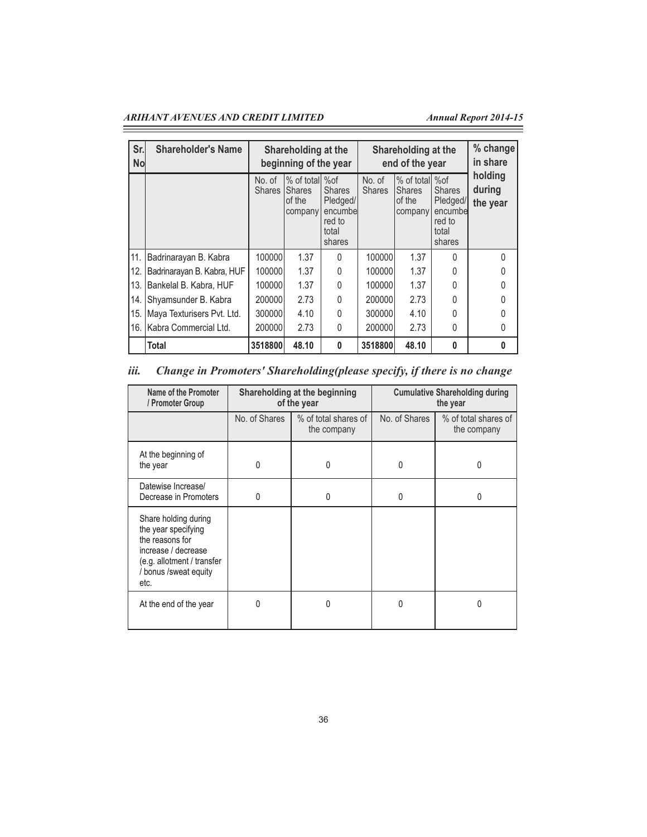$=$ 

| Sr.<br><b>No</b> | <b>Shareholder's Name</b>  | Shareholding at the<br>beginning of the year |                                                   |                                                                          | Shareholding at the<br>end of the year |                                            |                                                                           | % change<br>in share          |
|------------------|----------------------------|----------------------------------------------|---------------------------------------------------|--------------------------------------------------------------------------|----------------------------------------|--------------------------------------------|---------------------------------------------------------------------------|-------------------------------|
|                  |                            | No. of<br>Shares I                           | % of totall<br><b>Shares</b><br>of the<br>company | %of<br><b>Shares</b><br>Pledged/<br>encumbe<br>red to<br>total<br>shares | No. of<br><b>Shares</b>                | % of total<br>Shares<br>Iof the<br>company | %of<br><b>Shares</b><br>Pledged/<br>encumbel<br>red to<br>total<br>shares | holding<br>during<br>the year |
| 11.              | Badrinarayan B. Kabra      | 100000                                       | 1.37                                              | $\Omega$                                                                 | 100000                                 | 1.37                                       | <sup>0</sup>                                                              | $\Omega$                      |
| 12.              | Badrinarayan B. Kabra, HUF | 1000001                                      | 1.37                                              | 0                                                                        | 100000                                 | 1.37                                       | 0                                                                         |                               |
| 13.              | Bankelal B. Kabra, HUF     | 100000                                       | 1.37                                              | $\Omega$                                                                 | 100000                                 | 1.37                                       | 0                                                                         |                               |
| 14.              | Shyamsunder B. Kabra       | 2000001                                      | 2.73                                              | 0                                                                        | 200000                                 | 2.73                                       | 0                                                                         |                               |
| 15.              | Maya Texturisers Pvt. Ltd. | 300000                                       | 4.10                                              | 0                                                                        | 300000                                 | 4.10                                       | 0                                                                         |                               |
| 16.              | I Kabra Commercial Ltd.    | 200000                                       | 2.73                                              | 0                                                                        | 200000                                 | 2.73                                       | 0                                                                         |                               |
|                  | Total                      | 3518800                                      | 48.10                                             | 0                                                                        | 3518800                                | 48.10                                      | 0                                                                         | 0                             |

# *iii. Change in Promoters' Shareholding(please specify, if there is no change*

| Name of the Promoter<br>/ Promoter Group                                                                                                             |               | Shareholding at the beginning<br>of the year |               | <b>Cumulative Shareholding during</b><br>the year |
|------------------------------------------------------------------------------------------------------------------------------------------------------|---------------|----------------------------------------------|---------------|---------------------------------------------------|
|                                                                                                                                                      | No. of Shares | % of total shares of<br>the company          | No. of Shares | % of total shares of<br>the company               |
| At the beginning of<br>the year                                                                                                                      | 0             | 0                                            | 0             | $\Omega$                                          |
| Datewise Increase/<br>Decrease in Promoters                                                                                                          | 0             | 0                                            | 0             | $\Omega$                                          |
| Share holding during<br>the year specifying<br>the reasons for<br>increase / decrease<br>(e.g. allotment / transfer<br>/ bonus /sweat equity<br>etc. |               |                                              |               |                                                   |
| At the end of the year                                                                                                                               | Λ             | 0                                            | 0             | N                                                 |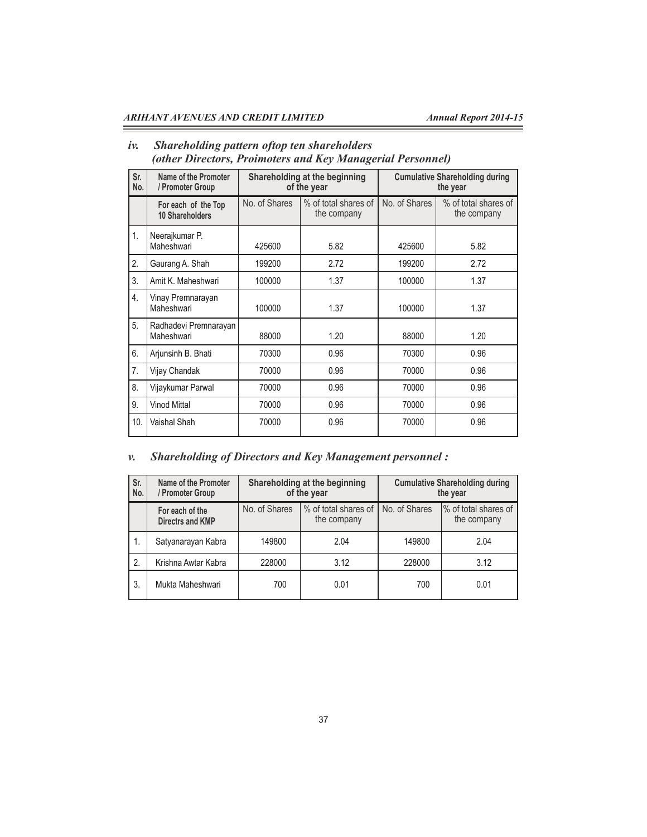## *iv. Shareholding pattern oftop ten shareholders (other Directors, Proimoters and Key Managerial Personnel)*

| Sr.<br>No. | Name of the Promoter<br>/ Promoter Group      | Shareholding at the beginning<br>of the year |                                     |               | <b>Cumulative Shareholding during</b><br>the year |
|------------|-----------------------------------------------|----------------------------------------------|-------------------------------------|---------------|---------------------------------------------------|
|            | For each of the Top<br><b>10 Shareholders</b> | No. of Shares                                | % of total shares of<br>the company | No. of Shares | % of total shares of<br>the company               |
| 1.         | Neerajkumar P.<br>Maheshwari                  | 425600                                       | 5.82                                | 425600        | 5.82                                              |
| 2.         | Gaurang A. Shah                               | 199200                                       | 2.72                                | 199200        | 2.72                                              |
| 3.         | Amit K. Maheshwari                            | 100000                                       | 1.37                                | 100000        | 1.37                                              |
| 4.         | Vinay Premnarayan<br>Maheshwari               | 100000                                       | 1.37                                | 100000        | 1.37                                              |
| 5.         | Radhadevi Premnarayan<br>Maheshwari           | 88000                                        | 1.20                                | 88000         | 1.20                                              |
| 6.         | Arjunsinh B. Bhati                            | 70300                                        | 0.96                                | 70300         | 0.96                                              |
| 7.         | Vijay Chandak                                 | 70000                                        | 0.96                                | 70000         | 0.96                                              |
| 8.         | Vijaykumar Parwal                             | 70000                                        | 0.96                                | 70000         | 0.96                                              |
| 9.         | <b>Vinod Mittal</b>                           | 70000                                        | 0.96                                | 70000         | 0.96                                              |
| 10.        | Vaishal Shah                                  | 70000                                        | 0.96                                | 70000         | 0.96                                              |

# *v. Shareholding of Directors and Key Management personnel :*

| Sr.<br>No. | Name of the Promoter<br>Promoter Group | Shareholding at the beginning<br>of the year |                                                      |        | <b>Cumulative Shareholding during</b><br>the year |
|------------|----------------------------------------|----------------------------------------------|------------------------------------------------------|--------|---------------------------------------------------|
|            | For each of the<br>Directrs and KMP    | No. of Shares                                | % of total shares of<br>No. of Shares<br>the company |        | % of total shares of<br>the company               |
| 1.         | Satyanarayan Kabra                     | 149800                                       | 2.04                                                 | 149800 | 2.04                                              |
| 2.         | Krishna Awtar Kabra                    | 228000                                       | 3.12                                                 | 228000 | 3.12                                              |
| 3.         | Mukta Maheshwari                       | 700<br>0.01                                  |                                                      | 700    | 0.01                                              |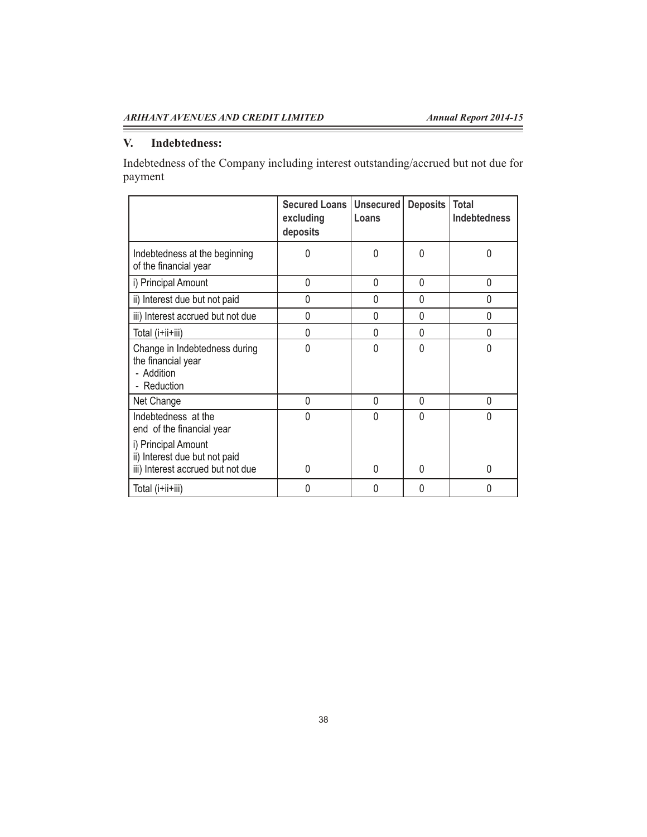Ξ

#### **V. Indebtedness:**

Indebtedness of the Company including interest outstanding/accrued but not due for payment

|                                                                                  | <b>Secured Loans</b><br>excluding<br>deposits | <b>Unsecured</b><br>Loans | <b>Deposits</b> | <b>Total</b><br><b>Indebtedness</b> |
|----------------------------------------------------------------------------------|-----------------------------------------------|---------------------------|-----------------|-------------------------------------|
| Indebtedness at the beginning<br>of the financial year                           | 0                                             | 0                         | 0               | 0                                   |
| i) Principal Amount                                                              | 0                                             | 0                         | 0               | 0                                   |
| ii) Interest due but not paid                                                    | 0                                             | 0                         | 0               | 0                                   |
| iii) Interest accrued but not due                                                | 0                                             | 0                         | 0               | 0                                   |
| Total (i+ii+iii)                                                                 | $\Omega$                                      | 0                         | 0               | 0                                   |
| Change in Indebtedness during<br>the financial year<br>- Addition<br>- Reduction | $\Omega$                                      | 0                         | 0               | N                                   |
| Net Change                                                                       | 0                                             | $\Omega$                  | $\Omega$        | 0                                   |
| Indebtedness at the<br>end of the financial year<br>i) Principal Amount          | $\Omega$                                      | $\Omega$                  | $\Omega$        | N                                   |
| ii) Interest due but not paid<br>iii) Interest accrued but not due               | 0                                             | $\Omega$                  | 0               | 0                                   |
| Total (i+ii+iii)                                                                 | 0                                             | 0                         | 0               |                                     |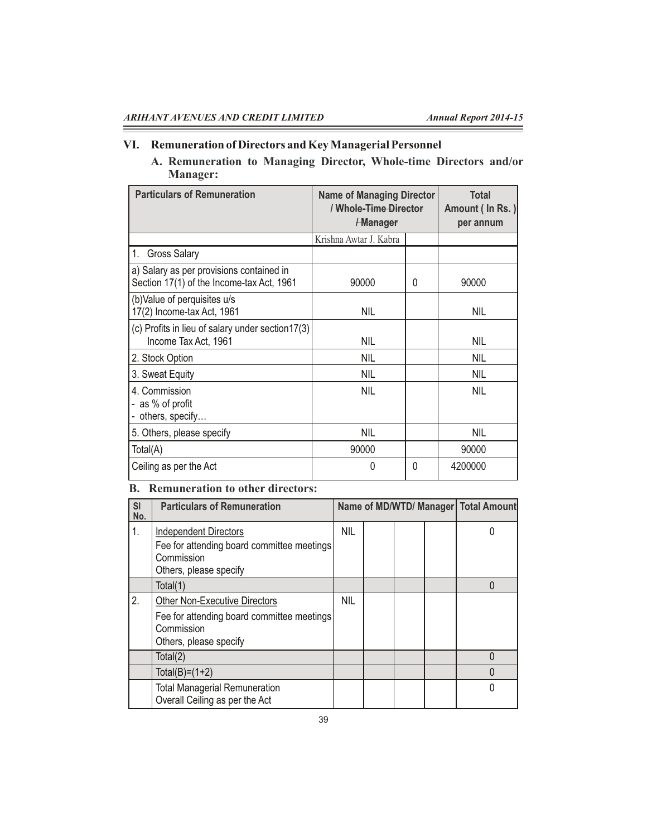Ξ

# **VI. Remuneration of Directors and Key Managerial Personnel**

**A. Remuneration to Managing Director, Whole-time Directors and/or Manager:**

| <b>Particulars of Remuneration</b>                                                    | <b>Name of Managing Director</b><br>Whole-Time Director<br><b>/Manager</b> | <b>Total</b><br>Amount (In Rs.)<br>per annum |         |
|---------------------------------------------------------------------------------------|----------------------------------------------------------------------------|----------------------------------------------|---------|
|                                                                                       | Krishna Awtar J. Kabra                                                     |                                              |         |
| <b>Gross Salary</b><br>1.                                                             |                                                                            |                                              |         |
| a) Salary as per provisions contained in<br>Section 17(1) of the Income-tax Act, 1961 | 90000                                                                      | $\Omega$                                     | 90000   |
| (b) Value of perquisites u/s<br>17(2) Income-tax Act, 1961                            | NIL                                                                        |                                              | NIL     |
| (c) Profits in lieu of salary under section 17(3)<br>Income Tax Act, 1961             | nil                                                                        |                                              | NIL     |
| 2. Stock Option                                                                       | NIL                                                                        |                                              | NIL     |
| 3. Sweat Equity                                                                       | <b>NIL</b>                                                                 |                                              | NIL     |
| 4. Commission<br>- as % of profit<br>others, specify<br>$\overline{\phantom{0}}$      | <b>NIL</b>                                                                 |                                              | NIL     |
| 5. Others, please specify                                                             | <b>NIL</b>                                                                 |                                              | NIL     |
| Total(A)                                                                              | 90000                                                                      |                                              | 90000   |
| Ceiling as per the Act                                                                | 0                                                                          | $\theta$                                     | 4200000 |

## **B. Remuneration to other directors:**

| SI<br>No. | <b>Particulars of Remuneration</b>                                                                                         | Name of MD/WTD/ Manager   Total Amount |  |  |   |
|-----------|----------------------------------------------------------------------------------------------------------------------------|----------------------------------------|--|--|---|
| 1.        | <b>Independent Directors</b><br>Fee for attending board committee meetings<br>Commission<br>Others, please specify         | <b>NIL</b>                             |  |  | 0 |
|           | Total(1)                                                                                                                   |                                        |  |  | 0 |
| 2.        | <b>Other Non-Executive Directors</b><br>Fee for attending board committee meetings<br>Commission<br>Others, please specify | <b>NIL</b>                             |  |  |   |
|           | Total(2)                                                                                                                   |                                        |  |  | Ŋ |
|           | Total(B)= $(1+2)$                                                                                                          |                                        |  |  |   |
|           | <b>Total Managerial Remuneration</b><br>Overall Ceiling as per the Act                                                     |                                        |  |  | 0 |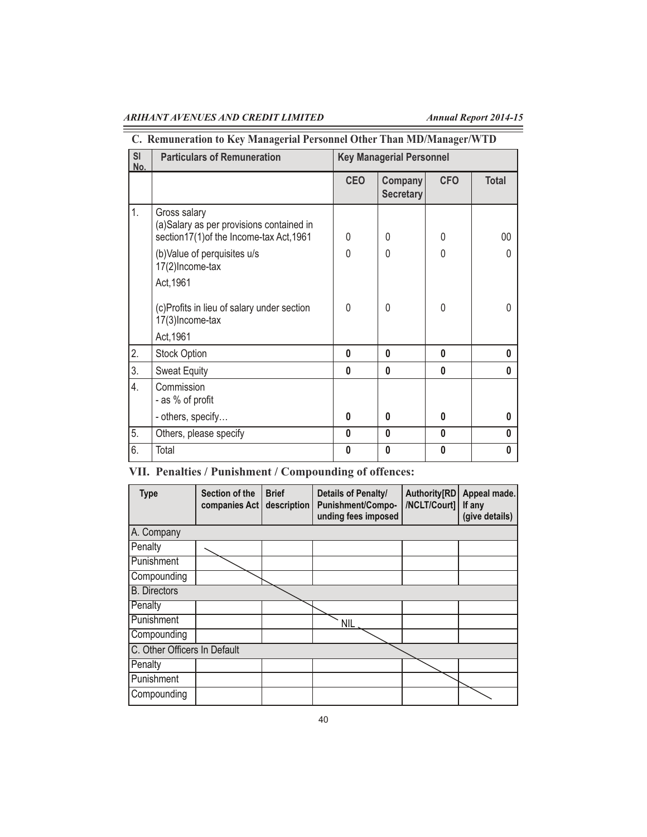Ξ

# **C. Remuneration to Key Managerial Personnel Other Than MD/Manager/WTD**

| SI<br>No. | <b>Particulars of Remuneration</b>                                                                   | <b>Key Managerial Personnel</b> |                             |                |              |
|-----------|------------------------------------------------------------------------------------------------------|---------------------------------|-----------------------------|----------------|--------------|
|           |                                                                                                      | <b>CEO</b>                      | Company<br><b>Secretary</b> | <b>CFO</b>     | <b>Total</b> |
| 1.        | Gross salary<br>(a)Salary as per provisions contained in<br>section17(1) of the Income-tax Act, 1961 | $\Omega$                        | $\Omega$                    | $\mathbf{0}$   | 00           |
|           | (b) Value of perquisites u/s<br>17(2) Income-tax                                                     | 0                               | $\Omega$                    | $\overline{0}$ | <sup>0</sup> |
|           | Act, 1961                                                                                            |                                 |                             |                |              |
|           | (c)Profits in lieu of salary under section<br>17(3) Income-tax                                       | $\Omega$                        | $\Omega$                    | 0              | <sup>0</sup> |
|           | Act, 1961                                                                                            |                                 |                             |                |              |
| 2.        | Stock Option                                                                                         | $\bf{0}$                        | $\mathbf{0}$                | $\mathbf{0}$   | $\mathbf{0}$ |
| 3.        | <b>Sweat Equity</b>                                                                                  | 0                               | $\bf{0}$                    | $\bf{0}$       | $\mathbf{0}$ |
| 4.        | Commission<br>- as % of profit                                                                       |                                 |                             |                |              |
|           | - others, specify                                                                                    | 0                               | $\mathbf{0}$                | 0              | $\mathbf{0}$ |
| 5.        | Others, please specify                                                                               | 0                               | $\mathbf{0}$                | 0              | $\mathbf{0}$ |
| 6.        | Total                                                                                                | 0                               | $\mathbf{0}$                | $\bf{0}$       | 0            |

# **VII. Penalties / Punishment / Compounding of offences:**

| <b>Type</b>                  | Section of the<br>companies Act | <b>Brief</b><br>description | Details of Penalty/<br>Punishment/Compo-<br>unding fees imposed | <b>Authority[RD</b><br>/NCLT/Court] | Appeal made.<br>If any<br>(give details) |
|------------------------------|---------------------------------|-----------------------------|-----------------------------------------------------------------|-------------------------------------|------------------------------------------|
| A. Company                   |                                 |                             |                                                                 |                                     |                                          |
| Penalty                      |                                 |                             |                                                                 |                                     |                                          |
| Punishment                   |                                 |                             |                                                                 |                                     |                                          |
| Compounding                  |                                 |                             |                                                                 |                                     |                                          |
| <b>B.</b> Directors          |                                 |                             |                                                                 |                                     |                                          |
| Penalty                      |                                 |                             |                                                                 |                                     |                                          |
| Punishment                   |                                 |                             | <b>NIL</b>                                                      |                                     |                                          |
| Compounding                  |                                 |                             |                                                                 |                                     |                                          |
| C. Other Officers In Default |                                 |                             |                                                                 |                                     |                                          |
| Penalty                      |                                 |                             |                                                                 |                                     |                                          |
| Punishment                   |                                 |                             |                                                                 |                                     |                                          |
| Compounding                  |                                 |                             |                                                                 |                                     |                                          |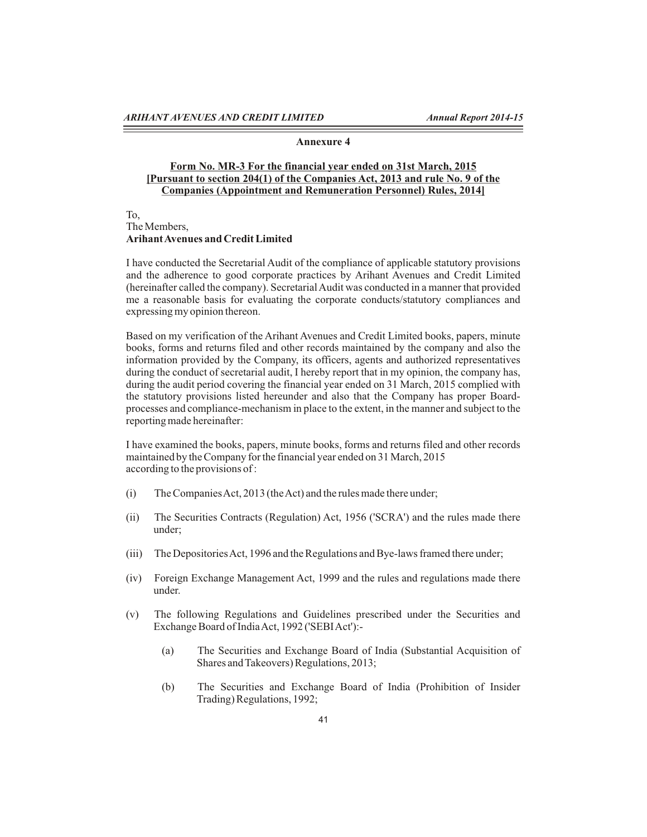#### **Annexure 4**

#### **Form No. MR-3 For the financial year ended on 31st March, 2015 [Pursuant to section 204(1) of the Companies Act, 2013 and rule No. 9 of the Companies (Appointment and Remuneration Personnel) Rules, 2014]**

#### To, The Members, **Arihant Avenues and Credit Limited**

I have conducted the Secretarial Audit of the compliance of applicable statutory provisions and the adherence to good corporate practices by Arihant Avenues and Credit Limited (hereinafter called the company). Secretarial Audit was conducted in a manner that provided me a reasonable basis for evaluating the corporate conducts/statutory compliances and expressing my opinion thereon.

Based on my verification of the Arihant Avenues and Credit Limited books, papers, minute books, forms and returns filed and other records maintained by the company and also the information provided by the Company, its officers, agents and authorized representatives during the conduct of secretarial audit, I hereby report that in my opinion, the company has, during the audit period covering the financial year ended on 31 March, 2015 complied with the statutory provisions listed hereunder and also that the Company has proper Boardprocesses and compliance-mechanism in place to the extent, in the manner and subject to the reporting made hereinafter:

I have examined the books, papers, minute books, forms and returns filed and other records maintained by the Company for the financial year ended on 31 March, 2015 according to the provisions of :

- (i) The Companies Act, 2013 (the Act) and the rules made there under;
- (ii) The Securities Contracts (Regulation) Act, 1956 ('SCRA') and the rules made there under;
- (iii) The Depositories Act, 1996 and the Regulations and Bye-laws framed there under;
- (iv) Foreign Exchange Management Act, 1999 and the rules and regulations made there under.
- (v) The following Regulations and Guidelines prescribed under the Securities and Exchange Board of India Act, 1992 ('SEBI Act'):-
	- (a) The Securities and Exchange Board of India (Substantial Acquisition of Shares and Takeovers) Regulations, 2013;
	- (b) The Securities and Exchange Board of India (Prohibition of Insider Trading) Regulations, 1992;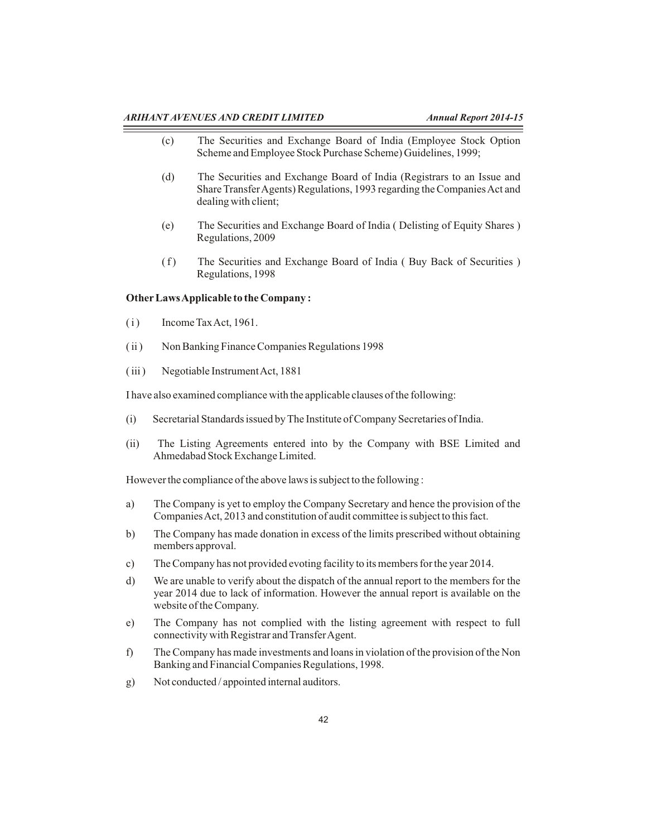- (c) The Securities and Exchange Board of India (Employee Stock Option Scheme and Employee Stock Purchase Scheme) Guidelines, 1999;
- (d) The Securities and Exchange Board of India (Registrars to an Issue and Share Transfer Agents) Regulations, 1993 regarding the Companies Act and dealing with client;
- (e) The Securities and Exchange Board of India ( Delisting of Equity Shares ) Regulations, 2009
- (f) The Securities and Exchange Board of India (Buy Back of Securities) Regulations, 1998

#### **Other Laws Applicable to the Company :**

- $(i)$  Income Tax Act, 1961.
- ( ii ) Non Banking Finance Companies Regulations 1998
- (iii) Negotiable Instrument Act, 1881

I have also examined compliance with the applicable clauses of the following:

- (i) Secretarial Standards issued by The Institute of Company Secretaries of India.
- (ii) The Listing Agreements entered into by the Company with BSE Limited and Ahmedabad Stock Exchange Limited.

However the compliance of the above laws is subject to the following :

- a) The Company is yet to employ the Company Secretary and hence the provision of the Companies Act, 2013 and constitution of audit committee is subject to this fact.
- b) The Company has made donation in excess of the limits prescribed without obtaining members approval.
- c) The Company has not provided evoting facility to its members for the year 2014.
- d) We are unable to verify about the dispatch of the annual report to the members for the year 2014 due to lack of information. However the annual report is available on the website of the Company.
- e) The Company has not complied with the listing agreement with respect to full connectivity with Registrar and Transfer Agent.
- f) The Company has made investments and loans in violation of the provision of the Non Banking and Financial Companies Regulations, 1998.
- g) Not conducted / appointed internal auditors.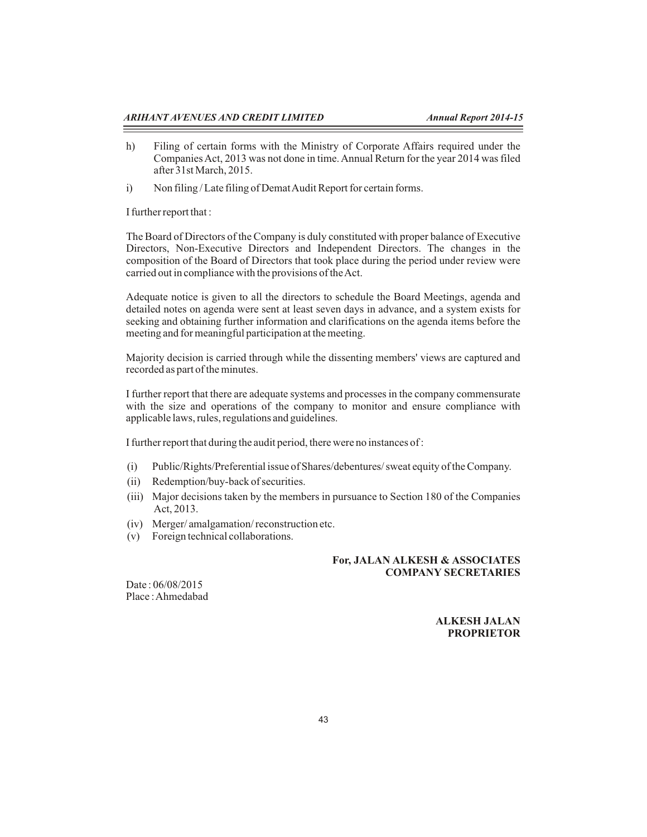- h) Filing of certain forms with the Ministry of Corporate Affairs required under the Companies Act, 2013 was not done in time. Annual Return for the year 2014 was filed after 31st March, 2015.
- i) Non filing / Late filing of Demat Audit Report for certain forms.

I further report that :

The Board of Directors of the Company is duly constituted with proper balance of Executive Directors, Non-Executive Directors and Independent Directors. The changes in the composition of the Board of Directors that took place during the period under review were carried out in compliance with the provisions of the Act.

Adequate notice is given to all the directors to schedule the Board Meetings, agenda and detailed notes on agenda were sent at least seven days in advance, and a system exists for seeking and obtaining further information and clarifications on the agenda items before the meeting and for meaningful participation at the meeting.

Majority decision is carried through while the dissenting members' views are captured and recorded as part of the minutes.

I further report that there are adequate systems and processes in the company commensurate with the size and operations of the company to monitor and ensure compliance with applicable laws, rules, regulations and guidelines.

I further report that during the audit period, there were no instances of :

- (i) Public/Rights/Preferential issue of Shares/debentures/ sweat equity of the Company.
- (ii) Redemption/buy-back of securities.
- (iii) Major decisions taken by the members in pursuance to Section 180 of the Companies Act, 2013.
- (iv) Merger/ amalgamation/ reconstruction etc.
- (v) Foreign technical collaborations.

#### **For, JALAN ALKESH & ASSOCIATES COMPANY SECRETARIES**

Date: 06/08/2015 Place : Ahmedabad

> **ALKESH JALAN PROPRIETOR**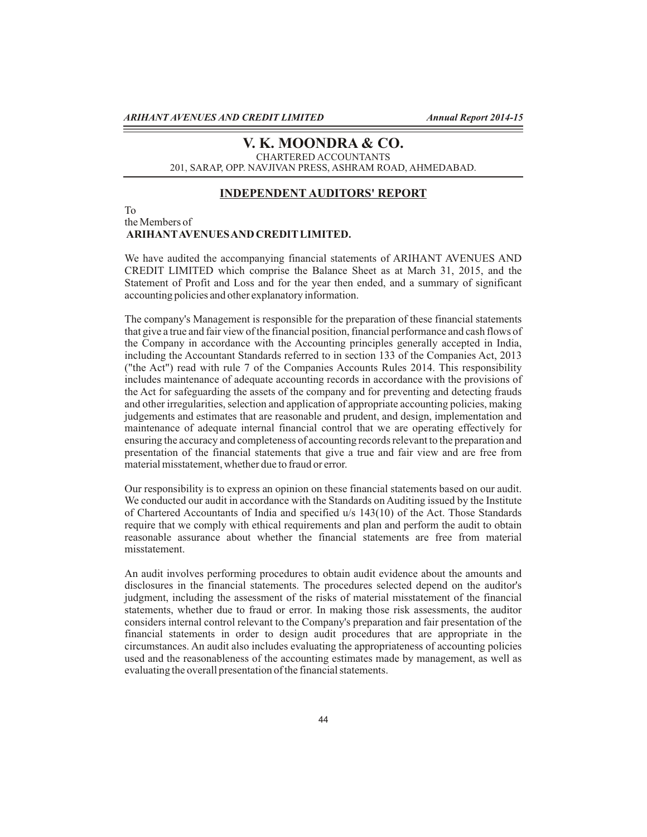#### **V. K. MOONDRA & CO.** CHARTERED ACCOUNTANTS

201, SARAP, OPP. NAVJIVAN PRESS, ASHRAM ROAD, AHMEDABAD.

#### **INDEPENDENT AUDITORS' REPORT**

To the Members of **ARIHANT AVENUES AND CREDIT LIMITED.** 

We have audited the accompanying financial statements of ARIHANT AVENUES AND CREDIT LIMITED which comprise the Balance Sheet as at March 31, 2015, and the Statement of Profit and Loss and for the year then ended, and a summary of significant accounting policies and other explanatory information.

The company's Management is responsible for the preparation of these financial statements that give a true and fair view of the financial position, financial performance and cash flows of the Company in accordance with the Accounting principles generally accepted in India, including the Accountant Standards referred to in section 133 of the Companies Act, 2013 ("the Act") read with rule 7 of the Companies Accounts Rules 2014. This responsibility includes maintenance of adequate accounting records in accordance with the provisions of the Act for safeguarding the assets of the company and for preventing and detecting frauds and other irregularities, selection and application of appropriate accounting policies, making judgements and estimates that are reasonable and prudent, and design, implementation and maintenance of adequate internal financial control that we are operating effectively for ensuring the accuracy and completeness of accounting records relevant to the preparation and presentation of the financial statements that give a true and fair view and are free from material misstatement, whether due to fraud or error.

Our responsibility is to express an opinion on these financial statements based on our audit. We conducted our audit in accordance with the Standards on Auditing issued by the Institute of Chartered Accountants of India and specified u/s 143(10) of the Act. Those Standards require that we comply with ethical requirements and plan and perform the audit to obtain reasonable assurance about whether the financial statements are free from material misstatement.

An audit involves performing procedures to obtain audit evidence about the amounts and disclosures in the financial statements. The procedures selected depend on the auditor's judgment, including the assessment of the risks of material misstatement of the financial statements, whether due to fraud or error. In making those risk assessments, the auditor considers internal control relevant to the Company's preparation and fair presentation of the financial statements in order to design audit procedures that are appropriate in the circumstances. An audit also includes evaluating the appropriateness of accounting policies used and the reasonableness of the accounting estimates made by management, as well as evaluating the overall presentation of the financial statements.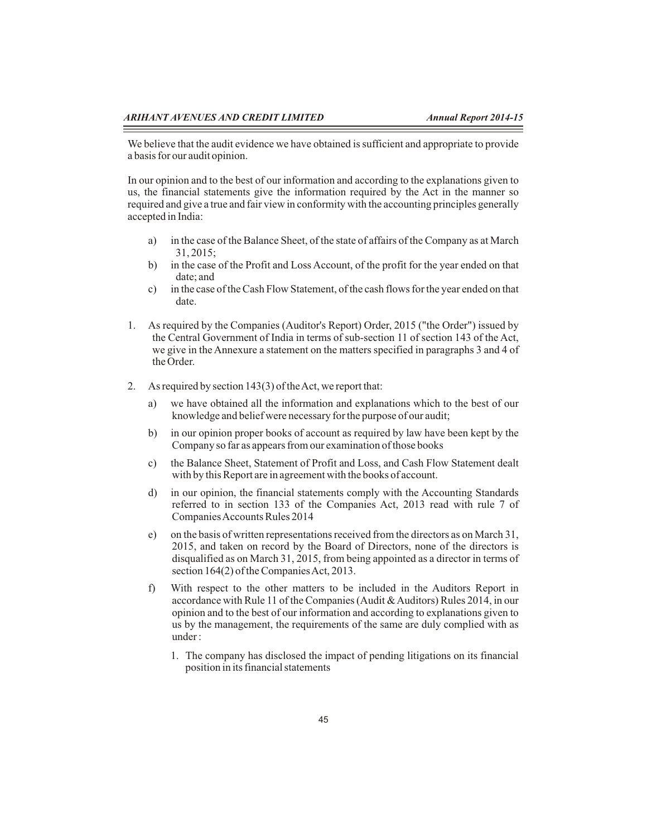We believe that the audit evidence we have obtained is sufficient and appropriate to provide a basis for our audit opinion.

In our opinion and to the best of our information and according to the explanations given to us, the financial statements give the information required by the Act in the manner so required and give a true and fair view in conformity with the accounting principles generally accepted in India:

- a) in the case of the Balance Sheet, of the state of affairs of the Company as at March 31, 2015;
- b) in the case of the Profit and Loss Account, of the profit for the year ended on that date; and
- c) in the case of the Cash Flow Statement, of the cash flows for the year ended on that date.
- 1. As required by the Companies (Auditor's Report) Order, 2015 ("the Order") issued by the Central Government of India in terms of sub-section 11 of section 143 of the Act, we give in the Annexure a statement on the matters specified in paragraphs 3 and 4 of the Order.
- 2. As required by section 143(3) of the Act, we report that:
	- a) we have obtained all the information and explanations which to the best of our knowledge and belief were necessary for the purpose of our audit;
	- b) in our opinion proper books of account as required by law have been kept by the Company so far as appears from our examination of those books
	- c) the Balance Sheet, Statement of Profit and Loss, and Cash Flow Statement dealt with by this Report are in agreement with the books of account.
	- d) in our opinion, the financial statements comply with the Accounting Standards referred to in section 133 of the Companies Act, 2013 read with rule 7 of Companies Accounts Rules 2014
	- e) on the basis of written representations received from the directors as on March 31, 2015, and taken on record by the Board of Directors, none of the directors is disqualified as on March 31, 2015, from being appointed as a director in terms of section 164(2) of the Companies Act, 2013.
	- f) With respect to the other matters to be included in the Auditors Report in accordance with Rule 11 of the Companies (Audit & Auditors) Rules 2014, in our opinion and to the best of our information and according to explanations given to us by the management, the requirements of the same are duly complied with as under :
		- 1. The company has disclosed the impact of pending litigations on its financial position in its financial statements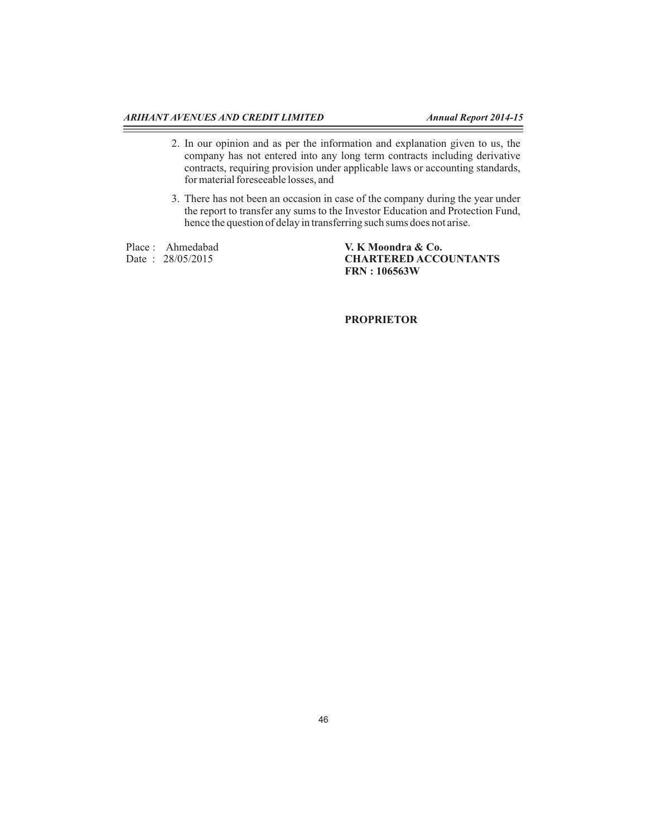- 2. In our opinion and as per the information and explanation given to us, the company has not entered into any long term contracts including derivative contracts, requiring provision under applicable laws or accounting standards, for material foreseeable losses, and
- 3. There has not been an occasion in case of the company during the year under the report to transfer any sums to the Investor Education and Protection Fund, hence the question of delay in transferring such sums does not arise.

Place : Ahmedabad **V. K Moondra & Co.** Date : 28/05/2015 **CHARTERED ACCOUNTANTS FRN : 106563W** 

**PROPRIETOR**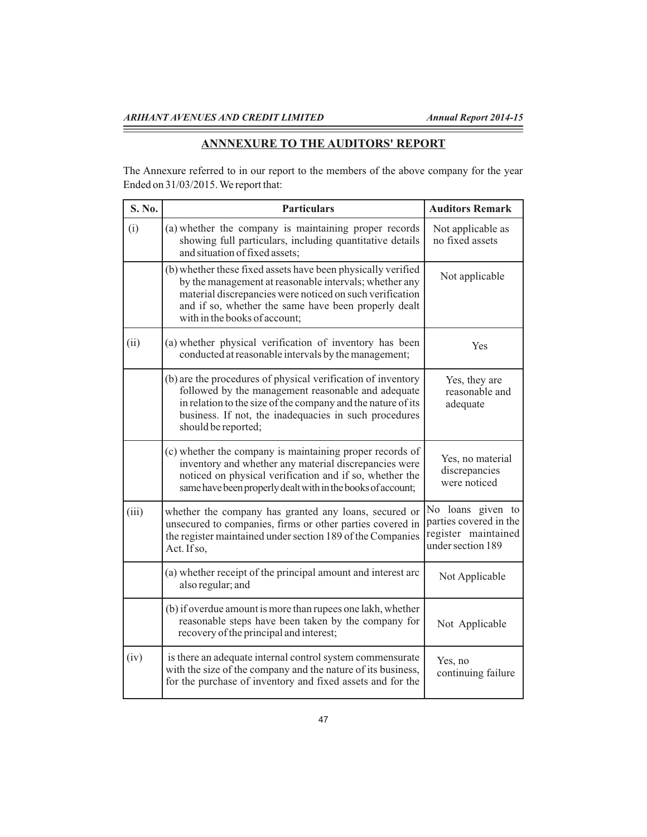Ξ

# **ANNNEXURE TO THE AUDITORS' REPORT**

The Annexure referred to in our report to the members of the above company for the year Ended on 31/03/2015. We report that:

| S. No. | <b>Particulars</b>                                                                                                                                                                                                                                                          | <b>Auditors Remark</b>                                                                  |
|--------|-----------------------------------------------------------------------------------------------------------------------------------------------------------------------------------------------------------------------------------------------------------------------------|-----------------------------------------------------------------------------------------|
| (i)    | (a) whether the company is maintaining proper records<br>showing full particulars, including quantitative details<br>and situation of fixed assets;                                                                                                                         | Not applicable as<br>no fixed assets                                                    |
|        | (b) whether these fixed assets have been physically verified<br>by the management at reasonable intervals; whether any<br>material discrepancies were noticed on such verification<br>and if so, whether the same have been properly dealt<br>with in the books of account; | Not applicable                                                                          |
| (ii)   | (a) whether physical verification of inventory has been<br>conducted at reasonable intervals by the management;                                                                                                                                                             | Yes                                                                                     |
|        | (b) are the procedures of physical verification of inventory<br>followed by the management reasonable and adequate<br>in relation to the size of the company and the nature of its<br>business. If not, the inadequacies in such procedures<br>should be reported;          | Yes, they are<br>reasonable and<br>adequate                                             |
|        | (c) whether the company is maintaining proper records of<br>inventory and whether any material discrepancies were<br>noticed on physical verification and if so, whether the<br>same have been properly dealt with in the books of account;                                 | Yes, no material<br>discrepancies<br>were noticed                                       |
| (iii)  | whether the company has granted any loans, secured or<br>unsecured to companies, firms or other parties covered in<br>the register maintained under section 189 of the Companies<br>Act. If so,                                                                             | No loans given to<br>parties covered in the<br>register maintained<br>under section 189 |
|        | (a) whether receipt of the principal amount and interest arc<br>also regular; and                                                                                                                                                                                           | Not Applicable                                                                          |
|        | (b) if overdue amount is more than rupees one lakh, whether<br>reasonable steps have been taken by the company for<br>recovery of the principal and interest;                                                                                                               | Not Applicable                                                                          |
| (iv)   | is there an adequate internal control system commensurate<br>with the size of the company and the nature of its business,<br>for the purchase of inventory and fixed assets and for the                                                                                     | Yes, no<br>continuing failure                                                           |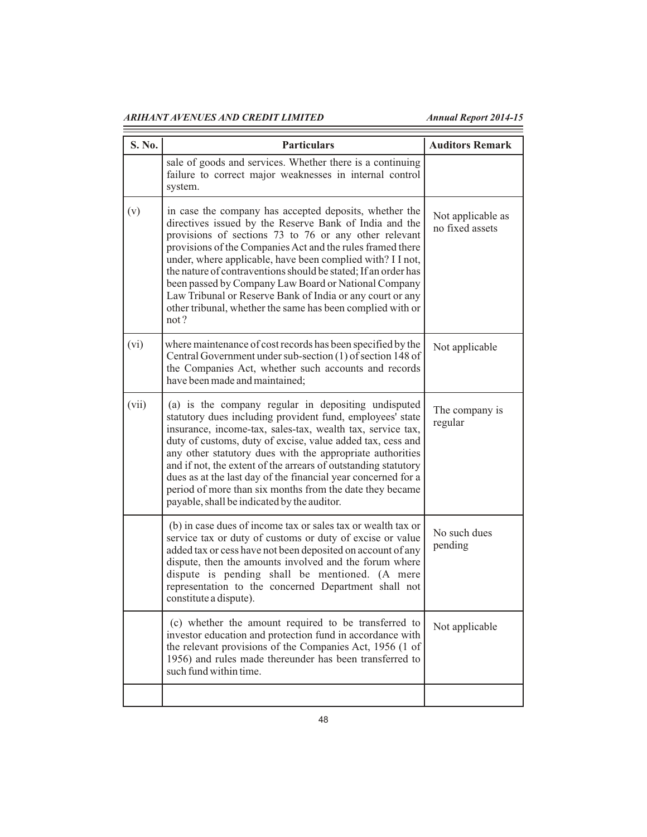| S. No. | <b>Particulars</b>                                                                                                                                                                                                                                                                                                                                                                                                                                                                                                                                                 | <b>Auditors Remark</b>               |
|--------|--------------------------------------------------------------------------------------------------------------------------------------------------------------------------------------------------------------------------------------------------------------------------------------------------------------------------------------------------------------------------------------------------------------------------------------------------------------------------------------------------------------------------------------------------------------------|--------------------------------------|
|        | sale of goods and services. Whether there is a continuing<br>failure to correct major weaknesses in internal control<br>system.                                                                                                                                                                                                                                                                                                                                                                                                                                    |                                      |
| (v)    | in case the company has accepted deposits, whether the<br>directives issued by the Reserve Bank of India and the<br>provisions of sections 73 to 76 or any other relevant<br>provisions of the Companies Act and the rules framed there<br>under, where applicable, have been complied with? I I not,<br>the nature of contraventions should be stated; If an order has<br>been passed by Company Law Board or National Company<br>Law Tribunal or Reserve Bank of India or any court or any<br>other tribunal, whether the same has been complied with or<br>not? | Not applicable as<br>no fixed assets |
| (vi)   | where maintenance of cost records has been specified by the<br>Central Government under sub-section (1) of section 148 of<br>the Companies Act, whether such accounts and records<br>have been made and maintained;                                                                                                                                                                                                                                                                                                                                                | Not applicable                       |
| (vii)  | (a) is the company regular in depositing undisputed<br>statutory dues including provident fund, employees' state<br>insurance, income-tax, sales-tax, wealth tax, service tax,<br>duty of customs, duty of excise, value added tax, cess and<br>any other statutory dues with the appropriate authorities<br>and if not, the extent of the arrears of outstanding statutory<br>dues as at the last day of the financial year concerned for a<br>period of more than six months from the date they became<br>payable, shall be indicated by the auditor.            | The company is<br>regular            |
|        | (b) in case dues of income tax or sales tax or wealth tax or<br>service tax or duty of customs or duty of excise or value<br>added tax or cess have not been deposited on account of any<br>dispute, then the amounts involved and the forum where<br>dispute is pending shall be mentioned. (A mere<br>representation to the concerned Department shall not<br>constitute a dispute).                                                                                                                                                                             | No such dues<br>pending              |
|        | (c) whether the amount required to be transferred to<br>investor education and protection fund in accordance with<br>the relevant provisions of the Companies Act, 1956 (1 of<br>1956) and rules made thereunder has been transferred to<br>such fund within time.                                                                                                                                                                                                                                                                                                 | Not applicable                       |
|        |                                                                                                                                                                                                                                                                                                                                                                                                                                                                                                                                                                    |                                      |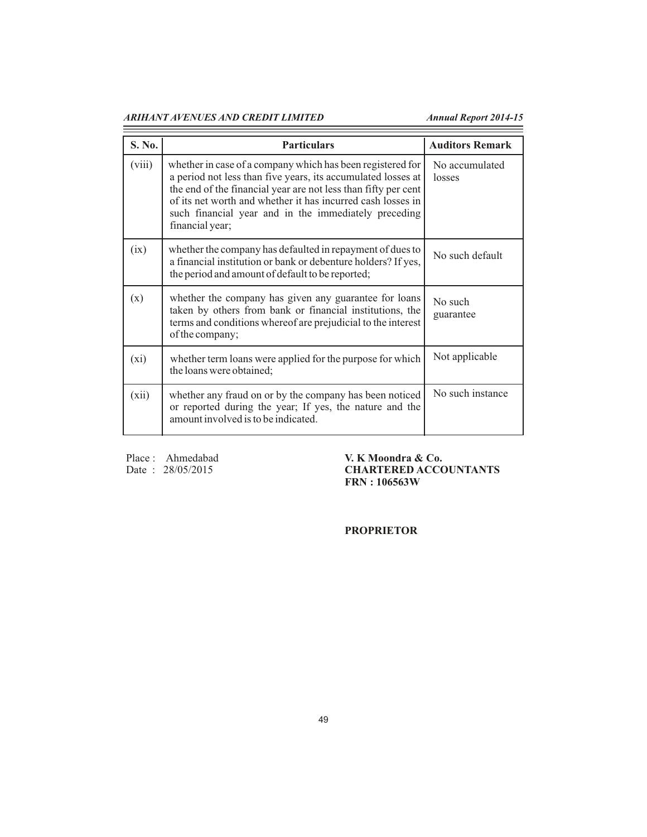| S. No.  | <b>Particulars</b>                                                                                                                                                                                                                                                                                                                     | <b>Auditors Remark</b>   |
|---------|----------------------------------------------------------------------------------------------------------------------------------------------------------------------------------------------------------------------------------------------------------------------------------------------------------------------------------------|--------------------------|
| (viii)  | whether in case of a company which has been registered for<br>a period not less than five years, its accumulated losses at<br>the end of the financial year are not less than fifty per cent<br>of its net worth and whether it has incurred cash losses in<br>such financial year and in the immediately preceding<br>financial year; | No accumulated<br>losses |
| (ix)    | whether the company has defaulted in repayment of dues to<br>a financial institution or bank or debenture holders? If yes,<br>the period and amount of default to be reported;                                                                                                                                                         | No such default          |
| (x)     | whether the company has given any guarantee for loans<br>taken by others from bank or financial institutions, the<br>terms and conditions whereof are prejudicial to the interest<br>of the company;                                                                                                                                   | No such<br>guarantee     |
| $(x_i)$ | whether term loans were applied for the purpose for which<br>the loans were obtained;                                                                                                                                                                                                                                                  | Not applicable           |
| (xii)   | whether any fraud on or by the company has been noticed<br>or reported during the year; If yes, the nature and the<br>amount involved is to be indicated.                                                                                                                                                                              | No such instance         |

#### Place : Ahmedabad **V. K Moondra & Co.**<br>Date : 28/05/2015 **CHARTERED ACCC CHARTERED ACCOUNTANTS FRN : 106563W**

**PROPRIETOR**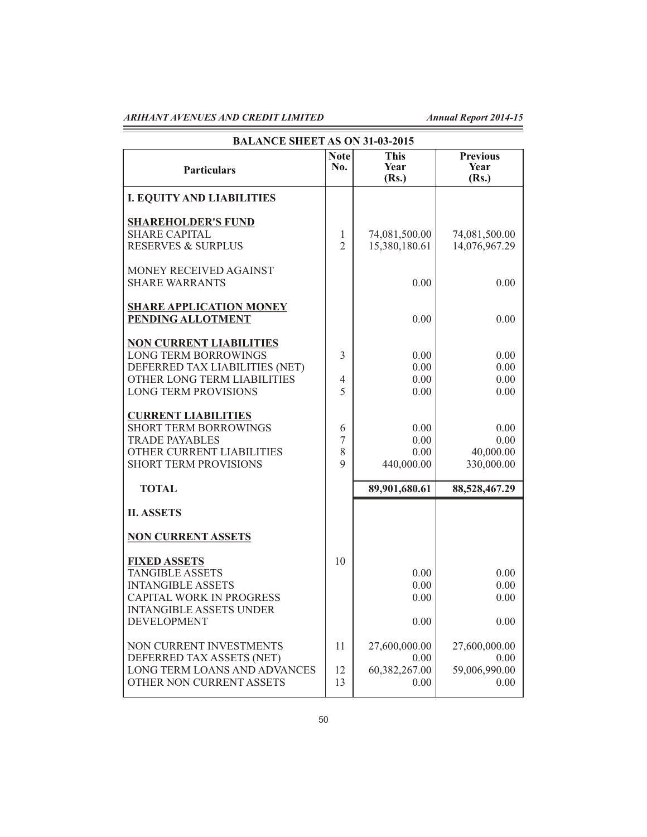$\overline{\phantom{a}}$ 

| <b>BALANCE SHEET AS ON 31-03-2015</b>                                                                                                                                |                                       |                                                |                                                |
|----------------------------------------------------------------------------------------------------------------------------------------------------------------------|---------------------------------------|------------------------------------------------|------------------------------------------------|
| <b>Particulars</b>                                                                                                                                                   | <b>Note</b><br>No.                    | <b>This</b><br>Year<br>(Rs.)                   | <b>Previous</b><br>Year<br>(Rs.)               |
| <b>I. EQUITY AND LIABILITIES</b>                                                                                                                                     |                                       |                                                |                                                |
| <b>SHAREHOLDER'S FUND</b><br><b>SHARE CAPITAL</b><br><b>RESERVES &amp; SURPLUS</b>                                                                                   | $\mathbf{1}$<br>$\overline{2}$        | 74,081,500.00<br>15,380,180.61                 | 74,081,500.00<br>14,076,967.29                 |
| MONEY RECEIVED AGAINST<br><b>SHARE WARRANTS</b>                                                                                                                      |                                       | 0.00                                           | 0.00                                           |
| <b>SHARE APPLICATION MONEY</b><br>PENDING ALLOTMENT                                                                                                                  |                                       | 0.00                                           | 0.00                                           |
| <b>NON CURRENT LIABILITIES</b><br><b>LONG TERM BORROWINGS</b><br>DEFERRED TAX LIABILITIES (NET)<br>OTHER LONG TERM LIABILITIES<br><b>LONG TERM PROVISIONS</b>        | 3<br>$\overline{4}$<br>5              | 0.00<br>0.00<br>0.00<br>0.00                   | 0.00<br>0.00<br>0.00<br>0.00                   |
| <b>CURRENT LIABILITIES</b><br><b>SHORT TERM BORROWINGS</b><br><b>TRADE PAYABLES</b><br>OTHER CURRENT LIABILITIES<br><b>SHORT TERM PROVISIONS</b>                     | 6<br>$\overline{7}$<br>$\,$ $\,$<br>9 | 0.00<br>0.00<br>0.00<br>440,000.00             | 0.00<br>$0.00\,$<br>40,000.00<br>330,000.00    |
| <b>TOTAL</b>                                                                                                                                                         |                                       | 89,901,680.61                                  | 88,528,467.29                                  |
| <b>II. ASSETS</b><br><b>NON CURRENT ASSETS</b>                                                                                                                       |                                       |                                                |                                                |
| <b>FIXED ASSETS</b><br><b>TANGIBLE ASSETS</b><br><b>INTANGIBLE ASSETS</b><br><b>CAPITAL WORK IN PROGRESS</b><br><b>INTANGIBLE ASSETS UNDER</b><br><b>DEVELOPMENT</b> | 10                                    | 0.00<br>0.00<br>0.00<br>0.00                   | 0.00<br>0.00<br>0.00<br>0.00                   |
| NON CURRENT INVESTMENTS<br>DEFERRED TAX ASSETS (NET)<br>LONG TERM LOANS AND ADVANCES<br>OTHER NON CURRENT ASSETS                                                     | 11<br>12<br>13                        | 27,600,000.00<br>0.00<br>60,382,267.00<br>0.00 | 27,600,000.00<br>0.00<br>59,006,990.00<br>0.00 |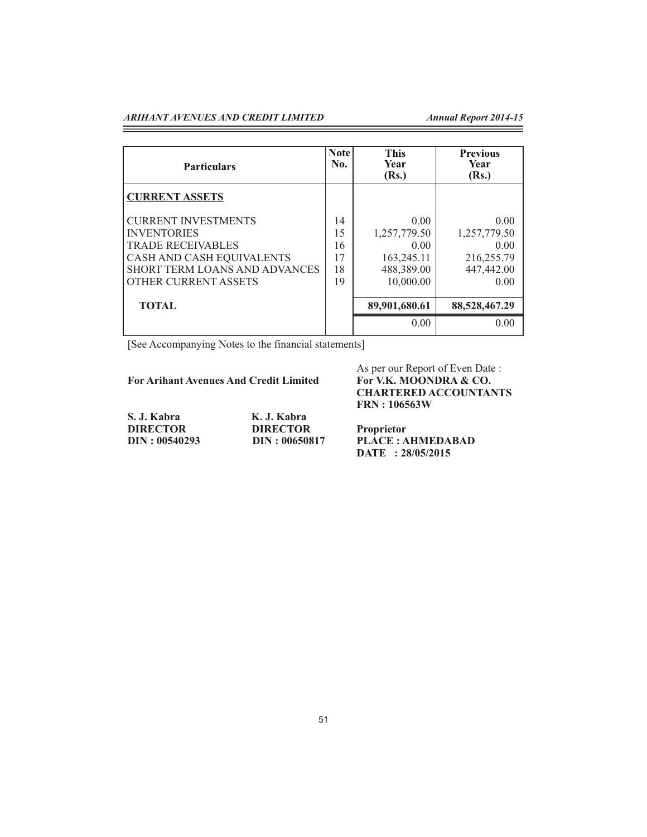| <b>Particulars</b>                   | <b>Note</b><br>No. | <b>This</b><br>Year<br>(Rs.) | <b>Previous</b><br>Year<br>(Rs.) |
|--------------------------------------|--------------------|------------------------------|----------------------------------|
| <b>CURRENT ASSETS</b>                |                    |                              |                                  |
| <b>CURRENT INVESTMENTS</b>           | 14                 | 0.00                         | 0.00                             |
| <b>INVENTORIES</b>                   | 15                 | 1,257,779.50                 | 1,257,779.50                     |
| <b>TRADE RECEIVABLES</b>             | 16                 | 0.00                         | 0.00                             |
| CASH AND CASH EQUIVALENTS            | 17                 | 163,245.11                   | 216,255.79                       |
| <b>SHORT TERM LOANS AND ADVANCES</b> | 18                 | 488,389.00                   | 447,442.00                       |
| <b>OTHER CURRENT ASSETS</b>          | 19                 | 10,000.00                    | 0.00                             |
| <b>TOTAL</b>                         |                    | 89,901,680.61                | 88,528,467.29                    |
|                                      |                    | 0.00                         | 0.00                             |
|                                      |                    |                              |                                  |

[See Accompanying Notes to the financial statements]

For Arihant Avenues And Credit Limited

As per our Report of Even Date :<br>For V.K. MOONDRA & CO. **CHARTERED ACCOUNTANTS FRN : 106563W**

| S. J. Kabra     | K. J. Kabra     |                         |
|-----------------|-----------------|-------------------------|
| <b>DIRECTOR</b> | <b>DIRECTOR</b> | <b>Proprietor</b>       |
| DIN: 00540293   | DIN: 00650817   | <b>PLACE: AHMEDABAD</b> |
|                 |                 | DATE: 28/05/2015        |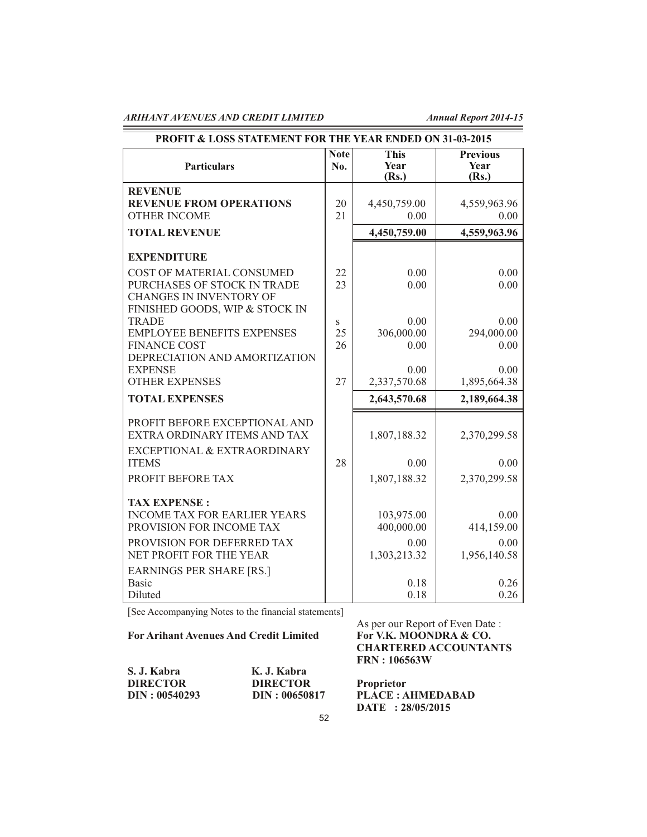| <b>PROFIT &amp; LOSS STATEMENT FOR THE YEAR ENDED ON 31-03-2015</b> |                    |                              |                                  |
|---------------------------------------------------------------------|--------------------|------------------------------|----------------------------------|
| <b>Particulars</b>                                                  | <b>Note</b><br>No. | <b>This</b><br>Year<br>(Rs.) | <b>Previous</b><br>Year<br>(Rs.) |
| <b>REVENUE</b>                                                      |                    |                              |                                  |
| <b>REVENUE FROM OPERATIONS</b><br><b>OTHER INCOME</b>               | 20<br>21           | 4,450,759.00<br>0.00         | 4,559,963.96<br>0.00             |
|                                                                     |                    |                              |                                  |
| <b>TOTAL REVENUE</b>                                                |                    | 4,450,759.00                 | 4,559,963.96                     |
| <b>EXPENDITURE</b>                                                  |                    |                              |                                  |
| COST OF MATERIAL CONSUMED                                           | 22                 | 0.00                         | 0.00                             |
| PURCHASES OF STOCK IN TRADE                                         | 23                 | 0.00                         | 0.00                             |
| <b>CHANGES IN INVENTORY OF</b><br>FINISHED GOODS, WIP & STOCK IN    |                    |                              |                                  |
| <b>TRADE</b>                                                        | S                  | 0.00                         | 0.00                             |
| <b>EMPLOYEE BENEFITS EXPENSES</b>                                   | 25                 | 306,000.00                   | 294,000.00                       |
| <b>FINANCE COST</b>                                                 | 26                 | 0.00                         | 0.00                             |
| DEPRECIATION AND AMORTIZATION                                       |                    |                              |                                  |
| <b>EXPENSE</b><br><b>OTHER EXPENSES</b>                             | 27                 | 0.00<br>2,337,570.68         | 0.00<br>1,895,664.38             |
| <b>TOTAL EXPENSES</b>                                               |                    | 2,643,570.68                 | 2,189,664.38                     |
|                                                                     |                    |                              |                                  |
| PROFIT BEFORE EXCEPTIONAL AND                                       |                    |                              |                                  |
| EXTRA ORDINARY ITEMS AND TAX                                        |                    | 1,807,188.32                 | 2,370,299.58                     |
| EXCEPTIONAL & EXTRAORDINARY                                         |                    |                              |                                  |
| <b>ITEMS</b>                                                        | 28                 | 0.00                         | 0.00                             |
| PROFIT BEFORE TAX                                                   |                    | 1,807,188.32                 | 2,370,299.58                     |
| <b>TAX EXPENSE:</b>                                                 |                    |                              |                                  |
| <b>INCOME TAX FOR EARLIER YEARS</b>                                 |                    | 103,975.00                   | 0.00                             |
| PROVISION FOR INCOME TAX                                            |                    | 400,000.00                   | 414,159.00                       |
| PROVISION FOR DEFERRED TAX                                          |                    | 0.00                         | 0.00                             |
| NET PROFIT FOR THE YEAR                                             |                    | 1,303,213.32                 | 1,956,140.58                     |
| <b>EARNINGS PER SHARE [RS.]</b>                                     |                    |                              |                                  |
| <b>Basic</b>                                                        |                    | 0.18                         | 0.26                             |
| Diluted                                                             |                    | 0.18                         | 0.26                             |

[See Accompanying Notes to the financial statements]

For Arihant Avenues And Credit Limited For V.K. MOONDRA & CO.

**S. J. Kabra K. J. Kabra**

**DIRECTOR DIRECTOR Proprietor**

As per our Report of Even Date : **CHARTERED ACCOUNTANTS FRN : 106563W**

**DIN : 00540293 DIN : 00650817 PLACE : AHMEDABAD DATE : 28/05/2015**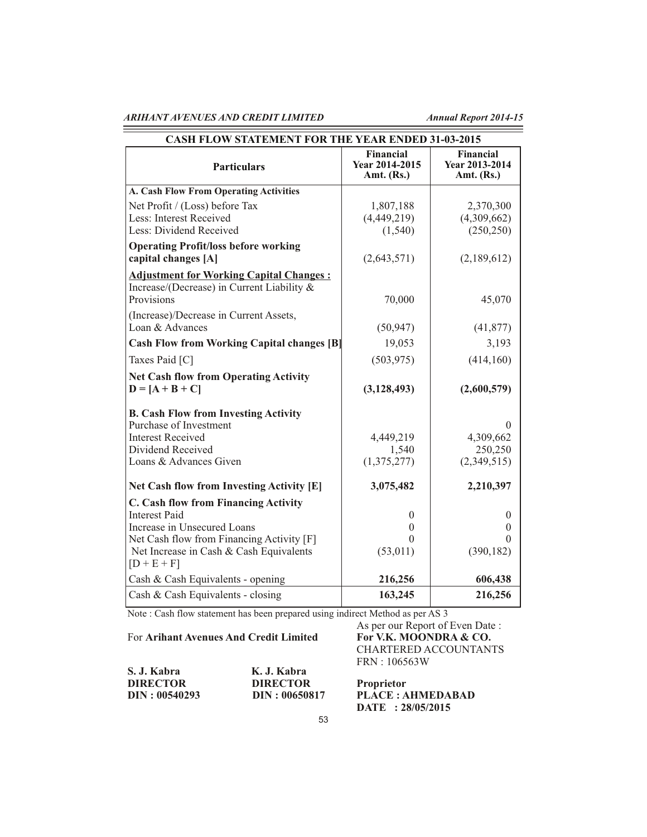| <b>CASH FLOW STATEMENT FOR THE YEAR ENDED 31-03-2015</b>                                                   |                                                  |                                           |  |  |
|------------------------------------------------------------------------------------------------------------|--------------------------------------------------|-------------------------------------------|--|--|
| <b>Particulars</b>                                                                                         | <b>Financial</b><br>Year 2014-2015<br>Amt. (Rs.) | Financial<br>Year 2013-2014<br>Amt. (Rs.) |  |  |
| <b>A. Cash Flow From Operating Activities</b>                                                              |                                                  |                                           |  |  |
| Net Profit / (Loss) before Tax                                                                             | 1,807,188                                        | 2,370,300                                 |  |  |
| Less: Interest Received                                                                                    | (4,449,219)                                      | (4,309,662)                               |  |  |
| Less: Dividend Received                                                                                    | (1,540)                                          | (250, 250)                                |  |  |
| <b>Operating Profit/loss before working</b><br>capital changes [A]                                         | (2,643,571)                                      | (2,189,612)                               |  |  |
| <b>Adjustment for Working Capital Changes:</b><br>Increase/(Decrease) in Current Liability &<br>Provisions | 70,000                                           | 45,070                                    |  |  |
| (Increase)/Decrease in Current Assets,<br>Loan & Advances                                                  | (50, 947)                                        | (41, 877)                                 |  |  |
| <b>Cash Flow from Working Capital changes [B]</b>                                                          | 19,053                                           | 3,193                                     |  |  |
| Taxes Paid [C]                                                                                             | (503, 975)                                       | (414, 160)                                |  |  |
| <b>Net Cash flow from Operating Activity</b><br>$D = [A + B + C]$                                          | (3, 128, 493)                                    | (2,600,579)                               |  |  |
| <b>B. Cash Flow from Investing Activity</b><br>Purchase of Investment                                      |                                                  | 0                                         |  |  |
| <b>Interest Received</b>                                                                                   | 4,449,219                                        | 4,309,662                                 |  |  |
| Dividend Received                                                                                          | 1,540                                            | 250,250                                   |  |  |
| Loans & Advances Given                                                                                     | (1,375,277)                                      | (2,349,515)                               |  |  |
| <b>Net Cash flow from Investing Activity [E]</b>                                                           | 3,075,482                                        | 2,210,397                                 |  |  |
| C. Cash flow from Financing Activity                                                                       |                                                  |                                           |  |  |
| <b>Interest Paid</b>                                                                                       | $\theta$                                         | $\boldsymbol{0}$                          |  |  |
| Increase in Unsecured Loans<br>Net Cash flow from Financing Activity [F]                                   | 0<br>0                                           | $\Omega$<br>0                             |  |  |
| Net Increase in Cash & Cash Equivalents                                                                    | (53, 011)                                        | (390, 182)                                |  |  |
| $[D + E + F]$                                                                                              |                                                  |                                           |  |  |
| Cash & Cash Equivalents - opening                                                                          | 216,256                                          | 606,438                                   |  |  |
| Cash & Cash Equivalents - closing                                                                          | 163,245                                          | 216,256                                   |  |  |

Note : Cash flow statement has been prepared using indirect Method as per AS 3

#### For **Arihant Avenues And Credit Limited**

As per our Report of Even Date :<br>For V.K. MOONDRA & CO. CHARTERED ACCOUNTANTS FRN : 106563W

| S. J. Kabra     | K. J. Kabra     |                   |
|-----------------|-----------------|-------------------|
| <b>DIRECTOR</b> | <b>DIRECTOR</b> | <b>Proprietor</b> |
| DIN: 00540293   | DIN: 00650817   | PLACE : AHMEDABAD |

**DATE : 28/05/2015**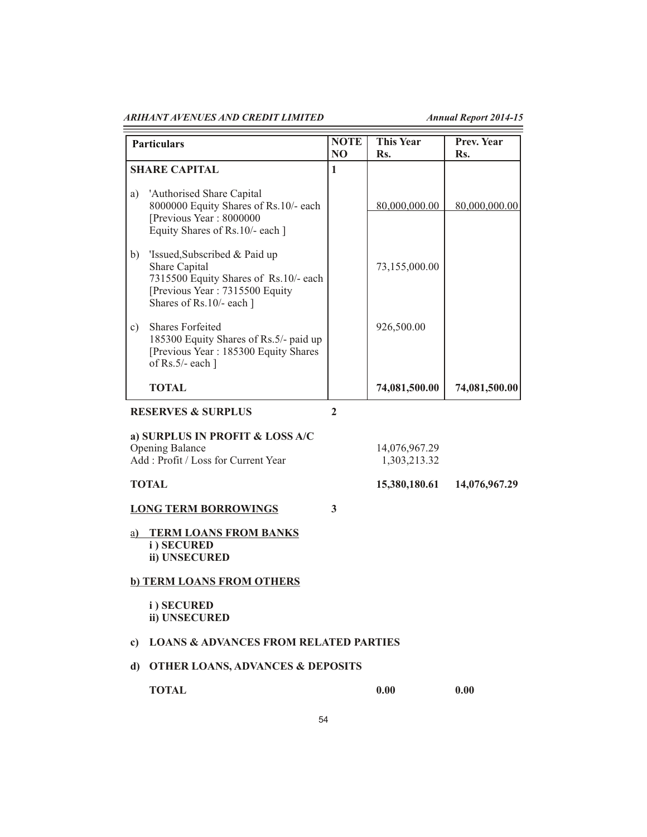| <b>Particulars</b>                                                                                                                                          | <b>NOTE</b><br>NO <sub>1</sub> | <b>This Year</b><br>Rs.       | Prev. Year<br>Rs. |
|-------------------------------------------------------------------------------------------------------------------------------------------------------------|--------------------------------|-------------------------------|-------------------|
| <b>SHARE CAPITAL</b>                                                                                                                                        | $\mathbf{1}$                   |                               |                   |
| 'Authorised Share Capital<br>a)<br>8000000 Equity Shares of Rs.10/- each<br>[Previous Year: 8000000<br>Equity Shares of Rs.10/- each ]                      |                                | 80,000,000.00                 | 80,000,000.00     |
| 'Issued, Subscribed & Paid up<br>b)<br>Share Capital<br>7315500 Equity Shares of Rs.10/- each<br>[Previous Year: 7315500 Equity<br>Shares of Rs.10/- each ] |                                | 73,155,000.00                 |                   |
| <b>Shares Forfeited</b><br>c)<br>185300 Equity Shares of Rs.5/- paid up<br>[Previous Year: 185300 Equity Shares]<br>of Rs.5/- each ]                        |                                | 926,500.00                    |                   |
| <b>TOTAL</b>                                                                                                                                                |                                | 74,081,500.00                 | 74,081,500.00     |
| <b>RESERVES &amp; SURPLUS</b>                                                                                                                               | $\mathbf{2}$                   |                               |                   |
| a) SURPLUS IN PROFIT & LOSS A/C<br>Opening Balance<br>Add: Profit / Loss for Current Year                                                                   |                                | 14,076,967.29<br>1,303,213.32 |                   |
| <b>TOTAL</b>                                                                                                                                                |                                | 15,380,180.61                 | 14,076,967.29     |
| <b>LONG TERM BORROWINGS</b>                                                                                                                                 | 3                              |                               |                   |
| <b>TERM LOANS FROM BANKS</b><br>a)<br>i) SECURED<br>ii) UNSECURED                                                                                           |                                |                               |                   |
| b) TERM LOANS FROM OTHERS                                                                                                                                   |                                |                               |                   |
| i) SECURED<br>ii) UNSECURED                                                                                                                                 |                                |                               |                   |
| <b>LOANS &amp; ADVANCES FROM RELATED PARTIES</b><br>c)                                                                                                      |                                |                               |                   |
| <b>OTHER LOANS, ADVANCES &amp; DEPOSITS</b><br>d)                                                                                                           |                                |                               |                   |
| <b>TOTAL</b>                                                                                                                                                |                                | 0.00                          | 0.00              |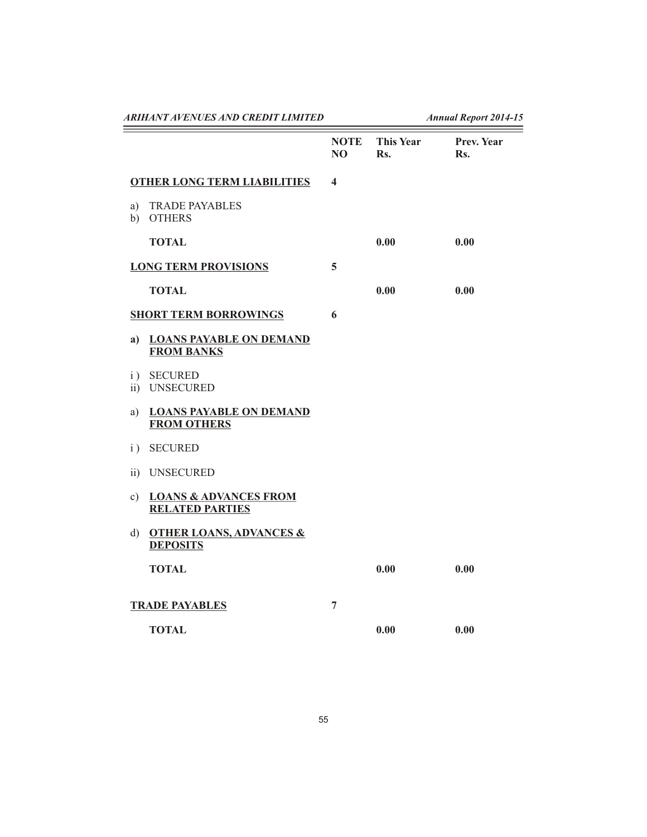|  |  | ARIHANT AVENUES AND CREDIT LIMITED |  |
|--|--|------------------------------------|--|
|--|--|------------------------------------|--|

|                                                    | <b>NOTE</b><br>NO.      | This Year<br>Rs. | Prev. Year<br>Rs. |
|----------------------------------------------------|-------------------------|------------------|-------------------|
| <b>OTHER LONG TERM LIABILITIES</b>                 | $\overline{\mathbf{4}}$ |                  |                   |
| <b>TRADE PAYABLES</b><br>a)<br><b>OTHERS</b><br>b) |                         |                  |                   |
| <b>TOTAL</b>                                       |                         | 0.00             | 0.00              |
| <b>LONG TERM PROVISIONS</b>                        | 5                       |                  |                   |
| <b>TOTAL</b>                                       |                         | 0.00             | 0.00              |
| <b>SHORT TERM BORROWINGS</b>                       | 6                       |                  |                   |
| a) LOANS PAYABLE ON DEMAND<br><b>FROM BANKS</b>    |                         |                  |                   |
| i) SECURED<br><b>UNSECURED</b><br>$\mathbf{ii}$    |                         |                  |                   |
| a) LOANS PAYABLE ON DEMAND<br><b>FROM OTHERS</b>   |                         |                  |                   |
| i) SECURED                                         |                         |                  |                   |
| ii) UNSECURED                                      |                         |                  |                   |
| c) LOANS & ADVANCES FROM<br><b>RELATED PARTIES</b> |                         |                  |                   |
| d) OTHER LOANS, ADVANCES &<br><b>DEPOSITS</b>      |                         |                  |                   |
| <b>TOTAL</b>                                       |                         | 0.00             | 0.00              |
| <b>TRADE PAYABLES</b>                              | 7                       |                  |                   |
| <b>TOTAL</b>                                       |                         | 0.00             | 0.00              |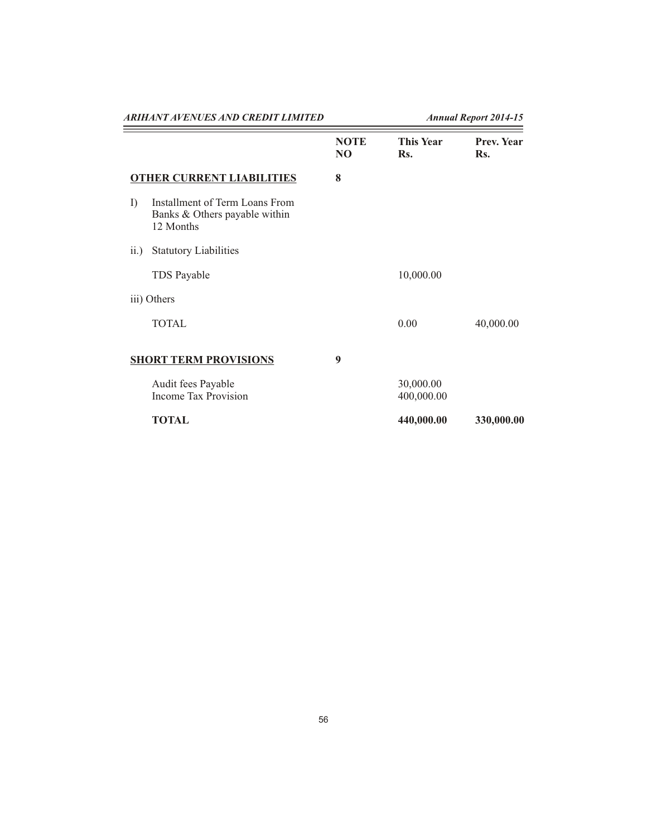۰

|                                                                                    | <b>NOTE</b><br>N <sub>O</sub> | <b>This Year</b><br>Rs. | <b>Prev. Year</b><br>Rs. |
|------------------------------------------------------------------------------------|-------------------------------|-------------------------|--------------------------|
| <b>OTHER CURRENT LIABILITIES</b>                                                   | 8                             |                         |                          |
| Installment of Term Loans From<br>I)<br>Banks & Others payable within<br>12 Months |                               |                         |                          |
| ii.)<br><b>Statutory Liabilities</b>                                               |                               |                         |                          |
| TDS Payable                                                                        |                               | 10,000.00               |                          |
| iii) Others                                                                        |                               |                         |                          |
| <b>TOTAL</b>                                                                       |                               | 0.00                    | 40,000.00                |
| <b>SHORT TERM PROVISIONS</b>                                                       | 9                             |                         |                          |
| Audit fees Payable<br><b>Income Tax Provision</b>                                  |                               | 30,000.00<br>400,000.00 |                          |
| <b>TOTAL</b>                                                                       |                               | 440,000.00              | 330,000.00               |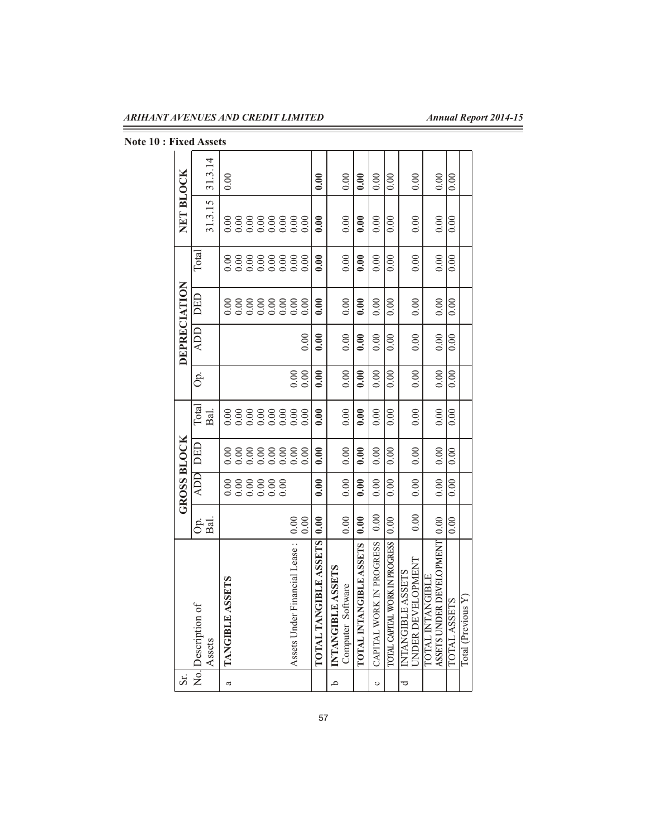**Note 10 : Fixed Assets**

| Sr.            |                                      |      |      | <b>GROSS BLOCK</b> |          |      | DEPRECIATION |                    |                     | NET BLOCK |         |
|----------------|--------------------------------------|------|------|--------------------|----------|------|--------------|--------------------|---------------------|-----------|---------|
|                | No. Description of                   | Ġ.   |      | ADD DED            | Total    | Òp.  | <b>ADD</b>   | DED                | Total               |           |         |
|                | Assets                               | Bal. |      |                    | Bal.     |      |              |                    |                     | 31.3.15   | 31.3.14 |
| $\mathfrak{a}$ | TANGIBLE ASSETS                      |      | 0.00 | 0.00               | 0.00     |      |              |                    |                     |           | 0.00    |
|                |                                      |      | 0.00 | 0.00               | 0.00     |      |              |                    |                     |           |         |
|                |                                      |      | 0.00 | 0.00               | 0.00     |      |              |                    |                     |           |         |
|                |                                      |      | 0.00 | 0.00               | 0.00     |      |              |                    |                     |           |         |
|                |                                      |      | 0.00 | 0.00000            | $0.00\,$ |      |              | 8888888<br>8888888 | 8888888<br>00000000 |           |         |
|                |                                      |      | 0.00 |                    | 0.00     |      |              |                    |                     |           |         |
|                | Assets Under Financial Lease:   0.00 |      |      | 0.00               | 0.00     | 0.00 |              |                    |                     |           |         |
|                |                                      | 0.00 |      | 0.00               | 0.00     | 0.00 | 0.00         | 0.00               | 0.00                | 0.00      |         |
|                | <b>TOTAL TANGIBLE ASSETS</b>         | 0.00 | 0.00 | 0.00               | 0.00     | 0.00 | 0.00         | 0.00               | 0.00                | 0.00      | 0.00    |
| $\circ$        | INTANGIBLE ASSETS                    |      |      |                    |          |      |              |                    |                     |           |         |
|                | Computer Software                    | 0.00 | 0.00 | 0.00               | 0.00     | 0.00 | 0.00         | 0.00               | 0.00                | 0.00      | 0.00    |
|                | <b>TOTAL INTANGIBLE ASSETS</b>       | 0.00 | 0.00 | 0.00               | 0.00     | 0.00 | 0.00         | 0.00               | 0.00                | 0.00      | 0.00    |
| Ö              | CAPITAL WORK IN PROGRESS             | 0.00 | 0.00 | 0.00               | 0.00     | 0.00 | 0.00         | 0.00               | 0.00                | 0.00      | 0.00    |
|                | TOTAL CAPITAL WORK IN PROGRESS       | 0.00 | 0.00 | 0.00               | 0.00     | 0.00 | 0.00         | 0.00               | 0.00                | 0.00      | 0.00    |
| ರ              | INTANGIBLE ASSETS                    |      |      |                    |          |      |              |                    |                     |           |         |
|                | UNDER DEVELOPMENT                    | 0.00 | 0.00 | 0.00               | 0.00     | 0.00 | 0.00         | 0.00               | 0.00                | 0.00      | 0.00    |
|                | TOTAL INTANGIBLE                     |      |      |                    |          |      |              |                    |                     |           |         |
|                | ASSETS UNDER DEVELOPMENT 0.00        |      | 0.00 | 0.00               | 0.00     | 0.00 | 0.00         | 0.00               | 0.00                | 0.00      | 0.00    |
|                | TOTAL ASSETS                         | 0.00 | 0.00 | 0.00               | 0.00     | 0.00 | 0.00         | 0.00               | 0.00                | 0.00      | 0.00    |
|                | Total (Previous Y)                   |      |      |                    |          |      |              |                    |                     |           |         |
|                |                                      |      |      |                    |          |      |              |                    |                     |           |         |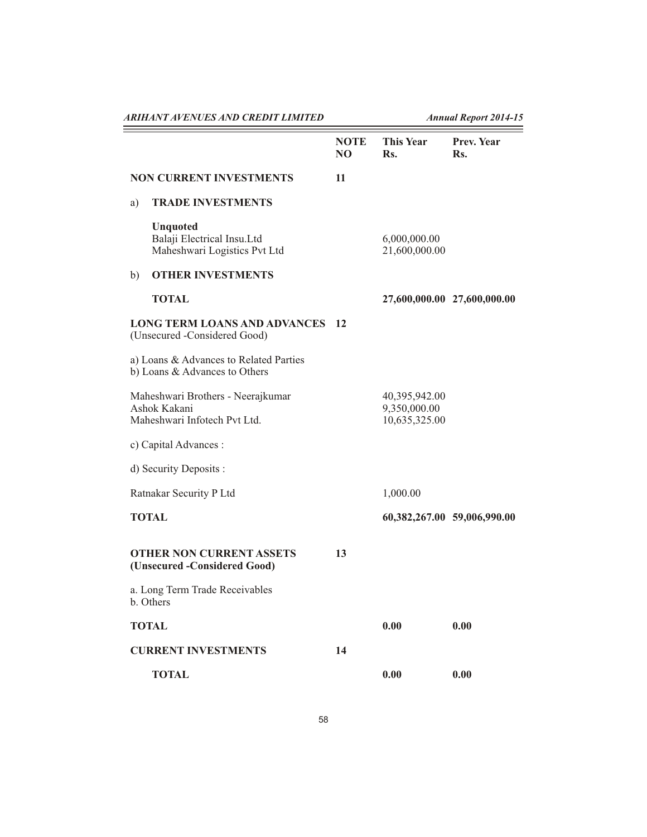|    |                                                                                   | <b>NOTE</b><br>NO. | <b>This Year</b><br>Rs.                        | Prev. Year<br>Rs.           |
|----|-----------------------------------------------------------------------------------|--------------------|------------------------------------------------|-----------------------------|
|    | <b>NON CURRENT INVESTMENTS</b>                                                    | 11                 |                                                |                             |
| a) | <b>TRADE INVESTMENTS</b>                                                          |                    |                                                |                             |
|    | <b>Unquoted</b><br>Balaji Electrical Insu.Ltd<br>Maheshwari Logistics Pvt Ltd     |                    | 6,000,000.00<br>21,600,000.00                  |                             |
| b) | <b>OTHER INVESTMENTS</b>                                                          |                    |                                                |                             |
|    | <b>TOTAL</b>                                                                      |                    |                                                | 27,600,000.00 27,600,000.00 |
|    | <b>LONG TERM LOANS AND ADVANCES 12</b><br>(Unsecured -Considered Good)            |                    |                                                |                             |
|    | a) Loans & Advances to Related Parties<br>b) Loans & Advances to Others           |                    |                                                |                             |
|    | Maheshwari Brothers - Neerajkumar<br>Ashok Kakani<br>Maheshwari Infotech Pvt Ltd. |                    | 40,395,942.00<br>9,350,000.00<br>10,635,325.00 |                             |
|    | c) Capital Advances :                                                             |                    |                                                |                             |
|    | d) Security Deposits :                                                            |                    |                                                |                             |
|    | Ratnakar Security P Ltd                                                           |                    | 1,000.00                                       |                             |
|    | <b>TOTAL</b>                                                                      |                    |                                                | 60,382,267.00 59,006,990.00 |
|    | <b>OTHER NON CURRENT ASSETS</b><br>(Unsecured -Considered Good)                   | 13                 |                                                |                             |
|    | a. Long Term Trade Receivables<br>b. Others                                       |                    |                                                |                             |
|    | <b>TOTAL</b>                                                                      |                    | 0.00                                           | 0.00                        |
|    | <b>CURRENT INVESTMENTS</b>                                                        | 14                 |                                                |                             |
|    | <b>TOTAL</b>                                                                      |                    | 0.00                                           | 0.00                        |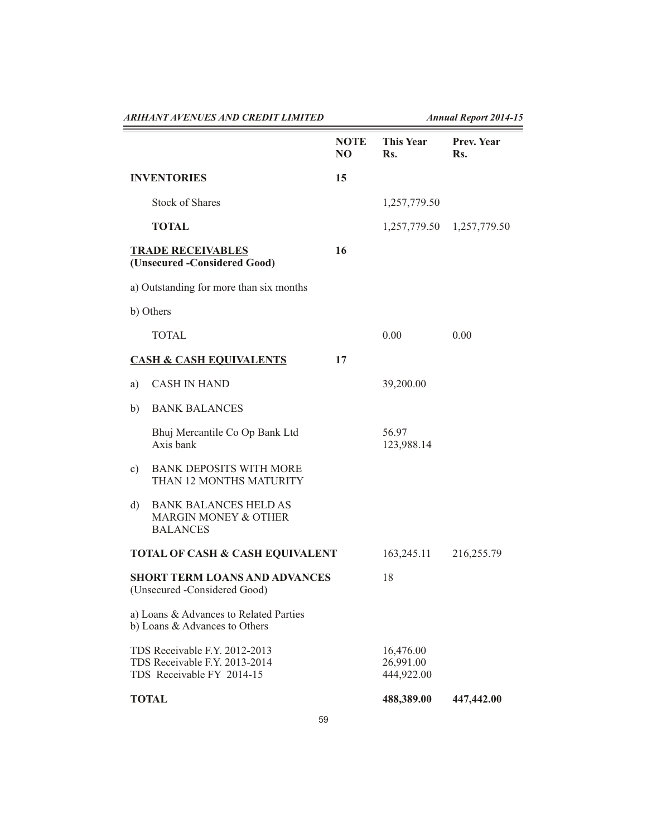|          |                                                                                             | <b>NOTE</b><br>N <sub>O</sub> | <b>This Year</b><br>Rs.              | Prev. Year<br>Rs. |
|----------|---------------------------------------------------------------------------------------------|-------------------------------|--------------------------------------|-------------------|
|          | <b>INVENTORIES</b>                                                                          | 15                            |                                      |                   |
|          | <b>Stock of Shares</b>                                                                      |                               | 1,257,779.50                         |                   |
|          | <b>TOTAL</b>                                                                                |                               | 1,257,779.50                         | 1,257,779.50      |
|          | <b>TRADE RECEIVABLES</b><br>(Unsecured -Considered Good)                                    | 16                            |                                      |                   |
|          | a) Outstanding for more than six months                                                     |                               |                                      |                   |
|          | b) Others                                                                                   |                               |                                      |                   |
|          | <b>TOTAL</b>                                                                                |                               | 0.00                                 | 0.00              |
|          | <b>CASH &amp; CASH EQUIVALENTS</b>                                                          | 17                            |                                      |                   |
| a)       | <b>CASH IN HAND</b>                                                                         |                               | 39,200.00                            |                   |
| b)       | <b>BANK BALANCES</b>                                                                        |                               |                                      |                   |
|          | Bhuj Mercantile Co Op Bank Ltd<br>Axis bank                                                 |                               | 56.97<br>123,988.14                  |                   |
| c)       | <b>BANK DEPOSITS WITH MORE</b><br>THAN 12 MONTHS MATURITY                                   |                               |                                      |                   |
| $\rm d)$ | <b>BANK BALANCES HELD AS</b><br>MARGIN MONEY & OTHER<br><b>BALANCES</b>                     |                               |                                      |                   |
|          | <b>TOTAL OF CASH &amp; CASH EQUIVALENT</b>                                                  |                               | 163,245.11                           | 216,255.79        |
|          | <b>SHORT TERM LOANS AND ADVANCES</b><br>(Unsecured -Considered Good)                        |                               | 18                                   |                   |
|          | a) Loans & Advances to Related Parties<br>b) Loans & Advances to Others                     |                               |                                      |                   |
|          | TDS Receivable F.Y. 2012-2013<br>TDS Receivable F.Y. 2013-2014<br>TDS Receivable FY 2014-15 |                               | 16,476.00<br>26,991.00<br>444,922.00 |                   |
|          | <b>TOTAL</b>                                                                                |                               | 488,389.00                           | 447,442.00        |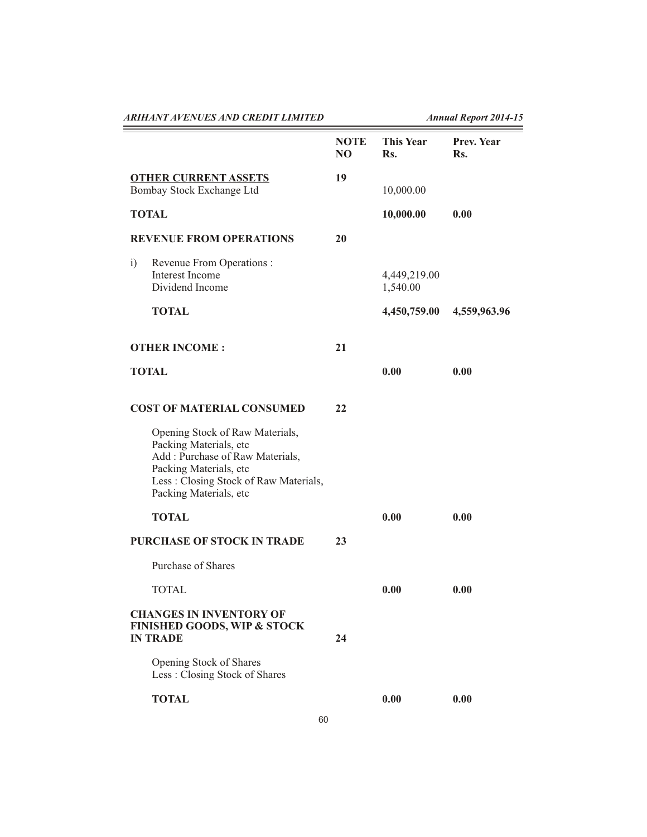|                                                                                                                                                                                           | <b>NOTE</b><br>NO. | <b>This Year</b><br>Rs.  | Prev. Year<br>Rs.         |
|-------------------------------------------------------------------------------------------------------------------------------------------------------------------------------------------|--------------------|--------------------------|---------------------------|
| <b>OTHER CURRENT ASSETS</b><br>Bombay Stock Exchange Ltd                                                                                                                                  | 19                 | 10,000.00                |                           |
| <b>TOTAL</b>                                                                                                                                                                              |                    | 10,000.00                | 0.00                      |
| <b>REVENUE FROM OPERATIONS</b>                                                                                                                                                            | 20                 |                          |                           |
| $\ddot{i}$<br>Revenue From Operations :<br>Interest Income<br>Dividend Income                                                                                                             |                    | 4,449,219.00<br>1,540.00 |                           |
| <b>TOTAL</b>                                                                                                                                                                              |                    |                          | 4,450,759.00 4,559,963.96 |
| <b>OTHER INCOME:</b>                                                                                                                                                                      | 21                 |                          |                           |
| <b>TOTAL</b>                                                                                                                                                                              |                    | 0.00                     | 0.00                      |
| <b>COST OF MATERIAL CONSUMED</b>                                                                                                                                                          | 22                 |                          |                           |
| Opening Stock of Raw Materials,<br>Packing Materials, etc<br>Add: Purchase of Raw Materials,<br>Packing Materials, etc<br>Less: Closing Stock of Raw Materials,<br>Packing Materials, etc |                    |                          |                           |
| <b>TOTAL</b>                                                                                                                                                                              |                    | 0.00                     | 0.00                      |
| <b>PURCHASE OF STOCK IN TRADE</b>                                                                                                                                                         | 23                 |                          |                           |
| <b>Purchase of Shares</b>                                                                                                                                                                 |                    |                          |                           |
| <b>TOTAL</b>                                                                                                                                                                              |                    | 0.00                     | 0.00                      |
| <b>CHANGES IN INVENTORY OF</b><br><b>FINISHED GOODS, WIP &amp; STOCK</b><br><b>IN TRADE</b>                                                                                               | 24                 |                          |                           |
| Opening Stock of Shares<br>Less: Closing Stock of Shares                                                                                                                                  |                    |                          |                           |
| <b>TOTAL</b>                                                                                                                                                                              |                    | 0.00                     | 0.00                      |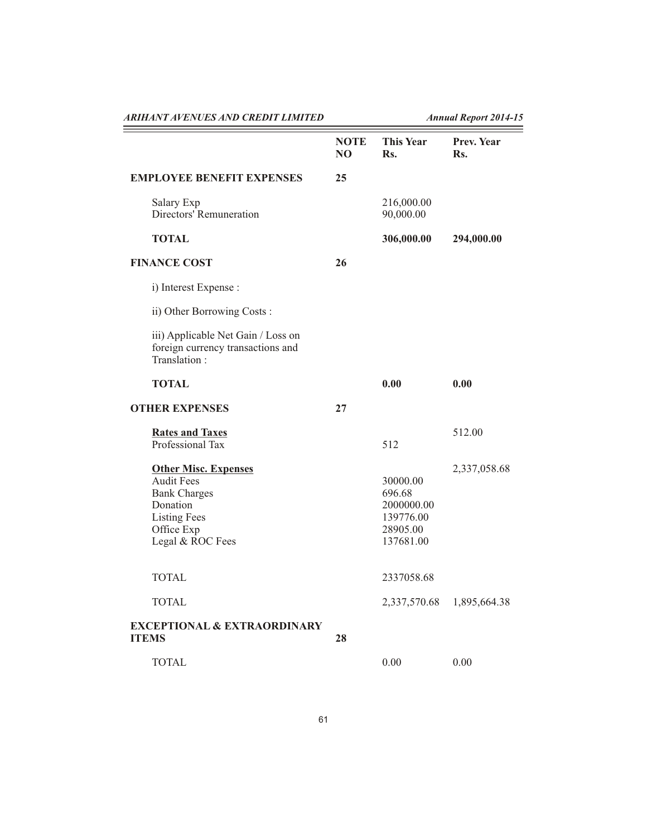| ARIHANT AVENUES AND CREDIT LIMITED                                                                                                           |                   |                                                                        | <b>Annual Report 2014-15</b> |
|----------------------------------------------------------------------------------------------------------------------------------------------|-------------------|------------------------------------------------------------------------|------------------------------|
|                                                                                                                                              | <b>NOTE</b><br>NO | <b>This Year</b><br>Rs.                                                | Prev. Year<br>Rs.            |
| <b>EMPLOYEE BENEFIT EXPENSES</b>                                                                                                             | 25                |                                                                        |                              |
| Salary Exp<br>Directors' Remuneration                                                                                                        |                   | 216,000.00<br>90,000.00                                                |                              |
| <b>TOTAL</b>                                                                                                                                 |                   | 306,000.00                                                             | 294,000.00                   |
| <b>FINANCE COST</b>                                                                                                                          | 26                |                                                                        |                              |
| i) Interest Expense :                                                                                                                        |                   |                                                                        |                              |
| ii) Other Borrowing Costs:                                                                                                                   |                   |                                                                        |                              |
| iii) Applicable Net Gain / Loss on<br>foreign currency transactions and<br>Translation:                                                      |                   |                                                                        |                              |
| <b>TOTAL</b>                                                                                                                                 |                   | 0.00                                                                   | 0.00                         |
| <b>OTHER EXPENSES</b>                                                                                                                        | 27                |                                                                        |                              |
| <b>Rates and Taxes</b><br>Professional Tax                                                                                                   |                   | 512                                                                    | 512.00                       |
| <b>Other Misc. Expenses</b><br><b>Audit Fees</b><br><b>Bank Charges</b><br>Donation<br><b>Listing Fees</b><br>Office Exp<br>Legal & ROC Fees |                   | 30000.00<br>696.68<br>2000000.00<br>139776.00<br>28905.00<br>137681.00 | 2,337,058.68                 |
| <b>TOTAL</b>                                                                                                                                 |                   | 2337058.68                                                             |                              |
| <b>TOTAL</b>                                                                                                                                 |                   |                                                                        | 2,337,570.68 1,895,664.38    |
| <b>EXCEPTIONAL &amp; EXTRAORDINARY</b><br><b>ITEMS</b>                                                                                       | 28                |                                                                        |                              |
| <b>TOTAL</b>                                                                                                                                 |                   | 0.00                                                                   | 0.00                         |

61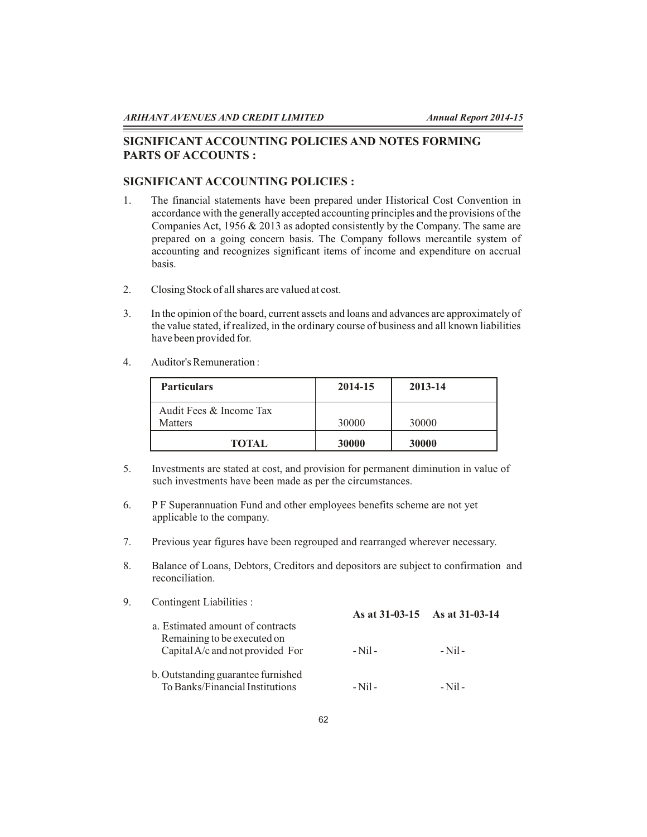#### **SIGNIFICANT ACCOUNTING POLICIES AND NOTES FORMING PARTS OF ACCOUNTS :**

#### **SIGNIFICANT ACCOUNTING POLICIES :**

- 1. The financial statements have been prepared under Historical Cost Convention in accordance with the generally accepted accounting principles and the provisions of the Companies Act, 1956 & 2013 as adopted consistently by the Company. The same are prepared on a going concern basis. The Company follows mercantile system of accounting and recognizes significant items of income and expenditure on accrual basis.
- 2. Closing Stock of all shares are valued at cost.
- 3. In the opinion of the board, current assets and loans and advances are approximately of the value stated, if realized, in the ordinary course of business and all known liabilities have been provided for.
- 4. Auditor's Remuneration :

| <b>Particulars</b>                        | 2014-15 | 2013-14 |
|-------------------------------------------|---------|---------|
| Audit Fees & Income Tax<br><b>Matters</b> | 30000   | 30000   |
| <b>TOTAL</b>                              | 30000   | 30000   |

- 5. Investments are stated at cost, and provision for permanent diminution in value of such investments have been made as per the circumstances.
- 6. P F Superannuation Fund and other employees benefits scheme are not yet applicable to the company.
- 7. Previous year figures have been regrouped and rearranged wherever necessary.
- 8. Balance of Loans, Debtors, Creditors and depositors are subject to confirmation and reconciliation.
- 9. Contingent Liabilities :

|                                                                 |         | As at 31-03-15 As at 31-03-14 |
|-----------------------------------------------------------------|---------|-------------------------------|
| a. Estimated amount of contracts<br>Remaining to be executed on |         |                               |
| Capital A/c and not provided For                                | $-Ni1$  | $-Ni1$                        |
| b. Outstanding guarantee furnished                              |         |                               |
| To Banks/Financial Institutions                                 | $-Ni1-$ | $-Ni1-$                       |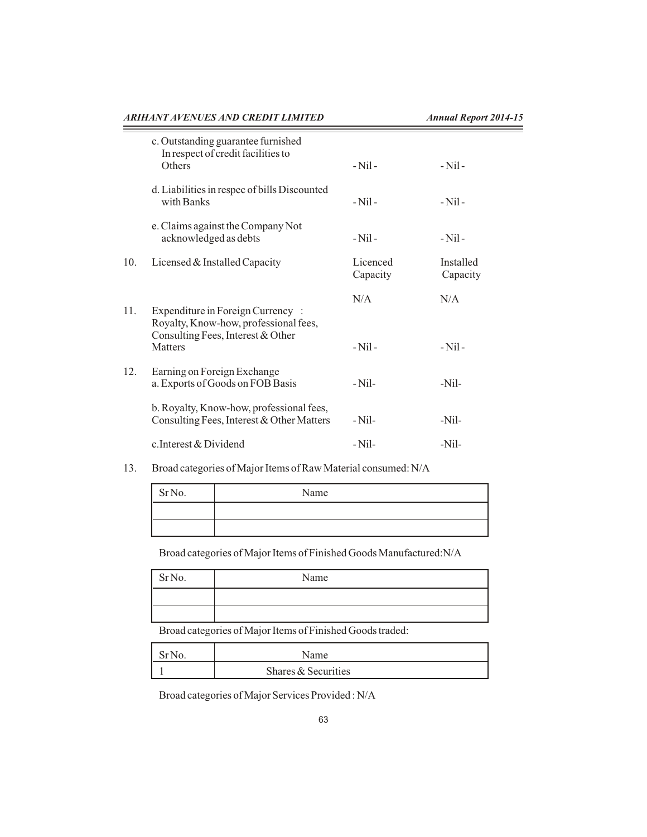|     | ARIHANT AVENUES AND CREDIT LIMITED                                                                             |                      | <b>Annual Report 2014-15</b> |
|-----|----------------------------------------------------------------------------------------------------------------|----------------------|------------------------------|
|     | c. Outstanding guarantee furnished<br>In respect of credit facilities to<br><b>Others</b>                      | $-Ni1-$              | $-Ni1-$                      |
|     | d. Liabilities in respec of bills Discounted<br>with Banks                                                     | $-Ni1-$              | $-Ni1-$                      |
|     | e. Claims against the Company Not<br>acknowledged as debts                                                     | $-Ni1-$              | $-Ni1-$                      |
| 10. | Licensed $&$ Installed Capacity                                                                                | Licenced<br>Capacity | Installed<br>Capacity        |
| 11. | Expenditure in Foreign Currency:<br>Royalty, Know-how, professional fees,<br>Consulting Fees, Interest & Other | N/A                  | N/A                          |
|     | <b>Matters</b>                                                                                                 | $-Nil-$              | $-Nil-$                      |
| 12. | Earning on Foreign Exchange<br>a. Exports of Goods on FOB Basis                                                | $-Nil-$              | $-Nil-$                      |
|     | b. Royalty, Know-how, professional fees,<br>Consulting Fees, Interest & Other Matters                          | $-Nil-$              | $-Nil-$                      |
|     | c. Interest & Dividend                                                                                         | $-Nil-$              | $-Nil-$                      |

13. Broad categories of Major Items of Raw Material consumed: N/A

| Sr No. | Name |
|--------|------|
|        |      |
|        |      |

Broad categories of Major Items of Finished Goods Manufactured:N/A

| SrNo. | Name |
|-------|------|
|       |      |
|       |      |

Broad categories of Major Items of Finished Goods traded:

| Name                |
|---------------------|
| Shares & Securities |

Broad categories of Major Services Provided : N/A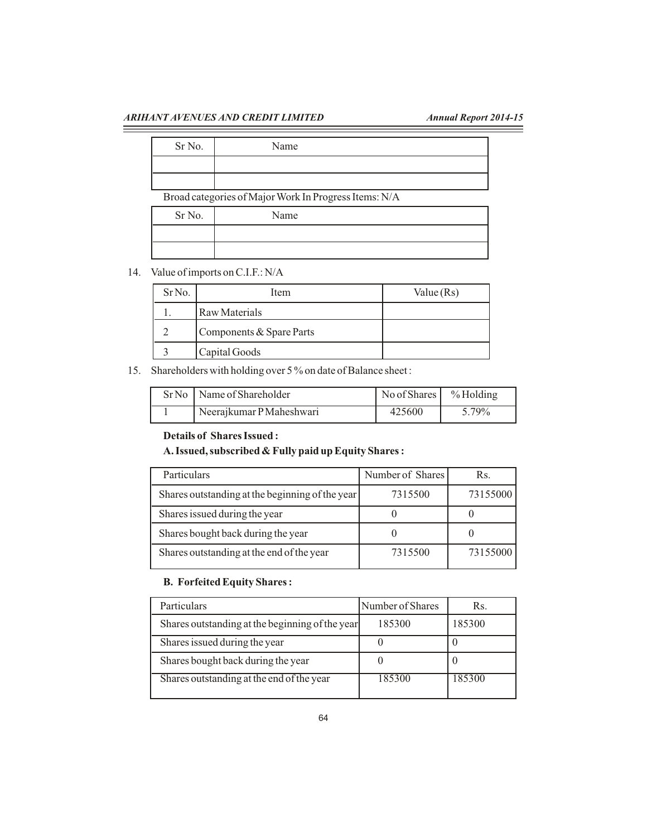| Sr No. | Name              |
|--------|-------------------|
|        |                   |
|        |                   |
|        | .<br>$\sim$<br>__ |

Broad categories of Major Work In Progress Items: N/A

| Sr No. | Name |
|--------|------|
|        |      |
|        |      |

14. Value of imports on C.I.F.: N/A

| Sr <sub>No.</sub> | Item                     | Value(Rs) |
|-------------------|--------------------------|-----------|
|                   | Raw Materials            |           |
|                   | Components & Spare Parts |           |
|                   | Capital Goods            |           |

15. Shareholders with holding over 5 % on date of Balance sheet :

| Sr No   Name of Shareholder | No of Shares $\sim$ 46 Holding |       |
|-----------------------------|--------------------------------|-------|
| Neerajkumar P Maheshwari    | 425600                         | 5.79% |

### **Details of Shares Issued :**

**A. Issued, subscribed & Fully paid up Equity Shares :**

| Particulars                                     | Number of Shares | Rs.      |
|-------------------------------------------------|------------------|----------|
| Shares outstanding at the beginning of the year | 7315500          | 73155000 |
| Shares issued during the year                   |                  |          |
| Shares bought back during the year              |                  |          |
| Shares outstanding at the end of the year       | 7315500          | 73155000 |

#### **B. Forfeited Equity Shares :**

| Particulars                                     | Number of Shares | Rs.    |
|-------------------------------------------------|------------------|--------|
| Shares outstanding at the beginning of the year | 185300           | 185300 |
| Shares issued during the year                   |                  |        |
| Shares bought back during the year              |                  |        |
| Shares outstanding at the end of the year       | 185300           | 185300 |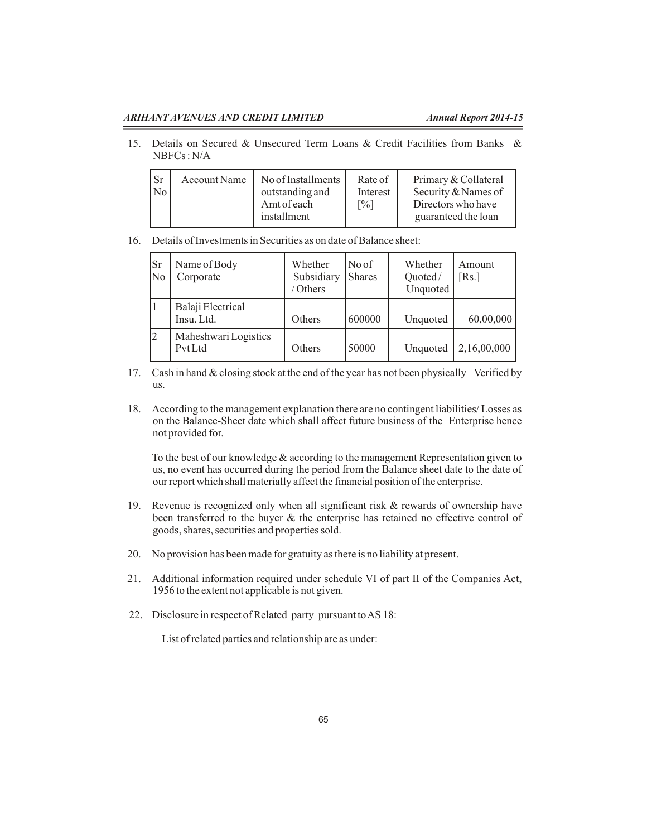15. Details on Secured & Unsecured Term Loans & Credit Facilities from Banks & NBFCs : N/A

16. Details of Investments in Securities as on date of Balance sheet:

| <sub>Sr</sub><br>lNo | Name of Body<br>Corporate             | Whether<br>Subsidiary<br>'Others | No of<br><b>Shares</b> | Whether<br>Quoted/<br>Unquoted | Amount<br>[Rs.] |
|----------------------|---------------------------------------|----------------------------------|------------------------|--------------------------------|-----------------|
|                      | Balaji Electrical<br>Insu. Ltd.       | Others                           | 600000                 | Unquoted                       | 60,00,000       |
|                      | Maheshwari Logistics<br><b>PvtLtd</b> | <b>Others</b>                    | 50000                  | Unquoted                       | 2,16,00,000     |

- 17. Cash in hand & closing stock at the end of the year has not been physically Verified by us.
- 18. According to the management explanation there are no contingent liabilities/ Losses as on the Balance-Sheet date which shall affect future business of the Enterprise hence not provided for.

To the best of our knowledge & according to the management Representation given to us, no event has occurred during the period from the Balance sheet date to the date of our report which shall materially affect the financial position of the enterprise.

- 19. Revenue is recognized only when all significant risk & rewards of ownership have been transferred to the buyer & the enterprise has retained no effective control of goods, shares, securities and properties sold.
- 20. No provision has been made for gratuity as there is no liability at present.
- 21. Additional information required under schedule VI of part II of the Companies Act, 1956 to the extent not applicable is not given.
- 22. Disclosure in respect of Related party pursuant to AS 18:

List of related parties and relationship are as under: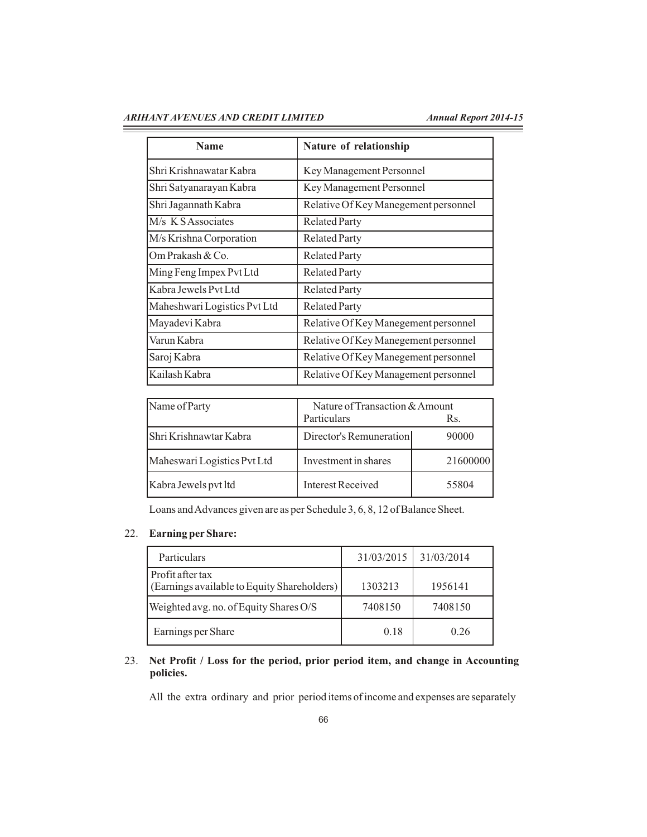| <b>Name</b>                  | Nature of relationship               |
|------------------------------|--------------------------------------|
| Shri Krishnawatar Kabra      | Key Management Personnel             |
| Shri Satyanarayan Kabra      | Key Management Personnel             |
| Shri Jagannath Kabra         | Relative Of Key Manegement personnel |
| M/s K S Associates           | <b>Related Party</b>                 |
| M/s Krishna Corporation      | <b>Related Party</b>                 |
| Om Prakash & Co.             | <b>Related Party</b>                 |
| Ming Feng Impex Pvt Ltd      | <b>Related Party</b>                 |
| Kabra Jewels Pvt Ltd         | <b>Related Party</b>                 |
| Maheshwari Logistics Pvt Ltd | <b>Related Party</b>                 |
| Mayadevi Kabra               | Relative Of Key Manegement personnel |
| Varun Kabra                  | Relative Of Key Manegement personnel |
| Saroj Kabra                  | Relative Of Key Manegement personnel |
| Kailash Kabra                | Relative Of Key Management personnel |

| Name of Party               | Nature of Transaction & Amount |          |  |
|-----------------------------|--------------------------------|----------|--|
|                             | Particulars                    | Rs.      |  |
| Shri Krishnawtar Kabra      | Director's Remuneration        | 90000    |  |
| Maheswari Logistics Pvt Ltd | Investment in shares           | 21600000 |  |
| Kabra Jewels pvt ltd        | <b>Interest Received</b>       | 55804    |  |

Loans and Advances given are as per Schedule 3, 6, 8, 12 of Balance Sheet.

#### 22. **Earning per Share:**

| <b>Particulars</b>                                              | 31/03/2015 | 31/03/2014 |
|-----------------------------------------------------------------|------------|------------|
| Profit after tax<br>(Earnings available to Equity Shareholders) | 1303213    | 1956141    |
| Weighted avg. no. of Equity Shares O/S                          | 7408150    | 7408150    |
| Earnings per Share                                              | 0.18       | 0.26       |

#### 23. **Net Profit / Loss for the period, prior period item, and change in Accounting policies.**

All the extra ordinary and prior period items of income and expenses are separately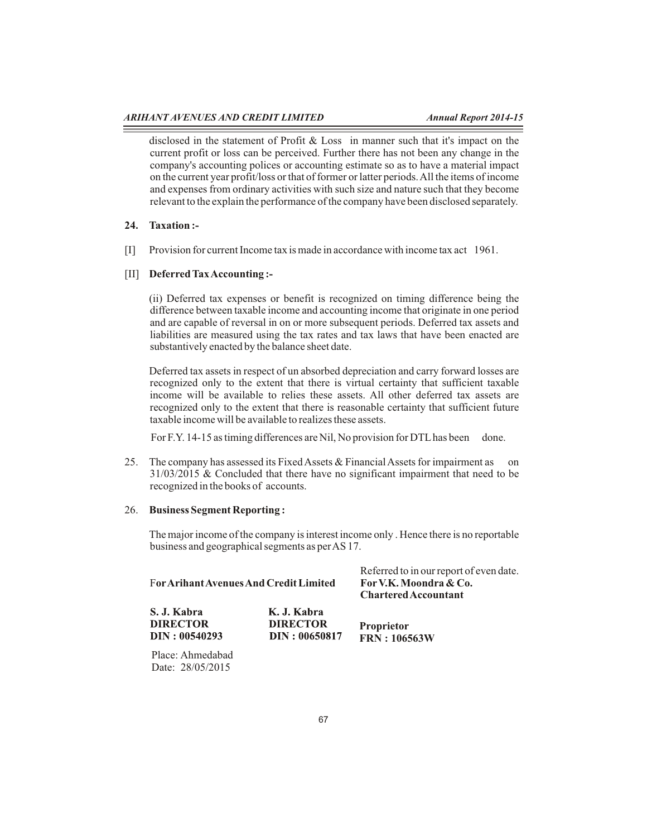disclosed in the statement of Profit & Loss in manner such that it's impact on the current profit or loss can be perceived. Further there has not been any change in the company's accounting polices or accounting estimate so as to have a material impact on the current year profit/loss or that of former or latter periods. All the items of income and expenses from ordinary activities with such size and nature such that they become relevant to the explain the performance of the company have been disclosed separately.

#### **24. Taxation :-**

[I] Provision for current Income tax is made in accordance with income tax act 1961.

#### [II] **Deferred Tax Accounting :-**

(ii) Deferred tax expenses or benefit is recognized on timing difference being the difference between taxable income and accounting income that originate in one period and are capable of reversal in on or more subsequent periods. Deferred tax assets and liabilities are measured using the tax rates and tax laws that have been enacted are substantively enacted by the balance sheet date.

Deferred tax assets in respect of un absorbed depreciation and carry forward losses are recognized only to the extent that there is virtual certainty that sufficient taxable income will be available to relies these assets. All other deferred tax assets are recognized only to the extent that there is reasonable certainty that sufficient future taxable income will be available to realizes these assets.

For F.Y. 14-15 as timing differences are Nil, No provision for DTL has been done.

25. The company has assessed its Fixed Assets & Financial Assets for impairment as on 31/03/2015 & Concluded that there have no significant impairment that need to be recognized in the books of accounts.

#### 26. **Business Segment Reporting :**

 The major income of the company is interest income only . Hence there is no reportable business and geographical segments as per AS 17.

| <b>For Arihant Avenues And Credit Limited</b>   |                                                 | Referred to in our report of even date.<br>For V.K. Moondra & Co.<br><b>Chartered Accountant</b> |  |
|-------------------------------------------------|-------------------------------------------------|--------------------------------------------------------------------------------------------------|--|
| S. J. Kabra<br><b>DIRECTOR</b><br>DIN: 00540293 | K. J. Kabra<br><b>DIRECTOR</b><br>DIN: 00650817 | Proprietor<br><b>FRN: 106563W</b>                                                                |  |
| $Dlace$ Ahmedahad                               |                                                 |                                                                                                  |  |

Place: Ahmedabad Date: 28/05/2015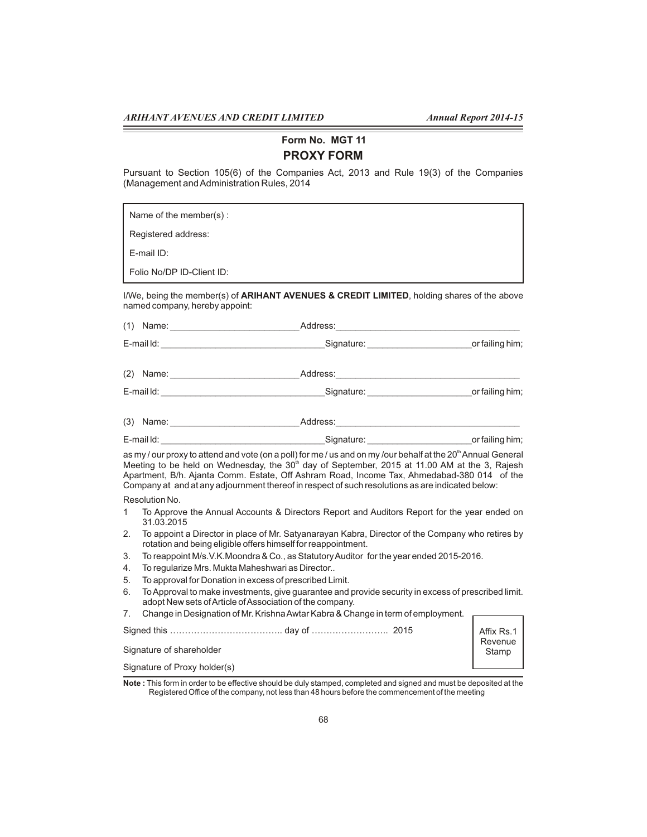#### **Form No. MGT 11**

#### **PROXY FORM**

Pursuant to Section 105(6) of the Companies Act, 2013 and Rule 19(3) of the Companies (Management and Administration Rules, 2014

Name of the member(s) :

Registered address:

E-mail ID:

Folio No/DP ID-Client ID:

I/We, being the member(s) of **ARIHANT AVENUES & CREDIT LIMITED**, holding shares of the above named company, hereby appoint:

| 74<br>٠ | Name: | Address:<br>------ |  |
|---------|-------|--------------------|--|
|         |       |                    |  |

E-mail ld: \_\_\_\_\_\_\_\_\_\_\_\_\_\_\_\_\_\_\_\_\_\_\_\_\_\_\_\_\_\_\_\_\_Signature: \_\_\_\_\_\_\_\_\_\_\_\_\_\_\_\_\_\_\_\_\_or failing him;

(2) Name: \_\_\_\_\_\_\_\_\_\_\_\_\_\_\_\_\_\_\_\_\_\_\_\_\_\_ Address:\_\_\_\_\_\_\_\_\_\_\_\_\_\_\_\_\_\_\_\_\_\_\_\_\_\_\_\_\_\_\_\_\_\_\_\_\_

E-mail ld: \_\_\_\_\_\_\_\_\_\_\_\_\_\_\_\_\_\_\_\_\_\_\_\_\_\_\_\_\_\_\_\_\_Signature: \_\_\_\_\_\_\_\_\_\_\_\_\_\_\_\_\_\_\_\_\_or failing him;

| (3) | Name' | nnress |
|-----|-------|--------|
|     |       |        |

E-mail ld: \_\_\_\_\_\_\_\_\_\_\_\_\_\_\_\_\_\_\_\_\_\_\_\_\_\_\_\_\_\_\_\_\_Signature: \_\_\_\_\_\_\_\_\_\_\_\_\_\_\_\_\_\_\_\_\_or failing him;

as my / our proxy to attend and vote (on a poll) for me / us and on my /our behalf at the 20<sup>th</sup> Annual General Meeting to be held on Wednesday, the  $30<sup>th</sup>$  day of September, 2015 at 11.00 AM at the 3, Rajesh Apartment, B/h. Ajanta Comm. Estate, Off Ashram Road, Income Tax, Ahmedabad-380 014 of the Company at and at any adjournment thereof in respect of such resolutions as are indicated below:

Resolution No.

- 1 To Approve the Annual Accounts & Directors Report and Auditors Report for the year ended on 31.03.2015
- 2. To appoint a Director in place of Mr. Satyanarayan Kabra, Director of the Company who retires by rotation and being eligible offers himself for reappointment.
- 3. To reappoint M/s.V.K.Moondra & Co., as Statutory Auditor for the year ended 2015-2016.
- 4. To regularize Mrs. Mukta Maheshwari as Director..
- 5. To approval for Donation in excess of prescribed Limit.
- 6. To Approval to make investments, give guarantee and provide security in excess of prescribed limit. adopt New sets of Article of Association of the company.

|  | Change in Designation of Mr. Krishna Awtar Kabra & Change in term of employment. |  |
|--|----------------------------------------------------------------------------------|--|
|  |                                                                                  |  |

Signed this ……………………………….. day of …………………….. 2015

Signature of shareholder

Signature of Proxy holder(s)

Affix Rs.1 Revenue Stamp

**Note :** This form in order to be effective should be duly stamped, completed and signed and must be deposited at the Registered Office of the company, not less than 48 hours before the commencement of the meeting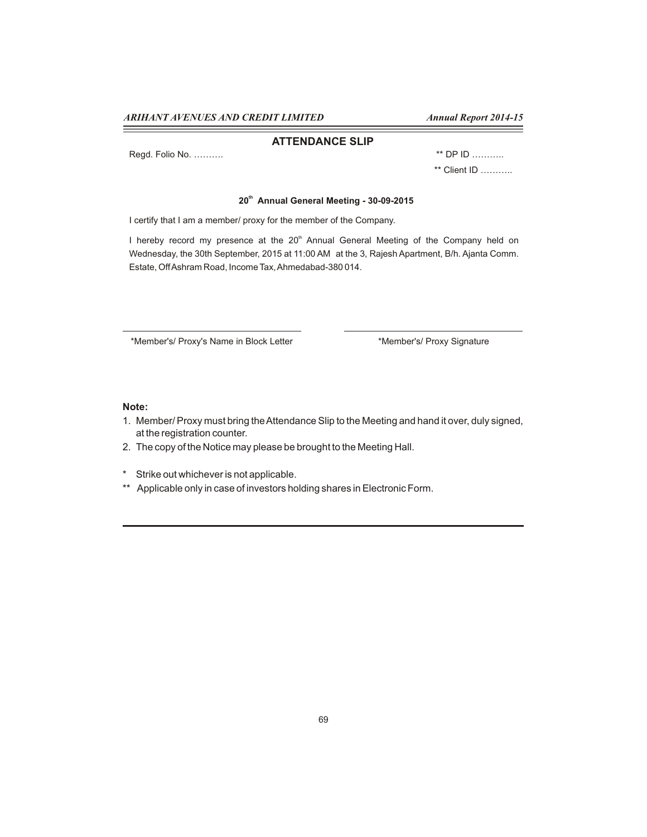#### **ATTENDANCE SLIP**

Regd. Folio No. ………. \*\* DP ID ……….. \*\* Client ID ………..

#### **th 20 Annual General Meeting - 30-09-2015**

I certify that I am a member/ proxy for the member of the Company.

I hereby record my presence at the 20<sup>th</sup> Annual General Meeting of the Company held on Wednesday, the 30th September, 2015 at 11:00 AM at the 3, Rajesh Apartment, B/h. Ajanta Comm. Estate, Off Ashram Road, Income Tax, Ahmedabad-380 014.

\*Member's/ Proxy's Name in Block Letter \*Member's/ Proxy Signature

#### **Note:**

- 1. Member/ Proxy must bring the Attendance Slip to the Meeting and hand it over, duly signed, at the registration counter.
- 2. The copy of the Notice may please be brought to the Meeting Hall.
- \* Strike out whichever is not applicable.
- \*\* Applicable only in case of investors holding shares in Electronic Form.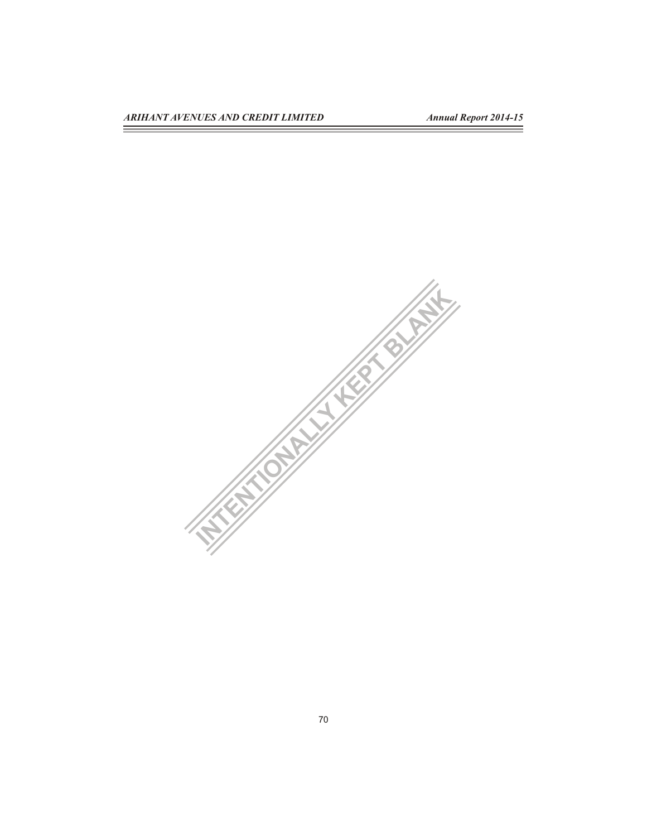